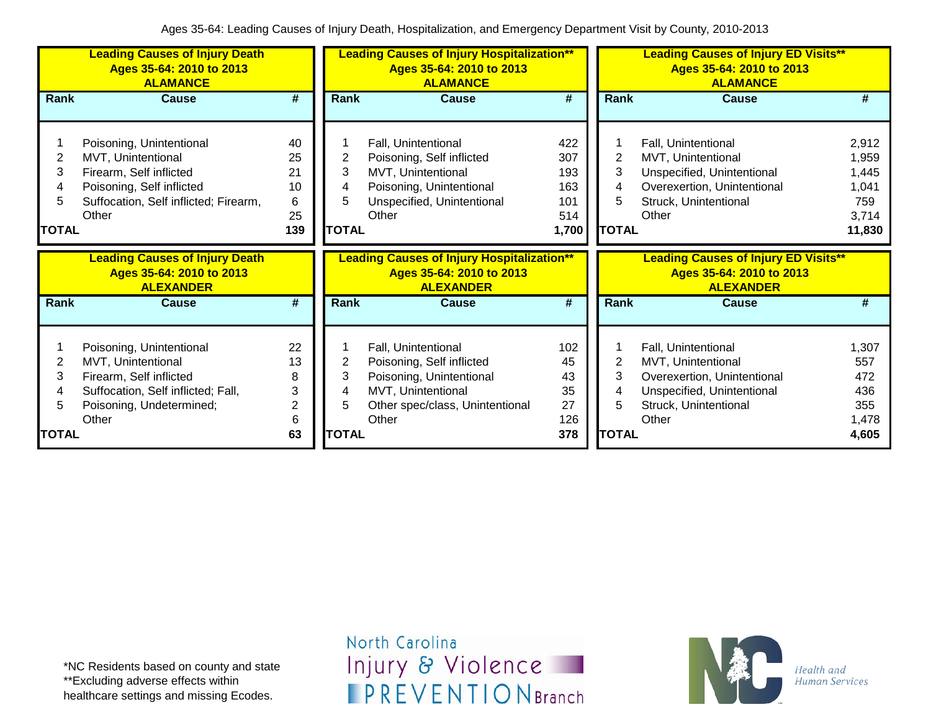|                                   | <b>Leading Causes of Injury Death</b><br>Ages 35-64: 2010 to 2013<br><b>ALAMANCE</b>                                                                     |                                        |                        | <b>Leading Causes of Injury Hospitalization**</b><br>Ages 35-64: 2010 to 2013<br><b>ALAMANCE</b>                                               |                                                 |                                               | <b>Leading Causes of Injury ED Visits**</b><br>Ages 35-64: 2010 to 2013<br><b>ALAMANCE</b>                                               |                                                            |
|-----------------------------------|----------------------------------------------------------------------------------------------------------------------------------------------------------|----------------------------------------|------------------------|------------------------------------------------------------------------------------------------------------------------------------------------|-------------------------------------------------|-----------------------------------------------|------------------------------------------------------------------------------------------------------------------------------------------|------------------------------------------------------------|
| Rank                              | <b>Cause</b>                                                                                                                                             | $\overline{\boldsymbol{t}}$            | Rank                   | <b>Cause</b>                                                                                                                                   | $\overline{\boldsymbol{t}}$                     | Rank                                          | <b>Cause</b>                                                                                                                             | #                                                          |
| 2<br>3<br>4<br>5.<br><b>TOTAL</b> | Poisoning, Unintentional<br>MVT, Unintentional<br>Firearm, Self inflicted<br>Poisoning, Self inflicted<br>Suffocation, Self inflicted; Firearm,<br>Other | 40<br>25<br>21<br>10<br>6<br>25<br>139 | 2<br>3<br><b>TOTAL</b> | Fall, Unintentional<br>Poisoning, Self inflicted<br>MVT, Unintentional<br>Poisoning, Unintentional<br>Unspecified, Unintentional<br>Other      | 422<br>307<br>193<br>163<br>101<br>514<br>1,700 | $\overline{2}$<br>3<br>4<br>5<br><b>TOTAL</b> | Fall, Unintentional<br>MVT, Unintentional<br>Unspecified, Unintentional<br>Overexertion, Unintentional<br>Struck, Unintentional<br>Other | 2,912<br>1,959<br>1,445<br>1,041<br>759<br>3,714<br>11,830 |
|                                   |                                                                                                                                                          |                                        |                        |                                                                                                                                                |                                                 |                                               |                                                                                                                                          |                                                            |
|                                   | <b>Leading Causes of Injury Death</b><br>Ages 35-64: 2010 to 2013<br><b>ALEXANDER</b>                                                                    |                                        |                        | <b>Leading Causes of Injury Hospitalization**</b><br>Ages 35-64: 2010 to 2013<br><b>ALEXANDER</b>                                              |                                                 |                                               | <b>Leading Causes of Injury ED Visits**</b><br>Ages 35-64: 2010 to 2013<br><b>ALEXANDER</b>                                              |                                                            |
| <b>Rank</b>                       | <b>Cause</b>                                                                                                                                             | $\overline{\boldsymbol{t}}$            | Rank                   | <b>Cause</b>                                                                                                                                   | $\overline{\boldsymbol{t}}$                     | Rank                                          | <b>Cause</b>                                                                                                                             | #                                                          |
| 2<br>3<br>4<br>5                  | Poisoning, Unintentional<br>MVT, Unintentional<br>Firearm, Self inflicted<br>Suffocation, Self inflicted; Fall,<br>Poisoning, Undetermined;<br>Other     | 22<br>13<br>8<br>3<br>2<br>6           | 2<br>3<br>5            | Fall, Unintentional<br>Poisoning, Self inflicted<br>Poisoning, Unintentional<br>MVT, Unintentional<br>Other spec/class, Unintentional<br>Other | 102<br>45<br>43<br>35<br>27<br>126              | 2<br>3<br>4<br>5                              | Fall, Unintentional<br>MVT, Unintentional<br>Overexertion, Unintentional<br>Unspecified, Unintentional<br>Struck, Unintentional<br>Other | 1,307<br>557<br>472<br>436<br>355<br>1,478                 |

North Carolina Injury & Violence **IPREVENTIONBranch** 

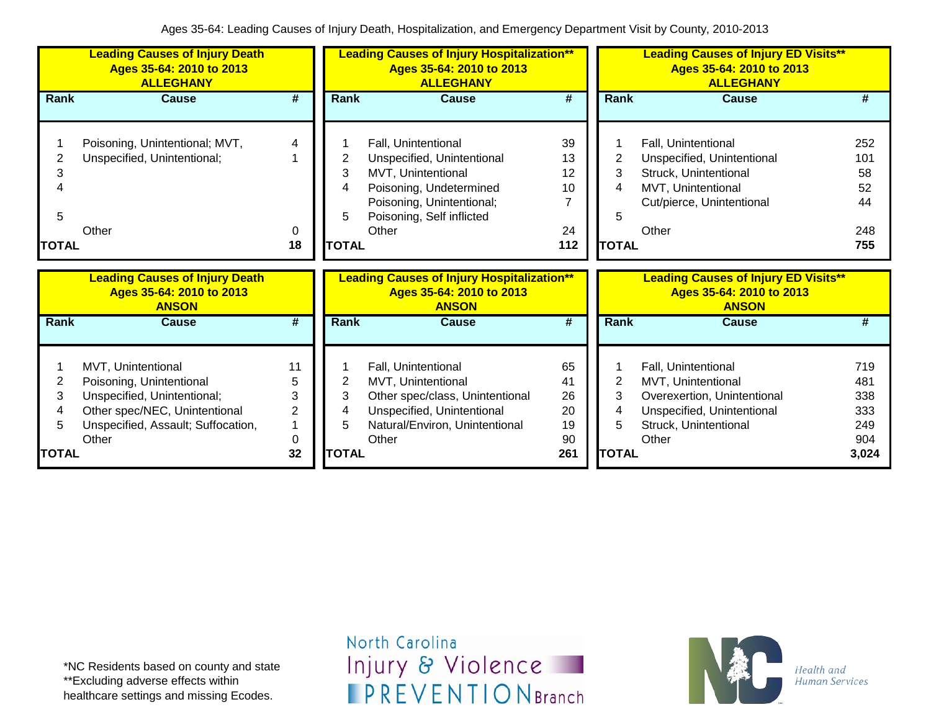|                | <b>Leading Causes of Injury Death</b><br>Ages 35-64: 2010 to 2013<br><b>ALLEGHANY</b> |                |              | <b>Leading Causes of Injury Hospitalization**</b><br>Ages 35-64: 2010 to 2013<br><b>ALLEGHANY</b> |                             |                | <b>Leading Causes of Injury ED Visits**</b><br>Ages 35-64: 2010 to 2013<br><b>ALLEGHANY</b> |     |
|----------------|---------------------------------------------------------------------------------------|----------------|--------------|---------------------------------------------------------------------------------------------------|-----------------------------|----------------|---------------------------------------------------------------------------------------------|-----|
| Rank           | <b>Cause</b>                                                                          | #              | <b>Rank</b>  | <b>Cause</b>                                                                                      | $\overline{\boldsymbol{r}}$ | Rank           | <b>Cause</b>                                                                                | #   |
|                |                                                                                       |                |              |                                                                                                   |                             |                |                                                                                             |     |
|                | Poisoning, Unintentional; MVT,                                                        | 4              |              | Fall, Unintentional                                                                               | 39                          |                | Fall, Unintentional                                                                         | 252 |
| $\overline{2}$ | Unspecified, Unintentional;                                                           |                | 2            | Unspecified, Unintentional                                                                        | 13                          | 2              | Unspecified, Unintentional                                                                  | 101 |
| 3              |                                                                                       |                | 3            | MVT, Unintentional                                                                                | 12                          | 3              | Struck, Unintentional                                                                       | 58  |
| 4              |                                                                                       |                |              | Poisoning, Undetermined                                                                           | 10                          | 4              | MVT, Unintentional                                                                          | 52  |
|                |                                                                                       |                |              | Poisoning, Unintentional;                                                                         | 7                           |                | Cut/pierce, Unintentional                                                                   | 44  |
| 5              |                                                                                       |                | 5            | Poisoning, Self inflicted                                                                         |                             | 5              |                                                                                             |     |
|                | Other                                                                                 | 0              |              | Other                                                                                             | 24                          |                | Other                                                                                       | 248 |
|                |                                                                                       |                |              |                                                                                                   |                             |                |                                                                                             |     |
| <b>TOTAL</b>   |                                                                                       | 18             | <b>TOTAL</b> |                                                                                                   | 112                         | <b>TOTAL</b>   |                                                                                             | 755 |
|                |                                                                                       |                |              |                                                                                                   |                             |                |                                                                                             |     |
|                | <b>Leading Causes of Injury Death</b>                                                 |                |              | <b>Leading Causes of Injury Hospitalization**</b>                                                 |                             |                | <b>Leading Causes of Injury ED Visits**</b>                                                 |     |
|                | Ages 35-64: 2010 to 2013<br><b>ANSON</b>                                              |                |              | Ages 35-64: 2010 to 2013<br><b>ANSON</b>                                                          |                             |                | Ages 35-64: 2010 to 2013<br><b>ANSON</b>                                                    |     |
| Rank           | <b>Cause</b>                                                                          | #              | Rank         | <b>Cause</b>                                                                                      | $\overline{\#}$             | Rank           | Cause                                                                                       | #   |
|                |                                                                                       |                |              |                                                                                                   |                             |                |                                                                                             |     |
|                | MVT, Unintentional                                                                    | 11             |              | Fall, Unintentional                                                                               | 65                          |                | Fall, Unintentional                                                                         | 719 |
| 2              |                                                                                       | 5              | 2            | MVT, Unintentional                                                                                | 41                          | $\overline{2}$ | MVT, Unintentional                                                                          | 481 |
| 3              | Poisoning, Unintentional<br>Unspecified, Unintentional;                               | 3              | 3            | Other spec/class, Unintentional                                                                   | 26                          | 3              | Overexertion, Unintentional                                                                 | 338 |
| 4              | Other spec/NEC, Unintentional                                                         | $\overline{2}$ |              | Unspecified, Unintentional                                                                        | 20                          | 4              | Unspecified, Unintentional                                                                  | 333 |
| 5              | Unspecified, Assault; Suffocation,                                                    | 1              | 5            | Natural/Environ, Unintentional                                                                    | 19                          | 5              | Struck, Unintentional                                                                       | 249 |
|                | Other                                                                                 | 0              |              | Other                                                                                             | 90                          |                | Other                                                                                       | 904 |

\*NC Residents based on county and state \*\*Excluding adverse effects within healthcare settings and missing Ecodes.

North Carolina Injury & Violence **IPREVENTIONBranch** 

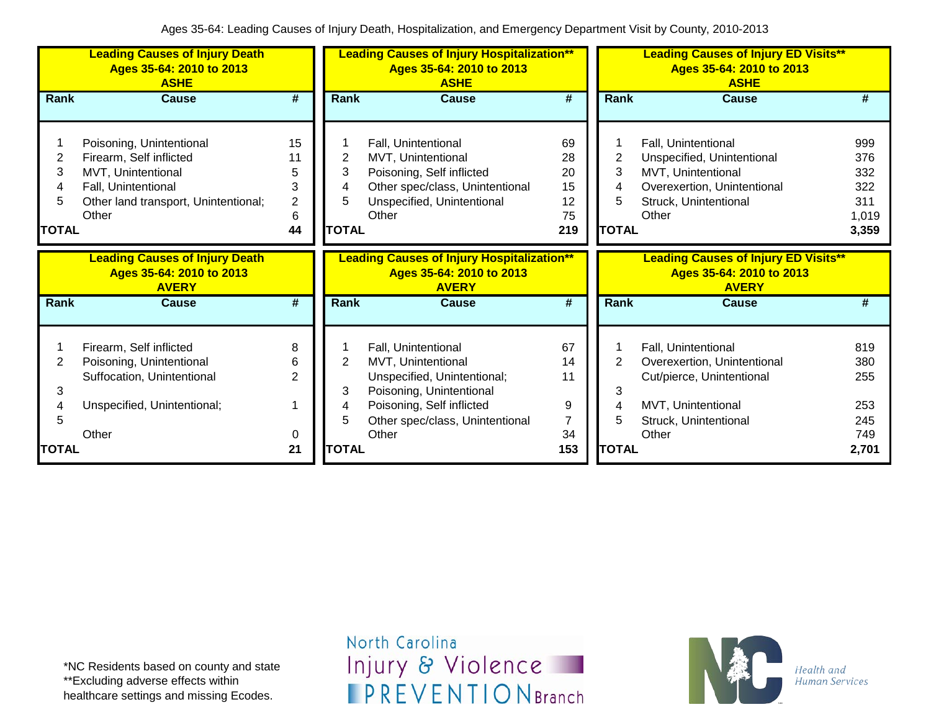|                   | <b>Leading Causes of Injury Death</b><br>Ages 35-64: 2010 to 2013<br><b>ASHE</b><br><b>Cause</b><br>Poisoning, Unintentional<br>Firearm, Self inflicted<br>2<br>MVT, Unintentional<br>3<br>Fall, Unintentional<br>4<br>5<br>Other land transport, Unintentional;<br>Other |                                                 |                                  | <b>Leading Causes of Injury Hospitalization**</b><br>Ages 35-64: 2010 to 2013<br><b>ASHE</b>                                                     |                                         |                                  | <b>Leading Causes of Injury ED Visits**</b><br>Ages 35-64: 2010 to 2013<br><b>ASHE</b>                                                   |                                                   |
|-------------------|---------------------------------------------------------------------------------------------------------------------------------------------------------------------------------------------------------------------------------------------------------------------------|-------------------------------------------------|----------------------------------|--------------------------------------------------------------------------------------------------------------------------------------------------|-----------------------------------------|----------------------------------|------------------------------------------------------------------------------------------------------------------------------------------|---------------------------------------------------|
| Rank              |                                                                                                                                                                                                                                                                           | #                                               | <b>Rank</b>                      | <b>Cause</b>                                                                                                                                     | $\overline{\boldsymbol{t}}$             | <b>Rank</b>                      | <b>Cause</b>                                                                                                                             | #                                                 |
| <b>TOTAL</b>      |                                                                                                                                                                                                                                                                           | 15<br>11<br>5<br>3<br>$\overline{2}$<br>6<br>44 | 2<br>3<br>4<br>5<br><b>TOTAL</b> | Fall, Unintentional<br>MVT, Unintentional<br>Poisoning, Self inflicted<br>Other spec/class, Unintentional<br>Unspecified, Unintentional<br>Other | 69<br>28<br>20<br>15<br>12<br>75<br>219 | 2<br>3<br>4<br>5<br><b>TOTAL</b> | Fall, Unintentional<br>Unspecified, Unintentional<br>MVT, Unintentional<br>Overexertion, Unintentional<br>Struck, Unintentional<br>Other | 999<br>376<br>332<br>322<br>311<br>1,019<br>3,359 |
|                   | <b>Leading Causes of Injury Death</b><br>Ages 35-64: 2010 to 2013<br><b>AVERY</b>                                                                                                                                                                                         |                                                 |                                  | <b>Leading Causes of Injury Hospitalization**</b><br>Ages 35-64: 2010 to 2013<br><b>AVERY</b>                                                    |                                         |                                  | <b>Leading Causes of Injury ED Visits**</b><br>Ages 35-64: 2010 to 2013<br><b>AVERY</b>                                                  |                                                   |
| <b>Rank</b>       | <b>Cause</b>                                                                                                                                                                                                                                                              | $\overline{\boldsymbol{t}}$                     | <b>Rank</b>                      | <b>Cause</b>                                                                                                                                     | $\overline{\boldsymbol{t}}$             | Rank                             | <b>Cause</b>                                                                                                                             | #                                                 |
| 2<br>3            | Firearm, Self inflicted<br>Poisoning, Unintentional<br>Suffocation, Unintentional                                                                                                                                                                                         | 8<br>6<br>$\overline{2}$                        | 2<br>3                           | Fall, Unintentional<br>MVT, Unintentional<br>Unspecified, Unintentional;<br>Poisoning, Unintentional                                             | 67<br>14<br>11                          | 2<br>3                           | Fall, Unintentional<br>Overexertion, Unintentional<br>Cut/pierce, Unintentional                                                          | 819<br>380<br>255                                 |
| 4<br><b>TOTAL</b> | Unspecified, Unintentional;<br>Other                                                                                                                                                                                                                                      | 0<br>21                                         | 4<br>5<br><b>TOTAL</b>           | Poisoning, Self inflicted<br>Other spec/class, Unintentional<br>Other                                                                            | 9<br>7<br>34<br>153                     | 4<br>5<br><b>TOTAL</b>           | MVT, Unintentional<br>Struck, Unintentional<br>Other                                                                                     | 253<br>245<br>749<br>2,701                        |

\*NC Residents based on county and state \*\*Excluding adverse effects within healthcare settings and missing Ecodes.

North Carolina Injury & Violence **IPREVENTIONBranch** 

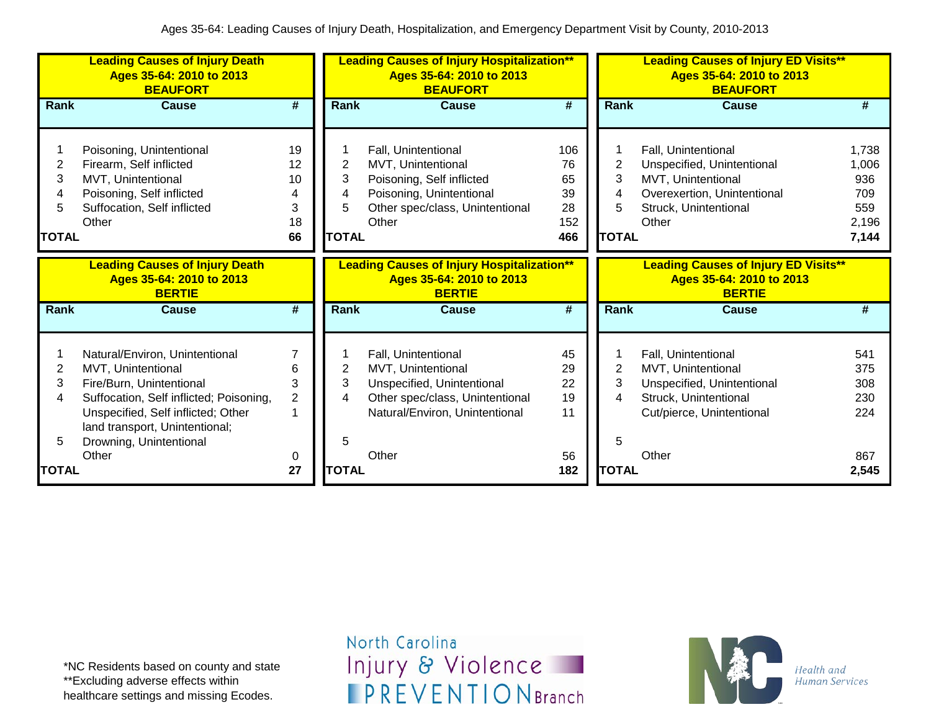|                                  | <b>Leading Causes of Injury Death</b><br>Ages 35-64: 2010 to 2013<br><b>BEAUFORT</b>                                                                                                                                           |                                               |                                  | <b>Leading Causes of Injury Hospitalization**</b><br>Ages 35-64: 2010 to 2013<br><b>BEAUFORT</b>                                               |                                           |                                  | <b>Leading Causes of Injury ED Visits**</b><br>Ages 35-64: 2010 to 2013<br><b>BEAUFORT</b>                                               |                                                       |
|----------------------------------|--------------------------------------------------------------------------------------------------------------------------------------------------------------------------------------------------------------------------------|-----------------------------------------------|----------------------------------|------------------------------------------------------------------------------------------------------------------------------------------------|-------------------------------------------|----------------------------------|------------------------------------------------------------------------------------------------------------------------------------------|-------------------------------------------------------|
| Rank                             | <b>Cause</b>                                                                                                                                                                                                                   | #                                             | Rank                             | <b>Cause</b>                                                                                                                                   | $\overline{\boldsymbol{t}}$               | Rank                             | <b>Cause</b>                                                                                                                             | #                                                     |
| 2<br>3<br>4<br>5<br><b>TOTAL</b> | Poisoning, Unintentional<br>Firearm, Self inflicted<br>MVT, Unintentional<br>Poisoning, Self inflicted<br>Suffocation, Self inflicted<br>Other                                                                                 | 19<br>12<br>10<br>4<br>3<br>18<br>66          | 2<br>3<br>4<br>5<br><b>TOTAL</b> | Fall, Unintentional<br>MVT, Unintentional<br>Poisoning, Self inflicted<br>Poisoning, Unintentional<br>Other spec/class, Unintentional<br>Other | 106<br>76<br>65<br>39<br>28<br>152<br>466 | 2<br>3<br>4<br>5<br><b>TOTAL</b> | Fall, Unintentional<br>Unspecified, Unintentional<br>MVT, Unintentional<br>Overexertion, Unintentional<br>Struck, Unintentional<br>Other | 1,738<br>1,006<br>936<br>709<br>559<br>2,196<br>7,144 |
|                                  | <b>Leading Causes of Injury Death</b><br>Ages 35-64: 2010 to 2013<br><b>BERTIE</b>                                                                                                                                             |                                               |                                  | <b>Leading Causes of Injury Hospitalization**</b><br>Ages 35-64: 2010 to 2013<br><b>BERTIE</b>                                                 |                                           |                                  | <b>Leading Causes of Injury ED Visits**</b><br>Ages 35-64: 2010 to 2013<br><b>BERTIE</b>                                                 |                                                       |
| Rank                             | <b>Cause</b>                                                                                                                                                                                                                   | #                                             | Rank                             | <b>Cause</b>                                                                                                                                   | #                                         | <b>Rank</b>                      | <b>Cause</b>                                                                                                                             | #                                                     |
| 2<br>3<br>4<br>5                 | Natural/Environ, Unintentional<br>MVT, Unintentional<br>Fire/Burn, Unintentional<br>Suffocation, Self inflicted; Poisoning,<br>Unspecified, Self inflicted; Other<br>land transport, Unintentional;<br>Drowning, Unintentional | 7<br>6<br>3<br>$\overline{c}$<br>$\mathbf{1}$ | 2<br>3<br>4<br>5                 | Fall, Unintentional<br>MVT, Unintentional<br>Unspecified, Unintentional<br>Other spec/class, Unintentional<br>Natural/Environ, Unintentional   | 45<br>29<br>22<br>19<br>11                | 2<br>3<br>4<br>5                 | Fall, Unintentional<br>MVT, Unintentional<br>Unspecified, Unintentional<br>Struck, Unintentional<br>Cut/pierce, Unintentional            | 541<br>375<br>308<br>230<br>224                       |
| <b>TOTAL</b>                     | Other                                                                                                                                                                                                                          | 0<br>27                                       | <b>TOTAL</b>                     | Other                                                                                                                                          | 56<br>182                                 | <b>TOTAL</b>                     | Other                                                                                                                                    | 867<br>2,545                                          |

\*NC Residents based on county and state \*\*Excluding adverse effects within healthcare settings and missing Ecodes.

North Carolina Injury & Violence **IPREVENTIONBranch** 

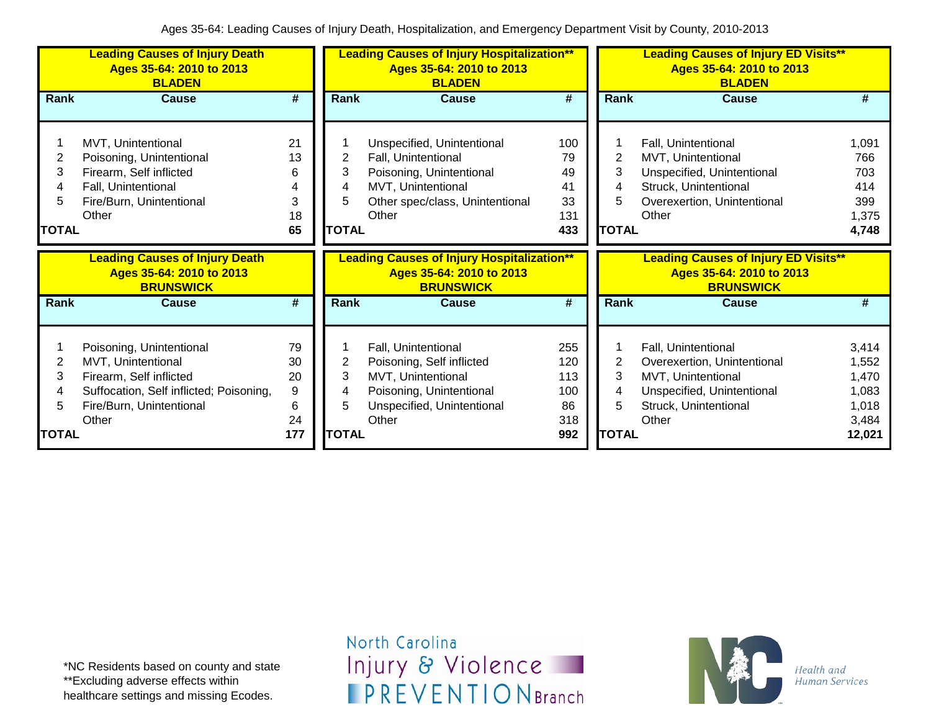|                             | <b>Leading Causes of Injury Death</b><br>Ages 35-64: 2010 to 2013<br><b>BLADEN</b>                                                                        |                                       |                                          | <b>Leading Causes of Injury Hospitalization**</b><br>Ages 35-64: 2010 to 2013<br><b>BLADEN</b>                                                  |                                              |                                               | <b>Leading Causes of Injury ED Visits**</b><br>Ages 35-64: 2010 to 2013<br><b>BLADEN</b>                                                 |                                                              |
|-----------------------------|-----------------------------------------------------------------------------------------------------------------------------------------------------------|---------------------------------------|------------------------------------------|-------------------------------------------------------------------------------------------------------------------------------------------------|----------------------------------------------|-----------------------------------------------|------------------------------------------------------------------------------------------------------------------------------------------|--------------------------------------------------------------|
| Rank                        | <b>Cause</b>                                                                                                                                              | #                                     | Rank                                     | <b>Cause</b>                                                                                                                                    | $\overline{\boldsymbol{t}}$                  | Rank                                          | <b>Cause</b>                                                                                                                             | #                                                            |
| 2<br>3<br><b>TOTAL</b>      | MVT, Unintentional<br>Poisoning, Unintentional<br>Firearm, Self inflicted<br>Fall, Unintentional<br>Fire/Burn, Unintentional<br>Other                     | 21<br>13<br>6<br>4<br>3<br>18<br>65   | 2<br>3<br><b>TOTAL</b>                   | Unspecified, Unintentional<br>Fall, Unintentional<br>Poisoning, Unintentional<br>MVT, Unintentional<br>Other spec/class, Unintentional<br>Other | 100<br>79<br>49<br>41<br>33<br>131<br>433    | $\overline{c}$<br>3<br>4<br>5<br><b>TOTAL</b> | Fall, Unintentional<br>MVT, Unintentional<br>Unspecified, Unintentional<br>Struck, Unintentional<br>Overexertion, Unintentional<br>Other | 1,091<br>766<br>703<br>414<br>399<br>1,375<br>4,748          |
|                             |                                                                                                                                                           |                                       |                                          |                                                                                                                                                 |                                              |                                               |                                                                                                                                          |                                                              |
|                             | <b>Leading Causes of Injury Death</b><br>Ages 35-64: 2010 to 2013<br><b>BRUNSWICK</b>                                                                     |                                       |                                          | <b>Leading Causes of Injury Hospitalization**</b><br>Ages 35-64: 2010 to 2013<br><b>BRUNSWICK</b>                                               |                                              |                                               | <b>Leading Causes of Injury ED Visits**</b><br>Ages 35-64: 2010 to 2013<br><b>BRUNSWICK</b>                                              |                                                              |
| Rank                        | <b>Cause</b>                                                                                                                                              | $\overline{\boldsymbol{t}}$           | <b>Rank</b>                              | <b>Cause</b>                                                                                                                                    | $\overline{\#}$                              | Rank                                          | <b>Cause</b>                                                                                                                             | #                                                            |
| 2<br>3<br>4<br><b>TOTAL</b> | Poisoning, Unintentional<br>MVT, Unintentional<br>Firearm, Self inflicted<br>Suffocation, Self inflicted; Poisoning,<br>Fire/Burn, Unintentional<br>Other | 79<br>30<br>20<br>9<br>6<br>24<br>177 | $\overline{2}$<br>3<br>4<br><b>TOTAL</b> | Fall, Unintentional<br>Poisoning, Self inflicted<br>MVT, Unintentional<br>Poisoning, Unintentional<br>Unspecified, Unintentional<br>Other       | 255<br>120<br>113<br>100<br>86<br>318<br>992 | 2<br>3<br>4<br>5<br><b>TOTAL</b>              | Fall, Unintentional<br>Overexertion, Unintentional<br>MVT, Unintentional<br>Unspecified, Unintentional<br>Struck, Unintentional<br>Other | 3,414<br>1,552<br>1,470<br>1,083<br>1,018<br>3,484<br>12,021 |

\*NC Residents based on county and state \*\*Excluding adverse effects within healthcare settings and missing Ecodes.

North Carolina Injury & Violence **IPREVENTIONBranch** 

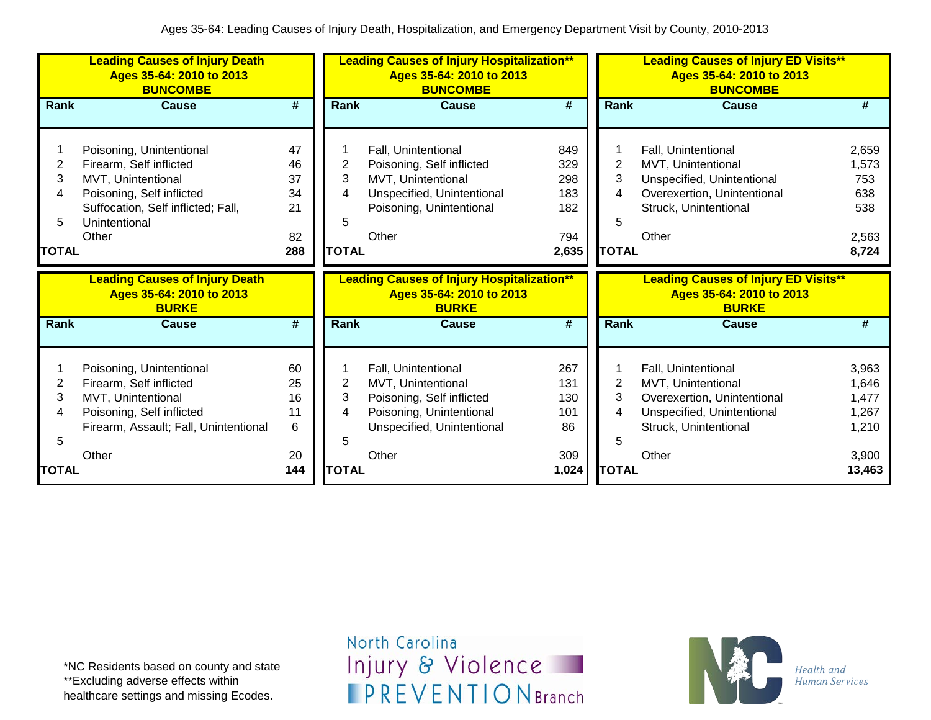|                                        | <b>Leading Causes of Injury Death</b><br>Ages 35-64: 2010 to 2013<br><b>BUNCOMBE</b>                                                                                   |                                              |                                  | <b>Leading Causes of Injury Hospitalization**</b><br>Ages 35-64: 2010 to 2013<br><b>BUNCOMBE</b>                                          |                                                 |                                               | <b>Leading Causes of Injury ED Visits**</b><br>Ages 35-64: 2010 to 2013<br><b>BUNCOMBE</b>                                               |                                                       |
|----------------------------------------|------------------------------------------------------------------------------------------------------------------------------------------------------------------------|----------------------------------------------|----------------------------------|-------------------------------------------------------------------------------------------------------------------------------------------|-------------------------------------------------|-----------------------------------------------|------------------------------------------------------------------------------------------------------------------------------------------|-------------------------------------------------------|
| Rank                                   | <b>Cause</b>                                                                                                                                                           | #                                            | <b>Rank</b>                      | <b>Cause</b>                                                                                                                              | #                                               | Rank                                          | Cause                                                                                                                                    | #                                                     |
| $\overline{2}$<br>3<br>4<br>5<br>TOTAL | Poisoning, Unintentional<br>Firearm, Self inflicted<br>MVT, Unintentional<br>Poisoning, Self inflicted<br>Suffocation, Self inflicted; Fall,<br>Unintentional<br>Other | 47<br>46<br>37<br>34<br>21<br>82<br>288      | 2<br>3<br>4<br>5<br><b>TOTAL</b> | Fall, Unintentional<br>Poisoning, Self inflicted<br>MVT, Unintentional<br>Unspecified, Unintentional<br>Poisoning, Unintentional<br>Other | 849<br>329<br>298<br>183<br>182<br>794<br>2,635 | $\overline{2}$<br>3<br>4<br>5<br><b>TOTAL</b> | Fall, Unintentional<br>MVT, Unintentional<br>Unspecified, Unintentional<br>Overexertion, Unintentional<br>Struck, Unintentional<br>Other | 2,659<br>1,573<br>753<br>638<br>538<br>2,563<br>8,724 |
|                                        | <b>Leading Causes of Injury Death</b><br>Ages 35-64: 2010 to 2013<br><b>BURKE</b>                                                                                      |                                              |                                  | <b>Leading Causes of Injury Hospitalization**</b><br>Ages 35-64: 2010 to 2013<br><b>BURKE</b>                                             |                                                 |                                               | <b>Leading Causes of Injury ED Visits**</b><br>Ages 35-64: 2010 to 2013<br><b>BURKE</b>                                                  |                                                       |
| <b>Rank</b>                            | <b>Cause</b>                                                                                                                                                           | #                                            | <b>Rank</b>                      | <b>Cause</b>                                                                                                                              | $\overline{\#}$                                 | Rank                                          | <b>Cause</b>                                                                                                                             | #                                                     |
|                                        | Poisoning, Unintentional                                                                                                                                               |                                              |                                  |                                                                                                                                           |                                                 |                                               |                                                                                                                                          |                                                       |
| $\overline{2}$<br>3<br>4<br>5          | Firearm, Self inflicted<br>MVT, Unintentional<br>Poisoning, Self inflicted<br>Firearm, Assault; Fall, Unintentional<br>Other                                           | 60<br>25<br>16<br>11<br>$6\phantom{1}$<br>20 | $\overline{2}$<br>3<br>4<br>5    | Fall, Unintentional<br>MVT, Unintentional<br>Poisoning, Self inflicted<br>Poisoning, Unintentional<br>Unspecified, Unintentional<br>Other | 267<br>131<br>130<br>101<br>86<br>309           | $\overline{2}$<br>3<br>4<br>5                 | Fall, Unintentional<br>MVT, Unintentional<br>Overexertion, Unintentional<br>Unspecified, Unintentional<br>Struck, Unintentional<br>Other | 3,963<br>1,646<br>1,477<br>1,267<br>1,210<br>3,900    |

\*NC Residents based on county and state \*\*Excluding adverse effects within healthcare settings and missing Ecodes.

North Carolina Injury & Violence **IPREVENTIONBranch** 

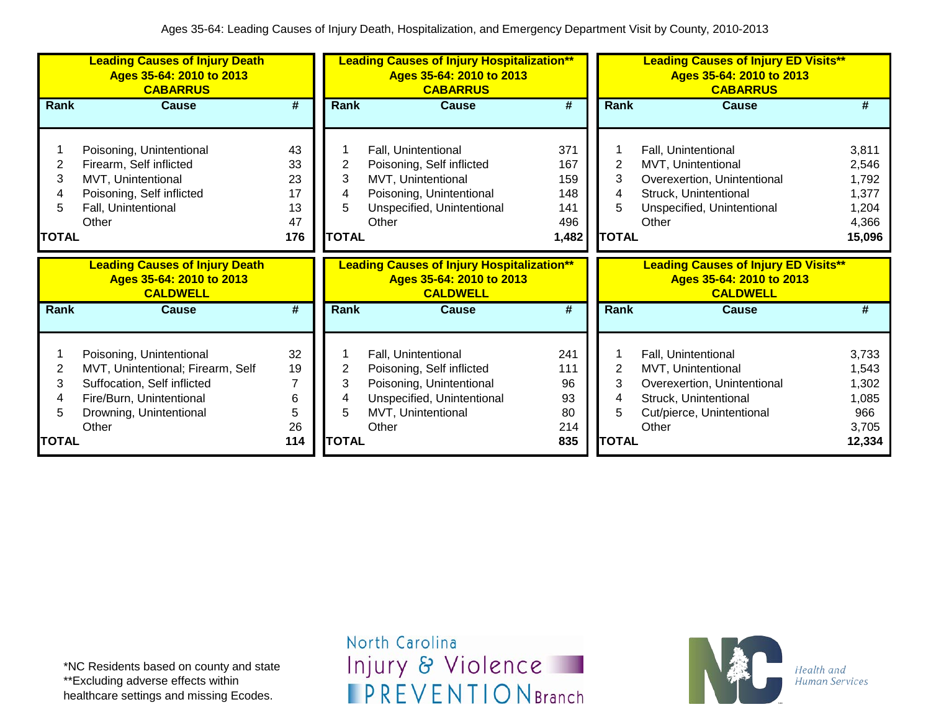|                             | <b>Leading Causes of Injury Death</b><br>Ages 35-64: 2010 to 2013<br><b>CABARRUS</b>                                                                         |                                                   |                                  | <b>Leading Causes of Injury Hospitalization**</b><br>Ages 35-64: 2010 to 2013<br><b>CABARRUS</b>                                          |                                                 |                                  | <b>Leading Causes of Injury ED Visits**</b><br>Ages 35-64: 2010 to 2013<br><b>CABARRUS</b>                                               |                                                              |
|-----------------------------|--------------------------------------------------------------------------------------------------------------------------------------------------------------|---------------------------------------------------|----------------------------------|-------------------------------------------------------------------------------------------------------------------------------------------|-------------------------------------------------|----------------------------------|------------------------------------------------------------------------------------------------------------------------------------------|--------------------------------------------------------------|
| Rank                        | <b>Cause</b>                                                                                                                                                 | #                                                 | Rank                             | <b>Cause</b>                                                                                                                              | #                                               | Rank                             | <b>Cause</b>                                                                                                                             | #                                                            |
| 2<br>3<br>5<br><b>TOTAL</b> | Poisoning, Unintentional<br>Firearm, Self inflicted<br>MVT, Unintentional<br>Poisoning, Self inflicted<br>Fall, Unintentional<br>Other                       | 43<br>33<br>23<br>17<br>13<br>47<br>176           | 2<br>3<br>4<br>5<br><b>TOTAL</b> | Fall, Unintentional<br>Poisoning, Self inflicted<br>MVT, Unintentional<br>Poisoning, Unintentional<br>Unspecified, Unintentional<br>Other | 371<br>167<br>159<br>148<br>141<br>496<br>1,482 | 2<br>3<br>4<br><b>TOTAL</b>      | Fall, Unintentional<br>MVT, Unintentional<br>Overexertion, Unintentional<br>Struck, Unintentional<br>Unspecified, Unintentional<br>Other | 3,811<br>2,546<br>1,792<br>1,377<br>1,204<br>4,366<br>15,096 |
|                             |                                                                                                                                                              |                                                   |                                  |                                                                                                                                           |                                                 |                                  |                                                                                                                                          |                                                              |
|                             | <b>Leading Causes of Injury Death</b><br>Ages 35-64: 2010 to 2013<br><b>CALDWELL</b>                                                                         |                                                   |                                  | <b>Leading Causes of Injury Hospitalization**</b><br>Ages 35-64: 2010 to 2013<br><b>CALDWELL</b>                                          |                                                 |                                  | <b>Leading Causes of Injury ED Visits**</b><br>Ages 35-64: 2010 to 2013<br><b>CALDWELL</b>                                               |                                                              |
| Rank                        | <b>Cause</b>                                                                                                                                                 | #                                                 | Rank                             | <b>Cause</b>                                                                                                                              | #                                               | Rank                             | <b>Cause</b>                                                                                                                             | #                                                            |
| 2<br>3<br>5<br><b>TOTAL</b> | Poisoning, Unintentional<br>MVT, Unintentional; Firearm, Self<br>Suffocation, Self inflicted<br>Fire/Burn, Unintentional<br>Drowning, Unintentional<br>Other | 32<br>19<br>$\overline{7}$<br>6<br>5<br>26<br>114 | 2<br>3<br>5<br><b>TOTAL</b>      | Fall, Unintentional<br>Poisoning, Self inflicted<br>Poisoning, Unintentional<br>Unspecified, Unintentional<br>MVT, Unintentional<br>Other | 241<br>111<br>96<br>93<br>80<br>214<br>835      | 2<br>3<br>4<br>5<br><b>TOTAL</b> | Fall, Unintentional<br>MVT, Unintentional<br>Overexertion, Unintentional<br>Struck, Unintentional<br>Cut/pierce, Unintentional<br>Other  | 3,733<br>1,543<br>1,302<br>1,085<br>966<br>3,705<br>12,334   |

\*NC Residents based on county and state \*\*Excluding adverse effects within healthcare settings and missing Ecodes.

North Carolina Injury & Violence **IPREVENTIONBranch** 

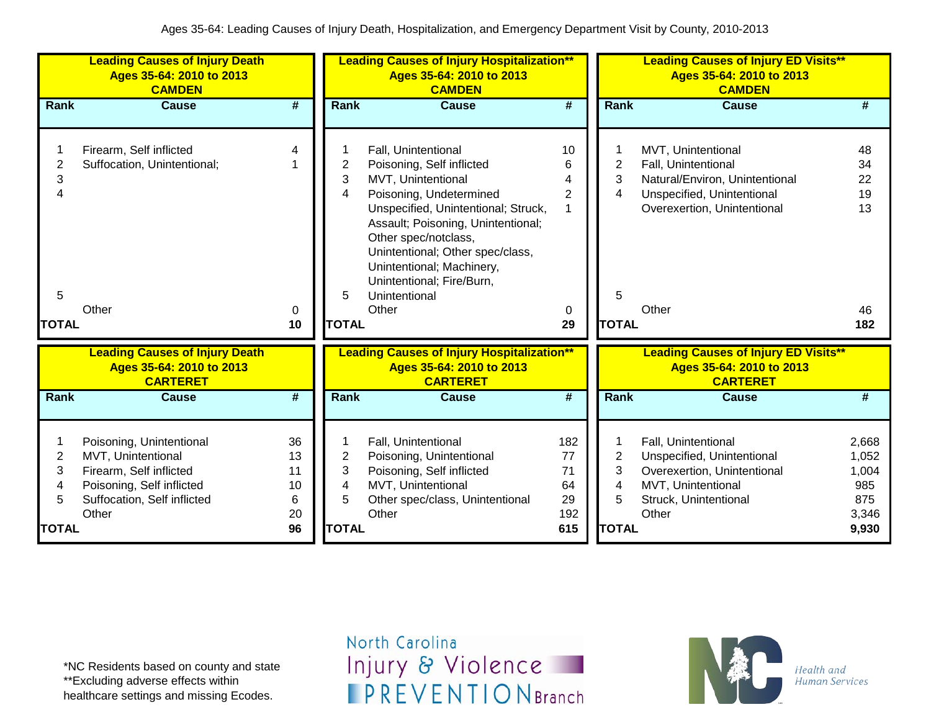|                     | <b>Leading Causes of Injury Death</b><br>Ages 35-64: 2010 to 2013<br><b>CAMDEN</b>   |                             |                | <b>Leading Causes of Injury Hospitalization**</b><br>Ages 35-64: 2010 to 2013<br><b>CAMDEN</b>                                                           |                             |                | <b>Leading Causes of Injury ED Visits**</b><br>Ages 35-64: 2010 to 2013<br><b>CAMDEN</b>   |                |
|---------------------|--------------------------------------------------------------------------------------|-----------------------------|----------------|----------------------------------------------------------------------------------------------------------------------------------------------------------|-----------------------------|----------------|--------------------------------------------------------------------------------------------|----------------|
| Rank                | <b>Cause</b>                                                                         | $\overline{\boldsymbol{t}}$ | Rank           | <b>Cause</b>                                                                                                                                             | $\overline{\boldsymbol{H}}$ | Rank           | <b>Cause</b>                                                                               | #              |
|                     |                                                                                      | 4                           |                |                                                                                                                                                          | 10                          |                |                                                                                            | 48             |
| $\overline{2}$      | Firearm, Self inflicted<br>Suffocation, Unintentional;                               |                             | $\overline{2}$ | Fall, Unintentional<br>Poisoning, Self inflicted                                                                                                         | 6                           | $\overline{2}$ | MVT, Unintentional<br>Fall, Unintentional                                                  | 34             |
| 3                   |                                                                                      |                             | 3              | MVT, Unintentional                                                                                                                                       |                             | 3              | Natural/Environ, Unintentional                                                             | 22             |
|                     |                                                                                      |                             | 4              | Poisoning, Undetermined                                                                                                                                  | $\overline{2}$              | 4              | Unspecified, Unintentional                                                                 | 19             |
|                     |                                                                                      |                             |                | Unspecified, Unintentional; Struck,                                                                                                                      |                             |                | Overexertion, Unintentional                                                                | 13             |
|                     |                                                                                      |                             |                | Assault; Poisoning, Unintentional;<br>Other spec/notclass,<br>Unintentional; Other spec/class,<br>Unintentional; Machinery,<br>Unintentional; Fire/Burn, |                             |                |                                                                                            |                |
| 5                   | Other                                                                                | 0                           | 5.             | Unintentional<br>Other                                                                                                                                   |                             | 5              | Other                                                                                      | 46             |
| <b>TOTAL</b>        |                                                                                      | 10                          | <b>TOTAL</b>   |                                                                                                                                                          | 0<br>29                     | <b>TOTAL</b>   |                                                                                            | 182            |
|                     | <b>Leading Causes of Injury Death</b><br>Ages 35-64: 2010 to 2013<br><b>CARTERET</b> |                             |                | <b>Leading Causes of Injury Hospitalization**</b><br>Ages 35-64: 2010 to 2013<br><b>CARTERET</b>                                                         |                             |                | <b>Leading Causes of Injury ED Visits**</b><br>Ages 35-64: 2010 to 2013<br><b>CARTERET</b> |                |
| <b>Rank</b>         | <b>Cause</b>                                                                         | #                           | Rank           | <b>Cause</b>                                                                                                                                             | $\overline{\boldsymbol{H}}$ | Rank           | <b>Cause</b>                                                                               | #              |
|                     |                                                                                      | 36                          |                |                                                                                                                                                          |                             |                |                                                                                            |                |
| 1<br>$\overline{2}$ | Poisoning, Unintentional<br>MVT, Unintentional                                       | 13                          | $\overline{2}$ | Fall, Unintentional<br>Poisoning, Unintentional                                                                                                          | 182<br>77                   | $\overline{2}$ | Fall, Unintentional<br>Unspecified, Unintentional                                          | 2,668<br>1,052 |
| 3                   | Firearm, Self inflicted                                                              | 11                          | 3              | Poisoning, Self inflicted                                                                                                                                | 71                          | 3              | Overexertion, Unintentional                                                                | 1,004          |
| 4                   | Poisoning, Self inflicted                                                            | 10                          | 4              | MVT, Unintentional                                                                                                                                       | 64                          | 4              | MVT, Unintentional                                                                         | 985            |
| 5                   | Suffocation, Self inflicted                                                          | 6                           | 5              | Other spec/class, Unintentional                                                                                                                          | 29                          | 5              | Struck, Unintentional                                                                      | 875            |
|                     | Other                                                                                | 20                          |                | Other                                                                                                                                                    | 192                         |                | Other                                                                                      | 3,346          |
| <b>TOTAL</b>        |                                                                                      | 96                          | <b>TOTAL</b>   |                                                                                                                                                          | 615                         | <b>TOTAL</b>   |                                                                                            | 9,930          |

\*NC Residents based on county and state \*\*Excluding adverse effects within healthcare settings and missing Ecodes.

North Carolina Injury & Violence **IPREVENTIONBranch** 

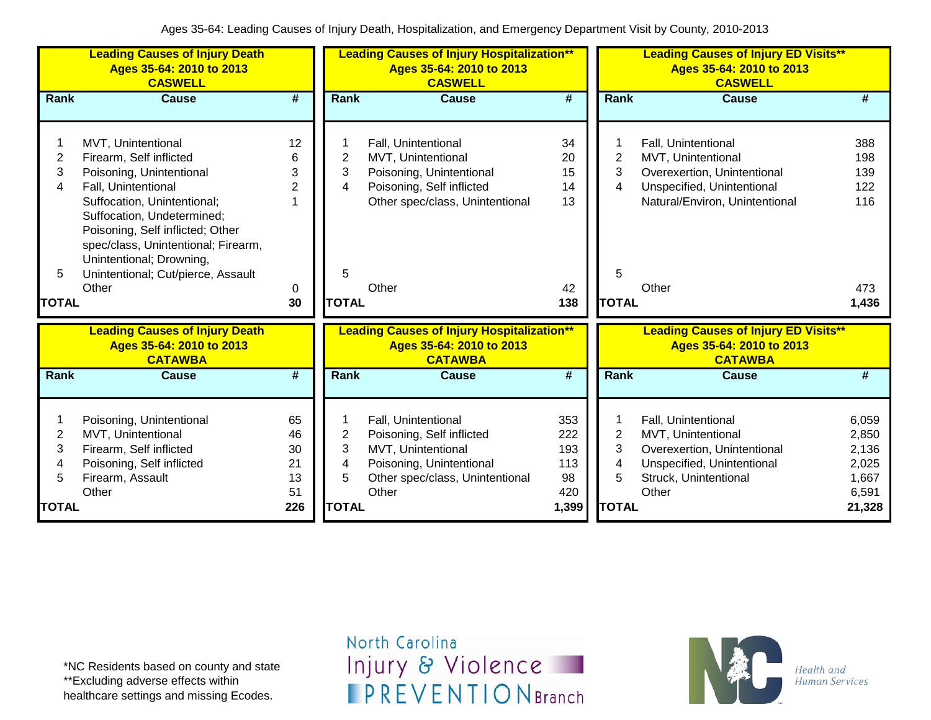|                | <b>Leading Causes of Injury Death</b><br>Ages 35-64: 2010 to 2013<br><b>CASWELL</b>                                                                              |                             |                         | <b>Leading Causes of Injury Hospitalization**</b><br>Ages 35-64: 2010 to 2013<br><b>CASWELL</b> |                             |                | <b>Leading Causes of Injury ED Visits**</b><br>Ages 35-64: 2010 to 2013<br><b>CASWELL</b> |        |
|----------------|------------------------------------------------------------------------------------------------------------------------------------------------------------------|-----------------------------|-------------------------|-------------------------------------------------------------------------------------------------|-----------------------------|----------------|-------------------------------------------------------------------------------------------|--------|
| Rank           | <b>Cause</b>                                                                                                                                                     | $\overline{\boldsymbol{t}}$ | Rank                    | <b>Cause</b>                                                                                    | $\overline{\boldsymbol{t}}$ | Rank           | <b>Cause</b>                                                                              | #      |
|                |                                                                                                                                                                  |                             |                         |                                                                                                 |                             |                |                                                                                           |        |
|                | MVT, Unintentional                                                                                                                                               | 12                          |                         | Fall, Unintentional                                                                             | 34                          |                | Fall, Unintentional                                                                       | 388    |
| $\overline{2}$ | Firearm, Self inflicted                                                                                                                                          | 6                           | 2                       | MVT, Unintentional                                                                              | 20                          | $\overline{2}$ | MVT, Unintentional                                                                        | 198    |
| 3              | Poisoning, Unintentional                                                                                                                                         | 3                           | 3                       | Poisoning, Unintentional                                                                        | 15                          | 3              | Overexertion, Unintentional                                                               | 139    |
| 4              | Fall, Unintentional                                                                                                                                              | 2                           | 4                       | Poisoning, Self inflicted                                                                       | 14                          | 4              | Unspecified, Unintentional                                                                | 122    |
|                | Suffocation, Unintentional;<br>Suffocation, Undetermined;<br>Poisoning, Self inflicted; Other<br>spec/class, Unintentional; Firearm,<br>Unintentional; Drowning, | 1                           |                         | Other spec/class, Unintentional                                                                 | 13                          |                | Natural/Environ, Unintentional                                                            | 116    |
| 5              | Unintentional; Cut/pierce, Assault                                                                                                                               |                             | 5                       |                                                                                                 |                             | 5              |                                                                                           |        |
|                | Other                                                                                                                                                            | 0                           |                         | Other                                                                                           | 42                          |                | Other                                                                                     | 473    |
| <b>TOTAL</b>   |                                                                                                                                                                  | 30                          | <b>TOTAL</b>            |                                                                                                 | 138                         | <b>TOTAL</b>   |                                                                                           | 1,436  |
|                | <b>Leading Causes of Injury Death</b><br>Ages 35-64: 2010 to 2013<br><b>CATAWBA</b>                                                                              |                             |                         | <b>Leading Causes of Injury Hospitalization**</b><br>Ages 35-64: 2010 to 2013<br><b>CATAWBA</b> |                             |                | <b>Leading Causes of Injury ED Visits**</b><br>Ages 35-64: 2010 to 2013<br><b>CATAWBA</b> |        |
| Rank           | <b>Cause</b>                                                                                                                                                     | #                           | Rank                    | <b>Cause</b>                                                                                    | #                           | Rank           | <b>Cause</b>                                                                              | #      |
|                | Poisoning, Unintentional                                                                                                                                         | 65                          |                         | Fall, Unintentional                                                                             | 353                         | 1              | Fall, Unintentional                                                                       | 6,059  |
| $\overline{2}$ | MVT, Unintentional                                                                                                                                               | 46                          | $\overline{\mathbf{c}}$ | Poisoning, Self inflicted                                                                       | 222                         | $\overline{2}$ | MVT, Unintentional                                                                        | 2,850  |
| 3              | Firearm, Self inflicted                                                                                                                                          | 30                          | 3                       | MVT, Unintentional                                                                              | 193                         | 3              | Overexertion, Unintentional                                                               | 2,136  |
| 4              | Poisoning, Self inflicted                                                                                                                                        | 21                          | 4                       | Poisoning, Unintentional                                                                        | 113                         | 4              | Unspecified, Unintentional                                                                | 2,025  |
| 5              | Firearm, Assault                                                                                                                                                 | 13                          | 5                       | Other spec/class, Unintentional                                                                 | 98                          | 5              | Struck, Unintentional                                                                     | 1,667  |
|                | Other                                                                                                                                                            | 51                          |                         | Other                                                                                           | 420                         |                | Other                                                                                     | 6,591  |
| <b>TOTAL</b>   |                                                                                                                                                                  | 226                         | <b>TOTAL</b>            |                                                                                                 | 1,399                       | <b>TOTAL</b>   |                                                                                           | 21,328 |

\*NC Residents based on county and state \*\*Excluding adverse effects within healthcare settings and missing Ecodes.

North Carolina Injury & Violence **IPREVENTIONBranch** 

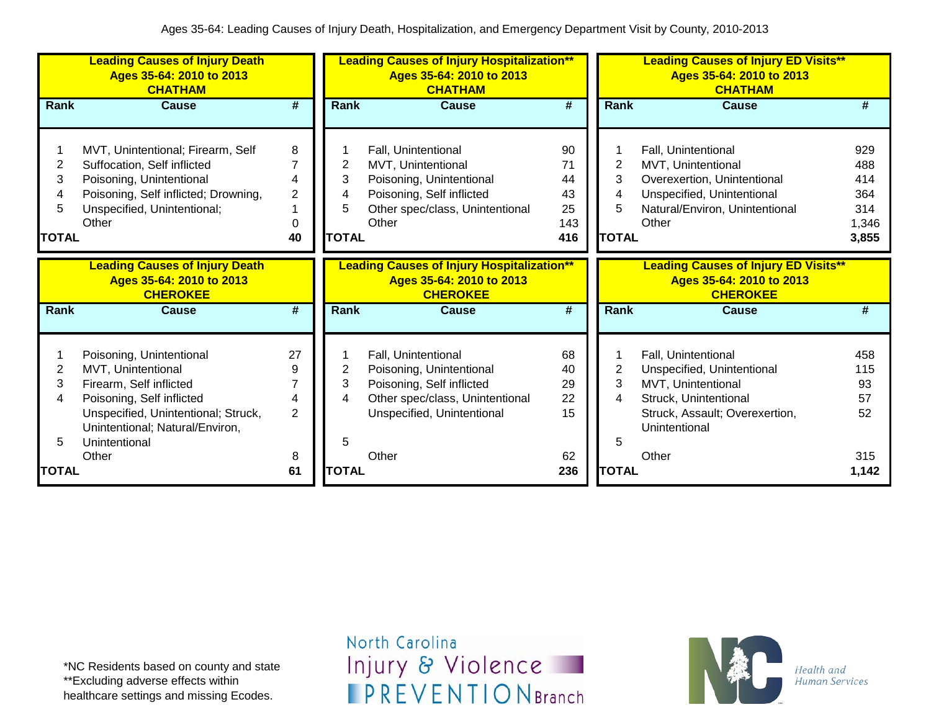|                                               | <b>Leading Causes of Injury Death</b><br>Ages 35-64: 2010 to 2013<br><b>CHATHAM</b>                                                                                                               |                                          |                        | <b>Leading Causes of Injury Hospitalization**</b><br>Ages 35-64: 2010 to 2013<br><b>CHATHAM</b>                                                |                                          | <b>Leading Causes of Injury ED Visits**</b><br>Ages 35-64: 2010 to 2013<br><b>CHATHAM</b> |                                                                                                                                                     |                                                   |
|-----------------------------------------------|---------------------------------------------------------------------------------------------------------------------------------------------------------------------------------------------------|------------------------------------------|------------------------|------------------------------------------------------------------------------------------------------------------------------------------------|------------------------------------------|-------------------------------------------------------------------------------------------|-----------------------------------------------------------------------------------------------------------------------------------------------------|---------------------------------------------------|
| <b>Rank</b>                                   | <b>Cause</b>                                                                                                                                                                                      | #                                        | <b>Rank</b>            | <b>Cause</b>                                                                                                                                   | $\overline{\boldsymbol{r}}$              | Rank                                                                                      | <b>Cause</b>                                                                                                                                        | #                                                 |
| $\overline{2}$<br>3<br>4<br>5<br><b>TOTAL</b> | MVT, Unintentional; Firearm, Self<br>Suffocation, Self inflicted<br>Poisoning, Unintentional<br>Poisoning, Self inflicted; Drowning,<br>Unspecified, Unintentional;<br>Other                      | 8<br>7<br>4<br>$\overline{c}$<br>0<br>40 | 2<br>3<br><b>TOTAL</b> | Fall, Unintentional<br>MVT, Unintentional<br>Poisoning, Unintentional<br>Poisoning, Self inflicted<br>Other spec/class, Unintentional<br>Other | 90<br>71<br>44<br>43<br>25<br>143<br>416 | 2<br>3<br>4<br>5<br><b>TOTAL</b>                                                          | Fall, Unintentional<br>MVT, Unintentional<br>Overexertion, Unintentional<br>Unspecified, Unintentional<br>Natural/Environ, Unintentional<br>Other   | 929<br>488<br>414<br>364<br>314<br>1,346<br>3,855 |
|                                               | <b>Leading Causes of Injury Death</b><br>Ages 35-64: 2010 to 2013<br><b>CHEROKEE</b>                                                                                                              |                                          |                        | <b>Leading Causes of Injury Hospitalization**</b><br>Ages 35-64: 2010 to 2013<br><b>CHEROKEE</b>                                               |                                          |                                                                                           | <b>Leading Causes of Injury ED Visits**</b><br>Ages 35-64: 2010 to 2013<br><b>CHEROKEE</b>                                                          |                                                   |
| Rank                                          | <b>Cause</b>                                                                                                                                                                                      | $\overline{\boldsymbol{t}}$              | <b>Rank</b>            | <b>Cause</b>                                                                                                                                   | $\overline{\boldsymbol{t}}$              | <b>Rank</b>                                                                               | <b>Cause</b>                                                                                                                                        | #                                                 |
| 2<br>3<br>4<br>5                              | Poisoning, Unintentional<br>MVT, Unintentional<br>Firearm, Self inflicted<br>Poisoning, Self inflicted<br>Unspecified, Unintentional; Struck,<br>Unintentional; Natural/Environ,<br>Unintentional | 27<br>9<br>7<br>4<br>$\overline{2}$      | 2<br>3<br>4<br>5       | Fall, Unintentional<br>Poisoning, Unintentional<br>Poisoning, Self inflicted<br>Other spec/class, Unintentional<br>Unspecified, Unintentional  | 68<br>40<br>29<br>22<br>15               | $\overline{2}$<br>3<br>4<br>5                                                             | Fall, Unintentional<br>Unspecified, Unintentional<br>MVT, Unintentional<br>Struck, Unintentional<br>Struck, Assault; Overexertion,<br>Unintentional | 458<br>115<br>93<br>57<br>52                      |
| <b>TOTAL</b>                                  | Other                                                                                                                                                                                             | 8<br>61                                  | <b>TOTAL</b>           | Other                                                                                                                                          | 62<br>236                                | <b>TOTAL</b>                                                                              | Other                                                                                                                                               | 315<br>1,142                                      |

\*NC Residents based on county and state \*\*Excluding adverse effects within healthcare settings and missing Ecodes.

North Carolina Injury & Violence **IPREVENTIONBranch** 

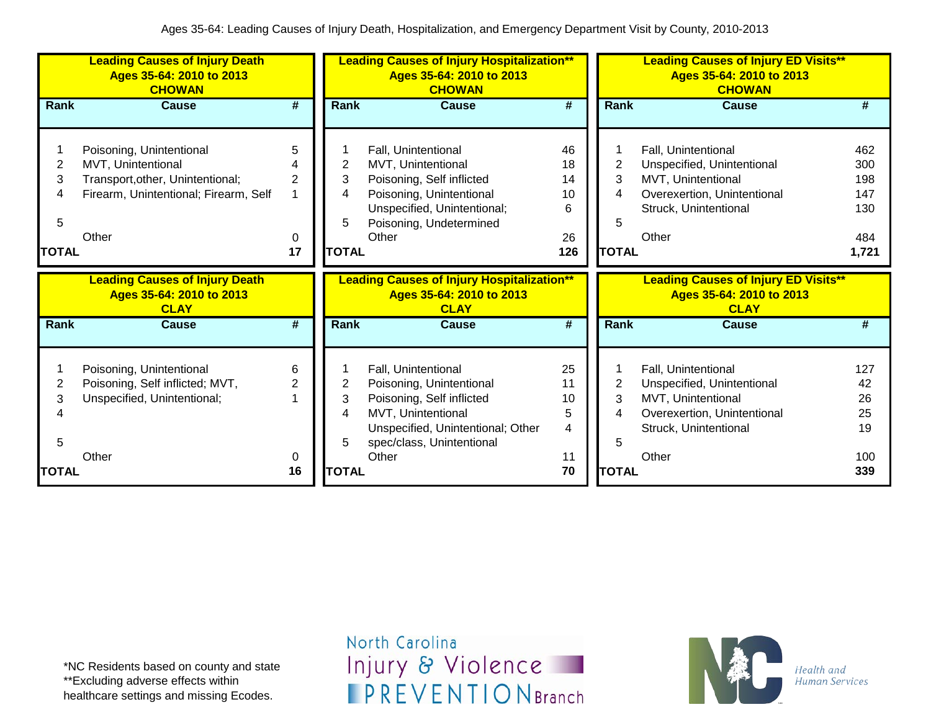|                | <b>Leading Causes of Injury Death</b><br>Ages 35-64: 2010 to 2013<br><b>CHOWAN</b> |                 | <b>Leading Causes of Injury Hospitalization**</b><br>Ages 35-64: 2010 to 2013<br><b>CHOWAN</b><br>Rank<br>#<br><b>Cause</b> |                                                                                               |                             | <b>Leading Causes of Injury ED Visits**</b><br>Ages 35-64: 2010 to 2013<br><b>CHOWAN</b> |                                                                                        |       |
|----------------|------------------------------------------------------------------------------------|-----------------|-----------------------------------------------------------------------------------------------------------------------------|-----------------------------------------------------------------------------------------------|-----------------------------|------------------------------------------------------------------------------------------|----------------------------------------------------------------------------------------|-------|
| Rank           | <b>Cause</b>                                                                       | #               |                                                                                                                             |                                                                                               |                             | Rank                                                                                     | <b>Cause</b>                                                                           | #     |
|                |                                                                                    |                 |                                                                                                                             |                                                                                               |                             |                                                                                          |                                                                                        |       |
|                | Poisoning, Unintentional                                                           | 5               |                                                                                                                             | Fall, Unintentional                                                                           | 46                          |                                                                                          | Fall, Unintentional                                                                    | 462   |
| $\overline{2}$ | MVT, Unintentional                                                                 |                 | 2                                                                                                                           | MVT, Unintentional                                                                            | 18                          | 2                                                                                        | Unspecified, Unintentional                                                             | 300   |
| 3              | Transport, other, Unintentional;                                                   | 2               | 3                                                                                                                           | Poisoning, Self inflicted                                                                     | 14                          | 3                                                                                        | MVT, Unintentional                                                                     | 198   |
| 4              | Firearm, Unintentional; Firearm, Self                                              |                 | 4                                                                                                                           | Poisoning, Unintentional                                                                      | 10                          | 4                                                                                        | Overexertion, Unintentional                                                            | 147   |
|                |                                                                                    |                 |                                                                                                                             | Unspecified, Unintentional;                                                                   | 6                           |                                                                                          | Struck, Unintentional                                                                  | 130   |
| 5              |                                                                                    |                 | 5                                                                                                                           | Poisoning, Undetermined                                                                       |                             | 5                                                                                        |                                                                                        |       |
|                | Other                                                                              | 0               |                                                                                                                             | Other                                                                                         | 26                          |                                                                                          | Other                                                                                  | 484   |
| <b>TOTAL</b>   |                                                                                    | 17              | <b>TOTAL</b>                                                                                                                |                                                                                               | 126                         | <b>TOTAL</b>                                                                             |                                                                                        | 1,721 |
|                |                                                                                    |                 |                                                                                                                             |                                                                                               |                             |                                                                                          |                                                                                        |       |
|                | <b>Leading Causes of Injury Death</b><br>Ages 35-64: 2010 to 2013<br><b>CLAY</b>   |                 |                                                                                                                             | <b>Leading Causes of Injury Hospitalization</b> **<br>Ages 35-64: 2010 to 2013<br><b>CLAY</b> |                             |                                                                                          | <b>Leading Causes of Injury ED Visits**</b><br>Ages 35-64: 2010 to 2013<br><b>CLAY</b> |       |
| Rank           | <b>Cause</b>                                                                       | $\overline{\#}$ | Rank                                                                                                                        | <b>Cause</b>                                                                                  | $\overline{\boldsymbol{t}}$ | <b>Rank</b>                                                                              | Cause                                                                                  | #     |
|                |                                                                                    |                 |                                                                                                                             |                                                                                               |                             |                                                                                          |                                                                                        |       |
|                | Poisoning, Unintentional                                                           | 6               |                                                                                                                             | Fall, Unintentional                                                                           | 25                          |                                                                                          | Fall, Unintentional                                                                    | 127   |
| 2              | Poisoning, Self inflicted; MVT,                                                    | 2               | 2                                                                                                                           | Poisoning, Unintentional                                                                      | 11                          | $\overline{2}$                                                                           | Unspecified, Unintentional                                                             | 42    |
| 3              | Unspecified, Unintentional;                                                        |                 | 3                                                                                                                           | Poisoning, Self inflicted                                                                     | 10                          | 3                                                                                        | MVT, Unintentional                                                                     | 26    |
|                |                                                                                    |                 | 4                                                                                                                           | MVT, Unintentional                                                                            | 5                           | 4                                                                                        | Overexertion, Unintentional                                                            | 25    |
|                |                                                                                    |                 |                                                                                                                             | Unspecified, Unintentional; Other                                                             | 4                           |                                                                                          | Struck, Unintentional                                                                  | 19    |
| 5              |                                                                                    |                 |                                                                                                                             | spec/class, Unintentional                                                                     |                             | 5                                                                                        |                                                                                        |       |
| <b>TOTAL</b>   | Other                                                                              | 0<br>16         | <b>TOTAL</b>                                                                                                                | Other                                                                                         | 11<br>70                    | <b>TOTAL</b>                                                                             | Other                                                                                  | 100   |

\*NC Residents based on county and state \*\*Excluding adverse effects within healthcare settings and missing Ecodes.

North Carolina Injury & Violence **IPREVENTIONBranch** 

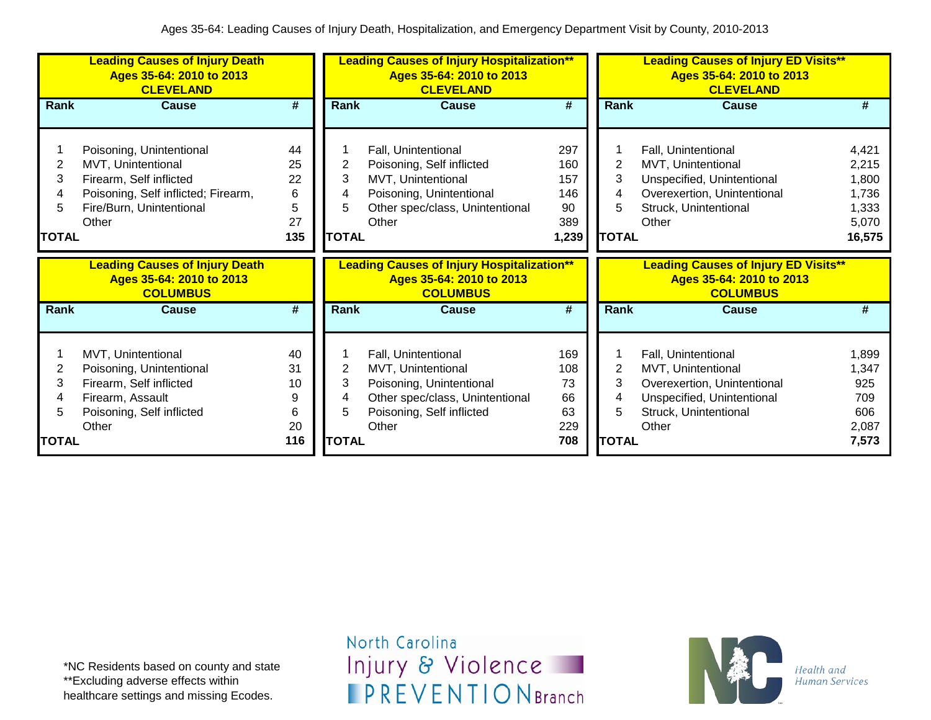|                             | <b>Leading Causes of Injury Death</b><br>Ages 35-64: 2010 to 2013<br><b>CLEVELAND</b>                                                                 |                                       |                                  | <b>Leading Causes of Injury Hospitalization**</b><br>Ages 35-64: 2010 to 2013<br><b>CLEVELAND</b>                                              |                                                |                             | <b>Leading Causes of Injury ED Visits**</b><br>Ages 35-64: 2010 to 2013<br><b>CLEVELAND</b>                                              |                                                              |
|-----------------------------|-------------------------------------------------------------------------------------------------------------------------------------------------------|---------------------------------------|----------------------------------|------------------------------------------------------------------------------------------------------------------------------------------------|------------------------------------------------|-----------------------------|------------------------------------------------------------------------------------------------------------------------------------------|--------------------------------------------------------------|
| Rank                        | Cause                                                                                                                                                 | #                                     | Rank                             | Cause                                                                                                                                          | #                                              | Rank                        | Cause                                                                                                                                    | #                                                            |
| 2<br>3<br>5<br><b>TOTAL</b> | Poisoning, Unintentional<br>MVT, Unintentional<br>Firearm, Self inflicted<br>Poisoning, Self inflicted; Firearm,<br>Fire/Burn, Unintentional<br>Other | 44<br>25<br>22<br>6<br>5<br>27<br>135 | 2<br>3<br>4<br>5<br><b>TOTAL</b> | Fall, Unintentional<br>Poisoning, Self inflicted<br>MVT, Unintentional<br>Poisoning, Unintentional<br>Other spec/class, Unintentional<br>Other | 297<br>160<br>157<br>146<br>90<br>389<br>1,239 | 2<br>3<br><b>TOTAL</b>      | Fall, Unintentional<br>MVT, Unintentional<br>Unspecified, Unintentional<br>Overexertion, Unintentional<br>Struck, Unintentional<br>Other | 4,421<br>2,215<br>1,800<br>1,736<br>1,333<br>5,070<br>16,575 |
|                             |                                                                                                                                                       |                                       |                                  |                                                                                                                                                |                                                |                             |                                                                                                                                          |                                                              |
|                             | <b>Leading Causes of Injury Death</b><br>Ages 35-64: 2010 to 2013<br><b>COLUMBUS</b>                                                                  |                                       |                                  | <b>Leading Causes of Injury Hospitalization**</b><br>Ages 35-64: 2010 to 2013<br><b>COLUMBUS</b>                                               |                                                |                             | <b>Leading Causes of Injury ED Visits**</b><br>Ages 35-64: 2010 to 2013<br><b>COLUMBUS</b>                                               |                                                              |
| Rank                        | <b>Cause</b>                                                                                                                                          | #                                     | Rank                             | <b>Cause</b>                                                                                                                                   | #                                              | Rank                        | <b>Cause</b>                                                                                                                             | #                                                            |
| 2<br>3<br>5<br><b>TOTAL</b> | MVT, Unintentional<br>Poisoning, Unintentional<br>Firearm, Self inflicted<br>Firearm, Assault<br>Poisoning, Self inflicted<br>Other                   | 40<br>31<br>10<br>9<br>6<br>20<br>116 | 2<br>3<br>5<br><b>TOTAL</b>      | Fall, Unintentional<br>MVT, Unintentional<br>Poisoning, Unintentional<br>Other spec/class, Unintentional<br>Poisoning, Self inflicted<br>Other | 169<br>108<br>73<br>66<br>63<br>229<br>708     | 2<br>3<br>5<br><b>TOTAL</b> | Fall, Unintentional<br>MVT, Unintentional<br>Overexertion, Unintentional<br>Unspecified, Unintentional<br>Struck, Unintentional<br>Other | 1,899<br>1,347<br>925<br>709<br>606<br>2,087<br>7,573        |

\*NC Residents based on county and state \*\*Excluding adverse effects within healthcare settings and missing Ecodes.

North Carolina Injury & Violence **IPREVENTIONBranch** 

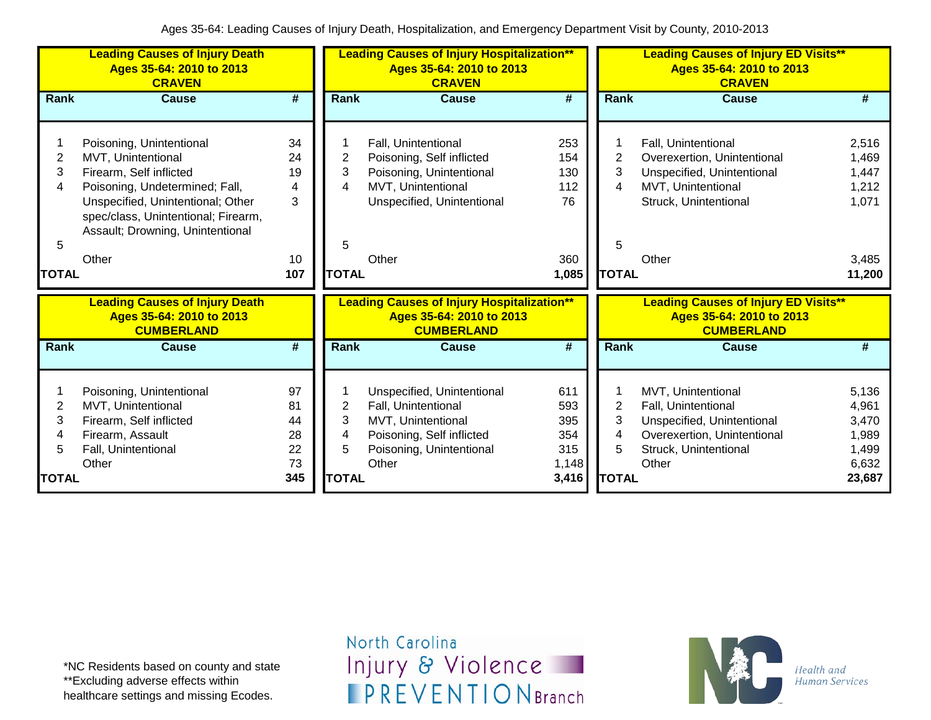|                                  | <b>Leading Causes of Injury Death</b><br>Ages 35-64: 2010 to 2013<br><b>CRAVEN</b>                                                                                                                                                   |                                       |                                  | <b>Leading Causes of Injury Hospitalization**</b><br>Ages 35-64: 2010 to 2013<br><b>CRAVEN</b>                                            |                                                |                                               | <b>Leading Causes of Injury ED Visits**</b><br>Ages 35-64: 2010 to 2013<br><b>CRAVEN</b>                                                 |                                                              |
|----------------------------------|--------------------------------------------------------------------------------------------------------------------------------------------------------------------------------------------------------------------------------------|---------------------------------------|----------------------------------|-------------------------------------------------------------------------------------------------------------------------------------------|------------------------------------------------|-----------------------------------------------|------------------------------------------------------------------------------------------------------------------------------------------|--------------------------------------------------------------|
| Rank                             | <b>Cause</b>                                                                                                                                                                                                                         | #                                     | <b>Rank</b>                      | <b>Cause</b>                                                                                                                              | $\overline{\boldsymbol{H}}$                    | <b>Rank</b>                                   | <b>Cause</b>                                                                                                                             | #                                                            |
| 2<br>3<br>4<br>5<br><b>TOTAL</b> | Poisoning, Unintentional<br>MVT, Unintentional<br>Firearm, Self inflicted<br>Poisoning, Undetermined; Fall,<br>Unspecified, Unintentional; Other<br>spec/class, Unintentional; Firearm,<br>Assault; Drowning, Unintentional<br>Other | 34<br>24<br>19<br>4<br>3<br>10<br>107 | 2<br>3<br>4<br>5<br><b>TOTAL</b> | Fall, Unintentional<br>Poisoning, Self inflicted<br>Poisoning, Unintentional<br>MVT, Unintentional<br>Unspecified, Unintentional<br>Other | 253<br>154<br>130<br>112<br>76<br>360<br>1,085 | $\overline{2}$<br>3<br>4<br>5<br><b>TOTAL</b> | Fall, Unintentional<br>Overexertion, Unintentional<br>Unspecified, Unintentional<br>MVT, Unintentional<br>Struck, Unintentional<br>Other | 2,516<br>1,469<br>1,447<br>1,212<br>1,071<br>3,485<br>11,200 |
|                                  | <b>Leading Causes of Injury Death</b><br>Ages 35-64: 2010 to 2013<br><b>CUMBERLAND</b>                                                                                                                                               |                                       |                                  | <b>Leading Causes of Injury Hospitalization**</b><br>Ages 35-64: 2010 to 2013<br><b>CUMBERLAND</b>                                        |                                                |                                               | <b>Leading Causes of Injury ED Visits**</b><br>Ages 35-64: 2010 to 2013<br><b>CUMBERLAND</b>                                             |                                                              |
| Rank                             | <b>Cause</b>                                                                                                                                                                                                                         | #                                     | Rank                             | <b>Cause</b>                                                                                                                              | #                                              | <b>Rank</b>                                   | Cause                                                                                                                                    | #                                                            |
| $\overline{2}$<br>3<br>4<br>5    | Poisoning, Unintentional<br>MVT, Unintentional<br>Firearm, Self inflicted<br>Firearm, Assault<br>Fall, Unintentional<br>Other                                                                                                        | 97<br>81<br>44<br>28<br>22<br>73      | 2<br>3<br>4<br>5                 | Unspecified, Unintentional<br>Fall, Unintentional<br>MVT, Unintentional<br>Poisoning, Self inflicted<br>Poisoning, Unintentional<br>Other | 611<br>593<br>395<br>354<br>315<br>1,148       | 2<br>3<br>4<br>5                              | MVT, Unintentional<br>Fall, Unintentional<br>Unspecified, Unintentional<br>Overexertion, Unintentional<br>Struck, Unintentional<br>Other | 5,136<br>4,961<br>3,470<br>1,989<br>1,499<br>6,632           |
| <b>TOTAL</b>                     |                                                                                                                                                                                                                                      | 345                                   | <b>TOTAL</b>                     |                                                                                                                                           | 3,416                                          | <b>TOTAL</b>                                  |                                                                                                                                          | 23,687                                                       |

\*NC Residents based on county and state \*\*Excluding adverse effects within healthcare settings and missing Ecodes.

North Carolina Injury & Violence **IPREVENTIONBranch** 

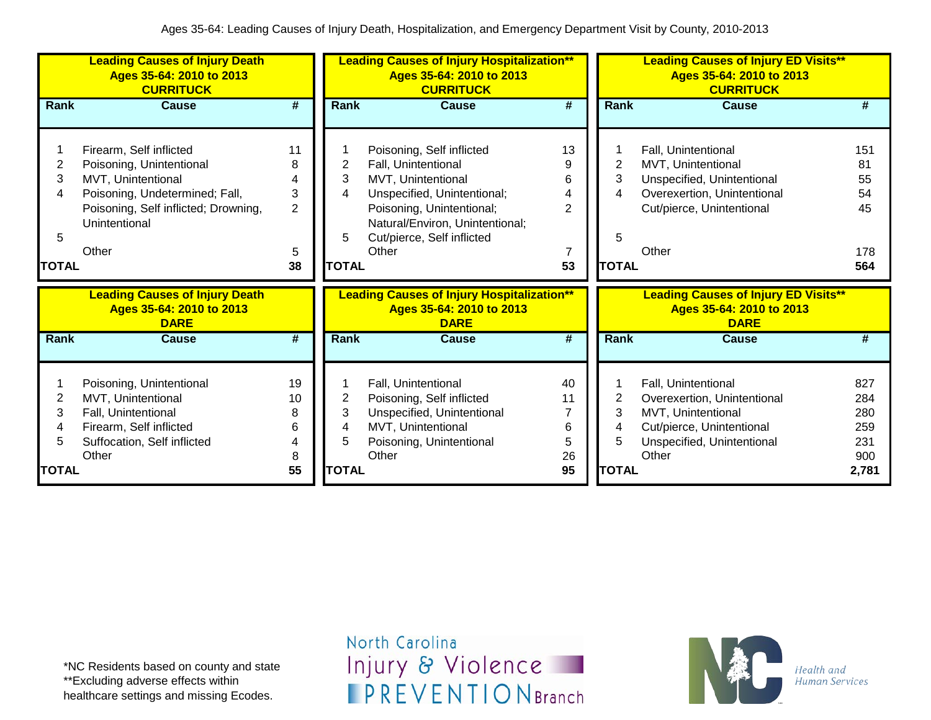|              | <b>Leading Causes of Injury Death</b><br>Ages 35-64: 2010 to 2013<br><b>CURRITUCK</b> |                             | <b>Leading Causes of Injury Hospitalization**</b><br>Ages 35-64: 2010 to 2013<br><b>CURRITUCK</b> |                                                                                              |                             | <b>Leading Causes of Injury ED Visits**</b><br>Ages 35-64: 2010 to 2013<br><b>CURRITUCK</b> |                                                                                        |       |  |
|--------------|---------------------------------------------------------------------------------------|-----------------------------|---------------------------------------------------------------------------------------------------|----------------------------------------------------------------------------------------------|-----------------------------|---------------------------------------------------------------------------------------------|----------------------------------------------------------------------------------------|-------|--|
| Rank         | <b>Cause</b>                                                                          | $\overline{\boldsymbol{t}}$ | <b>Rank</b>                                                                                       | <b>Cause</b>                                                                                 | #                           | Rank                                                                                        | <b>Cause</b>                                                                           | #     |  |
|              | Firearm, Self inflicted                                                               | 11                          |                                                                                                   | Poisoning, Self inflicted                                                                    | 13                          |                                                                                             | Fall, Unintentional                                                                    | 151   |  |
| 2            | Poisoning, Unintentional                                                              | 8                           | 2                                                                                                 | Fall, Unintentional                                                                          | 9                           | 2                                                                                           | MVT, Unintentional                                                                     | 81    |  |
| 3            | MVT, Unintentional                                                                    | 4                           | 3                                                                                                 | MVT, Unintentional                                                                           | 6                           | 3                                                                                           | Unspecified, Unintentional                                                             | 55    |  |
| 4            | Poisoning, Undetermined; Fall,                                                        | 3                           | 4                                                                                                 | Unspecified, Unintentional;                                                                  | 4                           | 4                                                                                           | Overexertion, Unintentional                                                            | 54    |  |
|              | Poisoning, Self inflicted; Drowning,<br>Unintentional                                 | $\overline{2}$              | 5                                                                                                 | Poisoning, Unintentional;<br>Natural/Environ, Unintentional;<br>Cut/pierce, Self inflicted   | $\overline{2}$              | 5                                                                                           | Cut/pierce, Unintentional                                                              | 45    |  |
| 5            | Other                                                                                 | 5                           |                                                                                                   | Other                                                                                        | 7                           |                                                                                             | Other                                                                                  | 178   |  |
| <b>TOTAL</b> |                                                                                       | 38                          | <b>TOTAL</b>                                                                                      |                                                                                              | 53                          | <b>TOTAL</b>                                                                                |                                                                                        | 564   |  |
|              |                                                                                       |                             |                                                                                                   |                                                                                              |                             |                                                                                             |                                                                                        |       |  |
|              | <b>Leading Causes of Injury Death</b><br>Ages 35-64: 2010 to 2013<br><b>DARE</b>      |                             |                                                                                                   | <b>Leading Causes of Injury Hospitalization**</b><br>Ages 35-64: 2010 to 2013<br><b>DARE</b> |                             |                                                                                             | <b>Leading Causes of Injury ED Visits**</b><br>Ages 35-64: 2010 to 2013<br><b>DARE</b> |       |  |
| Rank         | <b>Cause</b>                                                                          | $\overline{\boldsymbol{t}}$ | <b>Rank</b>                                                                                       | <b>Cause</b>                                                                                 | $\overline{\boldsymbol{t}}$ | Rank                                                                                        | <b>Cause</b>                                                                           | #     |  |
|              | Poisoning, Unintentional                                                              | 19                          |                                                                                                   | Fall, Unintentional                                                                          | 40                          |                                                                                             | Fall, Unintentional                                                                    | 827   |  |
| 2            | MVT, Unintentional                                                                    | 10                          | 2                                                                                                 | Poisoning, Self inflicted                                                                    | 11                          | 2                                                                                           | Overexertion, Unintentional                                                            | 284   |  |
| 3            | Fall, Unintentional                                                                   | 8                           | 3                                                                                                 | Unspecified, Unintentional                                                                   |                             | 3                                                                                           | MVT, Unintentional                                                                     | 280   |  |
| 4            | Firearm, Self inflicted                                                               | 6                           | 4                                                                                                 | MVT, Unintentional                                                                           | 6                           | 4                                                                                           | Cut/pierce, Unintentional                                                              | 259   |  |
| 5            | Suffocation, Self inflicted                                                           | 4                           | 5                                                                                                 | Poisoning, Unintentional                                                                     | 5                           | 5                                                                                           | Unspecified, Unintentional                                                             | 231   |  |
|              | Other                                                                                 | 8                           |                                                                                                   | Other                                                                                        | 26                          |                                                                                             | Other                                                                                  | 900   |  |
| <b>TOTAL</b> |                                                                                       | 55                          | <b>TOTAL</b>                                                                                      |                                                                                              | 95                          | <b>TOTAL</b>                                                                                |                                                                                        | 2,781 |  |

\*NC Residents based on county and state \*\*Excluding adverse effects within healthcare settings and missing Ecodes.

North Carolina Injury & Violence **IPREVENTIONBranch** 

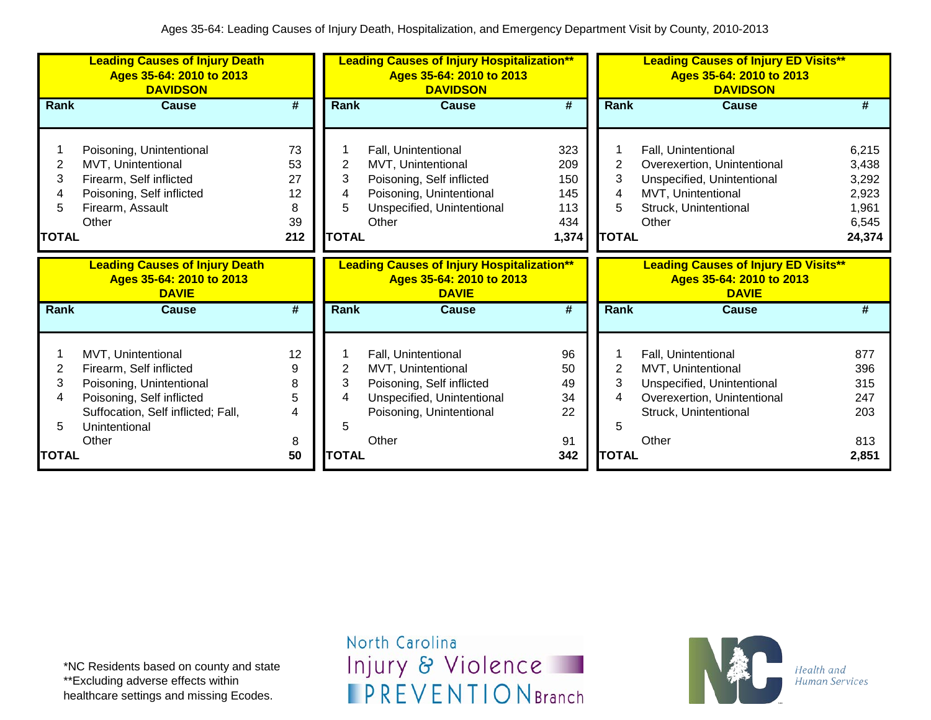|                                  | <b>Leading Causes of Injury Death</b><br>Ages 35-64: 2010 to 2013<br><b>DAVIDSON</b>                                                                                   |                                        | <b>Leading Causes of Injury Hospitalization**</b><br>Ages 35-64: 2010 to 2013<br><b>DAVIDSON</b> |                                                                                                                                           |                                                 | <b>Leading Causes of Injury ED Visits**</b><br>Ages 35-64: 2010 to 2013<br><b>DAVIDSON</b> |                                                                                                                                          |                                                              |  |
|----------------------------------|------------------------------------------------------------------------------------------------------------------------------------------------------------------------|----------------------------------------|--------------------------------------------------------------------------------------------------|-------------------------------------------------------------------------------------------------------------------------------------------|-------------------------------------------------|--------------------------------------------------------------------------------------------|------------------------------------------------------------------------------------------------------------------------------------------|--------------------------------------------------------------|--|
| <b>Rank</b>                      | <b>Cause</b>                                                                                                                                                           | #                                      | Rank                                                                                             | <b>Cause</b>                                                                                                                              | $\overline{\boldsymbol{H}}$                     | <b>Rank</b>                                                                                | <b>Cause</b>                                                                                                                             | #                                                            |  |
| 2<br>3<br>4<br>5<br><b>TOTAL</b> | Poisoning, Unintentional<br>MVT, Unintentional<br>Firearm, Self inflicted<br>Poisoning, Self inflicted<br>Firearm, Assault<br>Other                                    | 73<br>53<br>27<br>12<br>8<br>39<br>212 | 2<br>3<br>4<br>5<br><b>TOTAL</b>                                                                 | Fall, Unintentional<br>MVT, Unintentional<br>Poisoning, Self inflicted<br>Poisoning, Unintentional<br>Unspecified, Unintentional<br>Other | 323<br>209<br>150<br>145<br>113<br>434<br>1,374 | 2<br>3<br>5<br><b>TOTAL</b>                                                                | Fall, Unintentional<br>Overexertion, Unintentional<br>Unspecified, Unintentional<br>MVT, Unintentional<br>Struck, Unintentional<br>Other | 6,215<br>3,438<br>3,292<br>2,923<br>1,961<br>6,545<br>24,374 |  |
|                                  | <b>Leading Causes of Injury Death</b><br>Ages 35-64: 2010 to 2013<br><b>DAVIE</b>                                                                                      |                                        |                                                                                                  | <b>Leading Causes of Injury Hospitalization**</b><br>Ages 35-64: 2010 to 2013<br><b>DAVIE</b>                                             |                                                 |                                                                                            | <b>Leading Causes of Injury ED Visits**</b><br>Ages 35-64: 2010 to 2013<br><b>DAVIE</b>                                                  |                                                              |  |
| Rank                             | <b>Cause</b>                                                                                                                                                           | #                                      | Rank                                                                                             | <b>Cause</b>                                                                                                                              | $\overline{\boldsymbol{t}}$                     | Rank                                                                                       | <b>Cause</b>                                                                                                                             | #                                                            |  |
| 2<br>3<br>4<br>5                 | MVT, Unintentional<br>Firearm, Self inflicted<br>Poisoning, Unintentional<br>Poisoning, Self inflicted<br>Suffocation, Self inflicted; Fall,<br>Unintentional<br>Other | 12<br>9<br>8<br>5<br>4                 | 2<br>3<br>4<br>5                                                                                 | Fall, Unintentional<br>MVT, Unintentional<br>Poisoning, Self inflicted<br>Unspecified, Unintentional<br>Poisoning, Unintentional<br>Other | 96<br>50<br>49<br>34<br>22<br>91                | 2<br>3<br>5                                                                                | Fall, Unintentional<br>MVT, Unintentional<br>Unspecified, Unintentional<br>Overexertion, Unintentional<br>Struck, Unintentional<br>Other | 877<br>396<br>315<br>247<br>203<br>813                       |  |
| <b>TOTAL</b>                     |                                                                                                                                                                        | 8<br>50                                | <b>TOTAL</b>                                                                                     |                                                                                                                                           | 342                                             | <b>TOTAL</b>                                                                               |                                                                                                                                          | 2,851                                                        |  |

\*NC Residents based on county and state \*\*Excluding adverse effects within healthcare settings and missing Ecodes.

North Carolina Injury & Violence **IPREVENTIONBranch** 

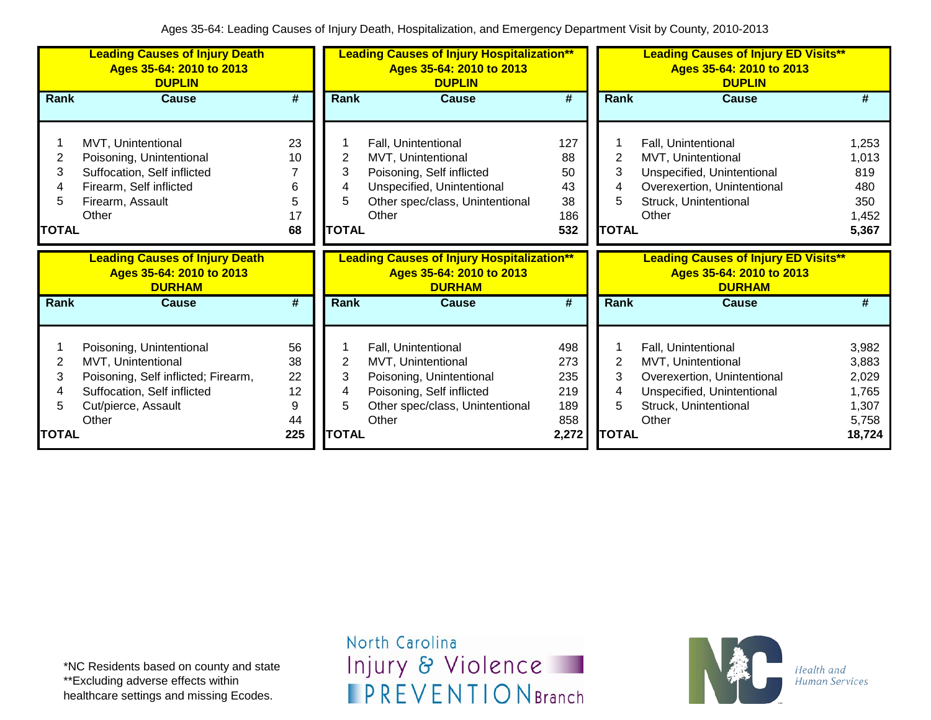|                        | <b>Leading Causes of Injury Death</b><br>Ages 35-64: 2010 to 2013<br><b>DUPLIN</b>                                                                   |                                        | <b>Leading Causes of Injury Hospitalization**</b><br>Ages 35-64: 2010 to 2013<br><b>DUPLIN</b> |                                                                                                                                                  |                                                 | <b>Leading Causes of Injury ED Visits**</b><br>Ages 35-64: 2010 to 2013<br><b>DUPLIN</b> |                                                                                                                                          |                                                              |  |
|------------------------|------------------------------------------------------------------------------------------------------------------------------------------------------|----------------------------------------|------------------------------------------------------------------------------------------------|--------------------------------------------------------------------------------------------------------------------------------------------------|-------------------------------------------------|------------------------------------------------------------------------------------------|------------------------------------------------------------------------------------------------------------------------------------------|--------------------------------------------------------------|--|
| Rank                   | <b>Cause</b>                                                                                                                                         | #                                      | Rank                                                                                           | <b>Cause</b>                                                                                                                                     | #                                               | <b>Rank</b>                                                                              | <b>Cause</b>                                                                                                                             | #                                                            |  |
| 2<br>3<br><b>TOTAL</b> | MVT, Unintentional<br>Poisoning, Unintentional<br>Suffocation, Self inflicted<br>Firearm, Self inflicted<br>Firearm, Assault<br>Other                | 23<br>10<br>6<br>5<br>17<br>68         | 2<br>3<br><b>TOTAL</b>                                                                         | Fall, Unintentional<br>MVT, Unintentional<br>Poisoning, Self inflicted<br>Unspecified, Unintentional<br>Other spec/class, Unintentional<br>Other | 127<br>88<br>50<br>43<br>38<br>186<br>532       | 2<br>3<br>4<br>5<br><b>TOTAL</b>                                                         | Fall, Unintentional<br>MVT, Unintentional<br>Unspecified, Unintentional<br>Overexertion, Unintentional<br>Struck, Unintentional<br>Other | 1,253<br>1,013<br>819<br>480<br>350<br>1,452<br>5,367        |  |
|                        |                                                                                                                                                      |                                        |                                                                                                |                                                                                                                                                  |                                                 |                                                                                          |                                                                                                                                          |                                                              |  |
|                        | <b>Leading Causes of Injury Death</b><br>Ages 35-64: 2010 to 2013<br><b>DURHAM</b>                                                                   |                                        |                                                                                                | <b>Leading Causes of Injury Hospitalization**</b><br>Ages 35-64: 2010 to 2013<br><b>DURHAM</b>                                                   |                                                 |                                                                                          | <b>Leading Causes of Injury ED Visits**</b><br>Ages 35-64: 2010 to 2013<br><b>DURHAM</b>                                                 |                                                              |  |
| Rank                   | <b>Cause</b>                                                                                                                                         | $\overline{\boldsymbol{t}}$            | Rank                                                                                           | <b>Cause</b>                                                                                                                                     | #                                               | Rank                                                                                     | <b>Cause</b>                                                                                                                             | #                                                            |  |
| 2<br>3<br><b>TOTAL</b> | Poisoning, Unintentional<br>MVT, Unintentional<br>Poisoning, Self inflicted; Firearm,<br>Suffocation, Self inflicted<br>Cut/pierce, Assault<br>Other | 56<br>38<br>22<br>12<br>9<br>44<br>225 | $\mathbf{2}^{\prime}$<br>3<br>4<br>5<br><b>TOTAL</b>                                           | Fall, Unintentional<br>MVT, Unintentional<br>Poisoning, Unintentional<br>Poisoning, Self inflicted<br>Other spec/class, Unintentional<br>Other   | 498<br>273<br>235<br>219<br>189<br>858<br>2,272 | $\overline{2}$<br>3<br>4<br>5<br><b>TOTAL</b>                                            | Fall, Unintentional<br>MVT, Unintentional<br>Overexertion, Unintentional<br>Unspecified, Unintentional<br>Struck, Unintentional<br>Other | 3,982<br>3,883<br>2,029<br>1,765<br>1,307<br>5,758<br>18,724 |  |

\*NC Residents based on county and state \*\*Excluding adverse effects within healthcare settings and missing Ecodes.

North Carolina Injury & Violence **IPREVENTIONBranch** 

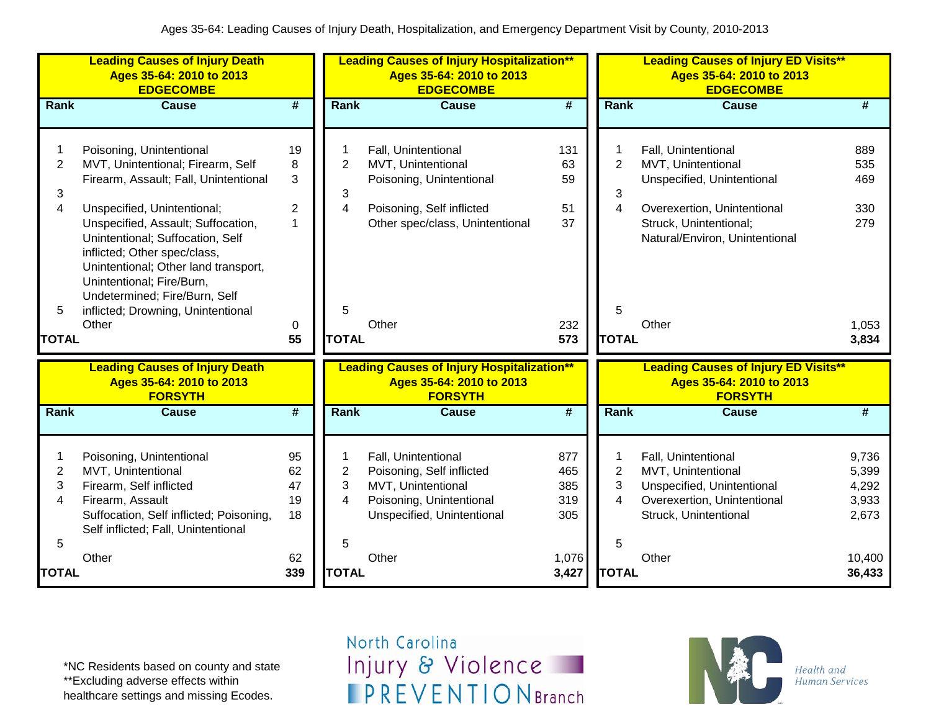|                                                            | <b>Leading Causes of Injury Death</b><br>Ages 35-64: 2010 to 2013<br><b>EDGECOMBE</b>                                                                                                                                                                                                                                                                                                                |                                                |                                                            | <b>Leading Causes of Injury Hospitalization**</b><br>Ages 35-64: 2010 to 2013<br><b>EDGECOMBE</b>                                              |                                           |                                                            | <b>Leading Causes of Injury ED Visits**</b><br>Ages 35-64: 2010 to 2013<br><b>EDGECOMBE</b>                                                                                 |                                                   |
|------------------------------------------------------------|------------------------------------------------------------------------------------------------------------------------------------------------------------------------------------------------------------------------------------------------------------------------------------------------------------------------------------------------------------------------------------------------------|------------------------------------------------|------------------------------------------------------------|------------------------------------------------------------------------------------------------------------------------------------------------|-------------------------------------------|------------------------------------------------------------|-----------------------------------------------------------------------------------------------------------------------------------------------------------------------------|---------------------------------------------------|
| Rank                                                       | <b>Cause</b>                                                                                                                                                                                                                                                                                                                                                                                         | #                                              | <b>Rank</b>                                                | <b>Cause</b>                                                                                                                                   | #                                         | Rank                                                       | <b>Cause</b>                                                                                                                                                                | #                                                 |
| $\overline{2}$<br>3<br>$\overline{4}$<br>5<br><b>TOTAL</b> | Poisoning, Unintentional<br>MVT, Unintentional; Firearm, Self<br>Firearm, Assault; Fall, Unintentional<br>Unspecified, Unintentional;<br>Unspecified, Assault; Suffocation,<br>Unintentional; Suffocation, Self<br>inflicted; Other spec/class,<br>Unintentional; Other land transport,<br>Unintentional; Fire/Burn,<br>Undetermined; Fire/Burn, Self<br>inflicted; Drowning, Unintentional<br>Other | 19<br>8<br>3<br>$\overline{2}$<br>1<br>0<br>55 | $\overline{2}$<br>3<br>$\overline{4}$<br>5<br><b>TOTAL</b> | Fall, Unintentional<br>MVT, Unintentional<br>Poisoning, Unintentional<br>Poisoning, Self inflicted<br>Other spec/class, Unintentional<br>Other | 131<br>63<br>59<br>51<br>37<br>232<br>573 | $\overline{2}$<br>3<br>$\overline{4}$<br>5<br><b>TOTAL</b> | Fall, Unintentional<br>MVT, Unintentional<br>Unspecified, Unintentional<br>Overexertion, Unintentional<br>Struck, Unintentional;<br>Natural/Environ, Unintentional<br>Other | 889<br>535<br>469<br>330<br>279<br>1,053<br>3,834 |
|                                                            | <b>Leading Causes of Injury Death</b><br>Ages 35-64: 2010 to 2013<br><b>FORSYTH</b>                                                                                                                                                                                                                                                                                                                  |                                                |                                                            | <b>Leading Causes of Injury Hospitalization**</b><br>Ages 35-64: 2010 to 2013<br><b>FORSYTH</b>                                                |                                           |                                                            | <b>Leading Causes of Injury ED Visits**</b><br>Ages 35-64: 2010 to 2013<br><b>FORSYTH</b>                                                                                   |                                                   |
| Rank                                                       | <b>Cause</b>                                                                                                                                                                                                                                                                                                                                                                                         | #                                              | Rank                                                       | <b>Cause</b>                                                                                                                                   | $\overline{\boldsymbol{t}}$               | <b>Rank</b>                                                | <b>Cause</b>                                                                                                                                                                | #                                                 |
| 1<br>$\overline{2}$<br>3<br>4<br>5                         | Poisoning, Unintentional<br>MVT, Unintentional<br>Firearm, Self inflicted<br>Firearm, Assault<br>Suffocation, Self inflicted; Poisoning,<br>Self inflicted; Fall, Unintentional                                                                                                                                                                                                                      | 95<br>62<br>47<br>19<br>18                     | $\overline{2}$<br>3<br>$\overline{4}$<br>5                 | Fall, Unintentional<br>Poisoning, Self inflicted<br>MVT, Unintentional<br>Poisoning, Unintentional<br>Unspecified, Unintentional               | 877<br>465<br>385<br>319<br>305           | $\mathbf 1$<br>$\overline{2}$<br>3<br>$\overline{4}$<br>5  | Fall, Unintentional<br>MVT, Unintentional<br>Unspecified, Unintentional<br>Overexertion, Unintentional<br>Struck, Unintentional                                             | 9,736<br>5,399<br>4,292<br>3,933<br>2,673         |
| <b>TOTAL</b>                                               | Other                                                                                                                                                                                                                                                                                                                                                                                                | 62<br>339                                      | <b>TOTAL</b>                                               | Other                                                                                                                                          | 1,076<br>3,427                            | <b>TOTAL</b>                                               | Other                                                                                                                                                                       | 10,400<br>36,433                                  |

\*NC Residents based on county and state \*\*Excluding adverse effects within healthcare settings and missing Ecodes.

North Carolina Injury & Violence **IPREVENTIONBranch** 

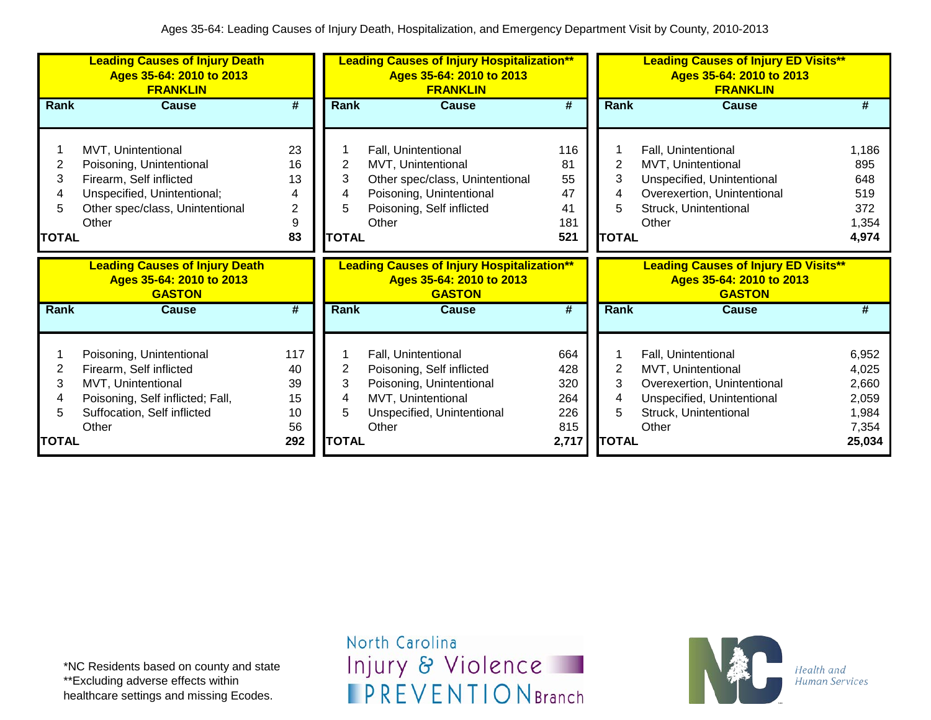|                                        | <b>Leading Causes of Injury Death</b><br>Ages 35-64: 2010 to 2013<br><b>FRANKLIN</b>                                                                  |                                          |                                   | <b>Leading Causes of Injury Hospitalization**</b><br>Ages 35-64: 2010 to 2013<br><b>FRANKLIN</b>                                               |                                                 |                                  | <b>Leading Causes of Injury ED Visits**</b><br>Ages 35-64: 2010 to 2013<br><b>FRANKLIN</b>                                               |                                                              |
|----------------------------------------|-------------------------------------------------------------------------------------------------------------------------------------------------------|------------------------------------------|-----------------------------------|------------------------------------------------------------------------------------------------------------------------------------------------|-------------------------------------------------|----------------------------------|------------------------------------------------------------------------------------------------------------------------------------------|--------------------------------------------------------------|
| Rank                                   | Cause                                                                                                                                                 | #                                        | Rank                              | Cause                                                                                                                                          | #                                               | Rank                             | Cause                                                                                                                                    | #                                                            |
| 2<br>3<br>4<br>5<br><b>TOTAL</b>       | MVT, Unintentional<br>Poisoning, Unintentional<br>Firearm, Self inflicted<br>Unspecified, Unintentional;<br>Other spec/class, Unintentional<br>Other  | 23<br>16<br>13<br>4<br>2<br>9<br>83      | 2<br>3<br>4<br>5.<br><b>TOTAL</b> | Fall, Unintentional<br>MVT, Unintentional<br>Other spec/class, Unintentional<br>Poisoning, Unintentional<br>Poisoning, Self inflicted<br>Other | 116<br>81<br>55<br>47<br>41<br>181<br>521       | 2<br>3<br>4<br>5<br><b>TOTAL</b> | Fall, Unintentional<br>MVT, Unintentional<br>Unspecified, Unintentional<br>Overexertion, Unintentional<br>Struck, Unintentional<br>Other | 1,186<br>895<br>648<br>519<br>372<br>1,354<br>4,974          |
|                                        |                                                                                                                                                       |                                          |                                   |                                                                                                                                                |                                                 |                                  |                                                                                                                                          |                                                              |
|                                        | <b>Leading Causes of Injury Death</b><br>Ages 35-64: 2010 to 2013<br><b>GASTON</b>                                                                    |                                          |                                   | <b>Leading Causes of Injury Hospitalization**</b><br>Ages 35-64: 2010 to 2013<br><b>GASTON</b>                                                 |                                                 |                                  | <b>Leading Causes of Injury ED Visits**</b><br>Ages 35-64: 2010 to 2013<br><b>GASTON</b>                                                 |                                                              |
| Rank                                   | <b>Cause</b>                                                                                                                                          | #                                        | <b>Rank</b>                       | Cause                                                                                                                                          | #                                               | Rank                             | <b>Cause</b>                                                                                                                             | #                                                            |
| $\overline{2}$<br>3<br>4<br>5<br>TOTAL | Poisoning, Unintentional<br>Firearm, Self inflicted<br>MVT, Unintentional<br>Poisoning, Self inflicted; Fall,<br>Suffocation, Self inflicted<br>Other | 117<br>40<br>39<br>15<br>10<br>56<br>292 | 2<br>3<br>4<br>5<br><b>TOTAL</b>  | Fall, Unintentional<br>Poisoning, Self inflicted<br>Poisoning, Unintentional<br>MVT, Unintentional<br>Unspecified, Unintentional<br>Other      | 664<br>428<br>320<br>264<br>226<br>815<br>2,717 | 2<br>3<br>4<br>5<br><b>TOTAL</b> | Fall, Unintentional<br>MVT, Unintentional<br>Overexertion, Unintentional<br>Unspecified, Unintentional<br>Struck, Unintentional<br>Other | 6,952<br>4,025<br>2,660<br>2,059<br>1,984<br>7,354<br>25,034 |

\*NC Residents based on county and state \*\*Excluding adverse effects within healthcare settings and missing Ecodes.

North Carolina Injury & Violence **IPREVENTIONBranch** 

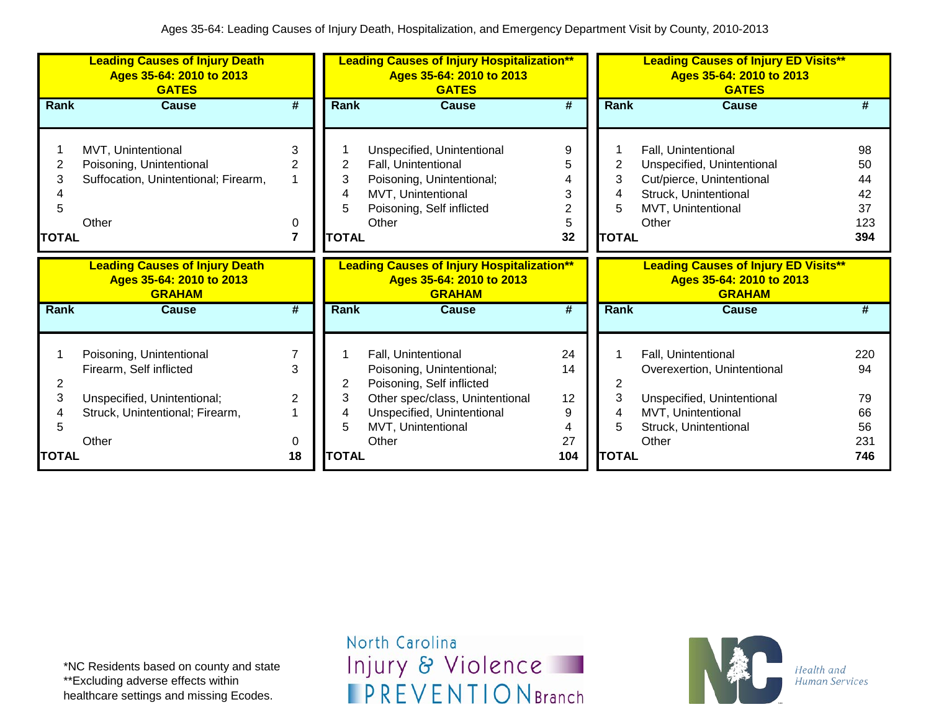|                          | <b>Leading Causes of Injury Death</b><br>Ages 35-64: 2010 to 2013<br><b>GATES</b>                                     |                                    |                                  | <b>Leading Causes of Injury Hospitalization**</b><br>Ages 35-64: 2010 to 2013<br><b>GATES</b>                                                                        |                                               |                        | <b>Leading Causes of Injury ED Visits**</b><br>Ages 35-64: 2010 to 2013<br><b>GATES</b>                                                |                                          |
|--------------------------|-----------------------------------------------------------------------------------------------------------------------|------------------------------------|----------------------------------|----------------------------------------------------------------------------------------------------------------------------------------------------------------------|-----------------------------------------------|------------------------|----------------------------------------------------------------------------------------------------------------------------------------|------------------------------------------|
| <b>Rank</b>              | <b>Cause</b>                                                                                                          | #                                  | <b>Rank</b>                      | <b>Cause</b>                                                                                                                                                         | #                                             | Rank                   | <b>Cause</b>                                                                                                                           | #                                        |
| 2<br>3<br>5<br>TOTAL     | MVT, Unintentional<br>Poisoning, Unintentional<br>Suffocation, Unintentional; Firearm,<br>Other                       | 3<br>$\overline{2}$<br>1<br>0<br>7 | 2<br>3<br>4<br>5<br><b>TOTAL</b> | Unspecified, Unintentional<br>Fall, Unintentional<br>Poisoning, Unintentional;<br>MVT, Unintentional<br>Poisoning, Self inflicted<br>Other                           | 9<br>5<br>4<br>3<br>$\overline{c}$<br>5<br>32 | 2<br>3<br><b>TOTAL</b> | Fall, Unintentional<br>Unspecified, Unintentional<br>Cut/pierce, Unintentional<br>Struck, Unintentional<br>MVT, Unintentional<br>Other | 98<br>50<br>44<br>42<br>37<br>123<br>394 |
|                          | <b>Leading Causes of Injury Death</b><br>Ages 35-64: 2010 to 2013<br><b>GRAHAM</b>                                    |                                    |                                  | <b>Leading Causes of Injury Hospitalization**</b><br>Ages 35-64: 2010 to 2013<br><b>GRAHAM</b>                                                                       |                                               |                        | <b>Leading Causes of Injury ED Visits**</b><br>Ages 35-64: 2010 to 2013<br><b>GRAHAM</b>                                               |                                          |
| Rank                     | <b>Cause</b>                                                                                                          | $\overline{\boldsymbol{t}}$        | <b>Rank</b>                      | <b>Cause</b>                                                                                                                                                         | #                                             | Rank                   | <b>Cause</b>                                                                                                                           | #                                        |
| $\overline{2}$<br>3<br>5 | Poisoning, Unintentional<br>Firearm, Self inflicted<br>Unspecified, Unintentional;<br>Struck, Unintentional; Firearm, | 3<br>2                             | 2<br>3<br>4<br>5                 | Fall, Unintentional<br>Poisoning, Unintentional;<br>Poisoning, Self inflicted<br>Other spec/class, Unintentional<br>Unspecified, Unintentional<br>MVT, Unintentional | 24<br>14<br>12<br>9<br>4                      | 2<br>3<br>4            | Fall, Unintentional<br>Overexertion, Unintentional<br>Unspecified, Unintentional<br>MVT, Unintentional<br>Struck, Unintentional        | 220<br>94<br>79<br>66<br>56              |
| <b>TOTAL</b>             | Other                                                                                                                 | 0<br>18                            | <b>TOTAL</b>                     | Other                                                                                                                                                                | 27<br>104                                     | <b>TOTAL</b>           | Other                                                                                                                                  | 231<br>746                               |

\*NC Residents based on county and state \*\*Excluding adverse effects within healthcare settings and missing Ecodes.

North Carolina Injury & Violence **IPREVENTIONBranch** 

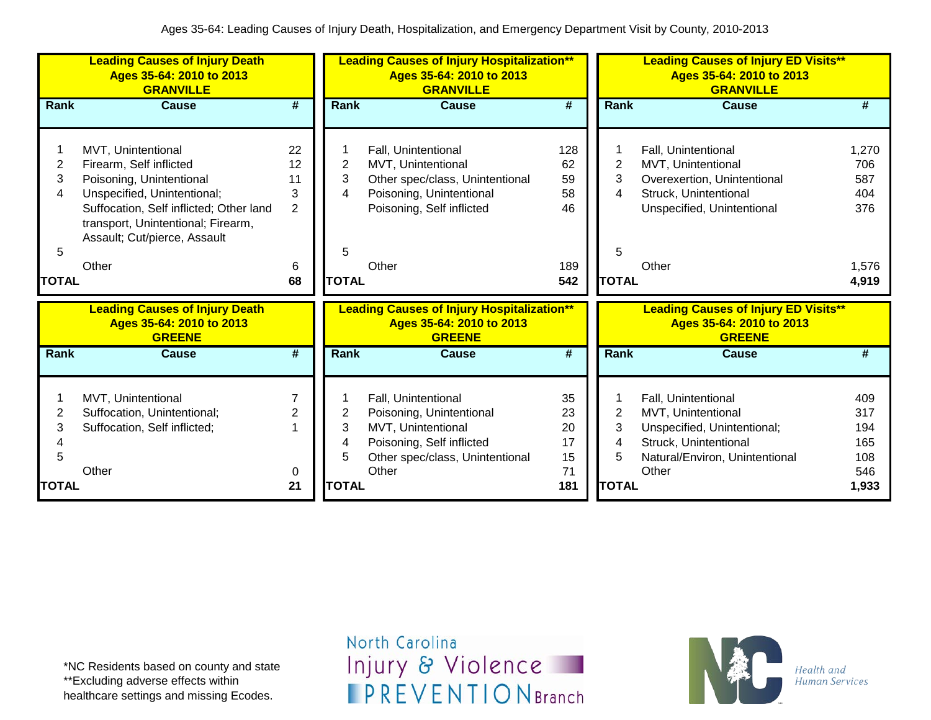|                                  | <b>Leading Causes of Injury Death</b><br>Ages 35-64: 2010 to 2013<br><b>GRANVILLE</b>                                                                                                                                              |                                                  |                                  | <b>Leading Causes of Injury Hospitalization**</b><br>Ages 35-64: 2010 to 2013<br><b>GRANVILLE</b>                                              |                                           |                                               | <b>Leading Causes of Injury ED Visits**</b><br>Ages 35-64: 2010 to 2013<br><b>GRANVILLE</b>                                                  |                                                     |
|----------------------------------|------------------------------------------------------------------------------------------------------------------------------------------------------------------------------------------------------------------------------------|--------------------------------------------------|----------------------------------|------------------------------------------------------------------------------------------------------------------------------------------------|-------------------------------------------|-----------------------------------------------|----------------------------------------------------------------------------------------------------------------------------------------------|-----------------------------------------------------|
| Rank                             | <b>Cause</b>                                                                                                                                                                                                                       | $\overline{\boldsymbol{t}}$                      | <b>Rank</b>                      | <b>Cause</b>                                                                                                                                   | #                                         | <b>Rank</b>                                   | <b>Cause</b>                                                                                                                                 | #                                                   |
| 2<br>3<br>4<br>5<br><b>TOTAL</b> | MVT, Unintentional<br>Firearm, Self inflicted<br>Poisoning, Unintentional<br>Unspecified, Unintentional;<br>Suffocation, Self inflicted; Other land<br>transport, Unintentional; Firearm,<br>Assault; Cut/pierce, Assault<br>Other | 22<br>12<br>11<br>3<br>$\overline{2}$<br>6<br>68 | 2<br>3<br>4<br>5<br><b>TOTAL</b> | Fall, Unintentional<br>MVT, Unintentional<br>Other spec/class, Unintentional<br>Poisoning, Unintentional<br>Poisoning, Self inflicted<br>Other | 128<br>62<br>59<br>58<br>46<br>189<br>542 | 2<br>3<br>4<br>5<br><b>TOTAL</b>              | Fall, Unintentional<br>MVT, Unintentional<br>Overexertion, Unintentional<br>Struck, Unintentional<br>Unspecified, Unintentional<br>Other     | 1,270<br>706<br>587<br>404<br>376<br>1,576<br>4,919 |
|                                  | <b>Leading Causes of Injury Death</b><br>Ages 35-64: 2010 to 2013<br><b>GREENE</b>                                                                                                                                                 |                                                  |                                  | <b>Leading Causes of Injury Hospitalization**</b><br>Ages 35-64: 2010 to 2013<br><b>GREENE</b>                                                 |                                           |                                               | <b>Leading Causes of Injury ED Visits**</b><br>Ages 35-64: 2010 to 2013<br><b>GREENE</b>                                                     |                                                     |
| Rank                             | <b>Cause</b>                                                                                                                                                                                                                       | $\overline{\#}$                                  | Rank                             | <b>Cause</b>                                                                                                                                   | #                                         | Rank                                          | <b>Cause</b>                                                                                                                                 | #                                                   |
| 2<br>3<br>5<br><b>TOTAL</b>      | MVT, Unintentional<br>Suffocation, Unintentional;<br>Suffocation, Self inflicted;<br>Other                                                                                                                                         | $\overline{2}$<br>0<br>21                        | 2<br>3<br>4<br>5<br><b>TOTAL</b> | Fall, Unintentional<br>Poisoning, Unintentional<br>MVT, Unintentional<br>Poisoning, Self inflicted<br>Other spec/class, Unintentional<br>Other | 35<br>23<br>20<br>17<br>15<br>71<br>181   | $\overline{2}$<br>3<br>4<br>5<br><b>TOTAL</b> | Fall, Unintentional<br>MVT, Unintentional<br>Unspecified, Unintentional;<br>Struck, Unintentional<br>Natural/Environ, Unintentional<br>Other | 409<br>317<br>194<br>165<br>108<br>546<br>1,933     |

\*NC Residents based on county and state \*\*Excluding adverse effects within healthcare settings and missing Ecodes.

North Carolina Injury & Violence **IPREVENTIONBranch** 

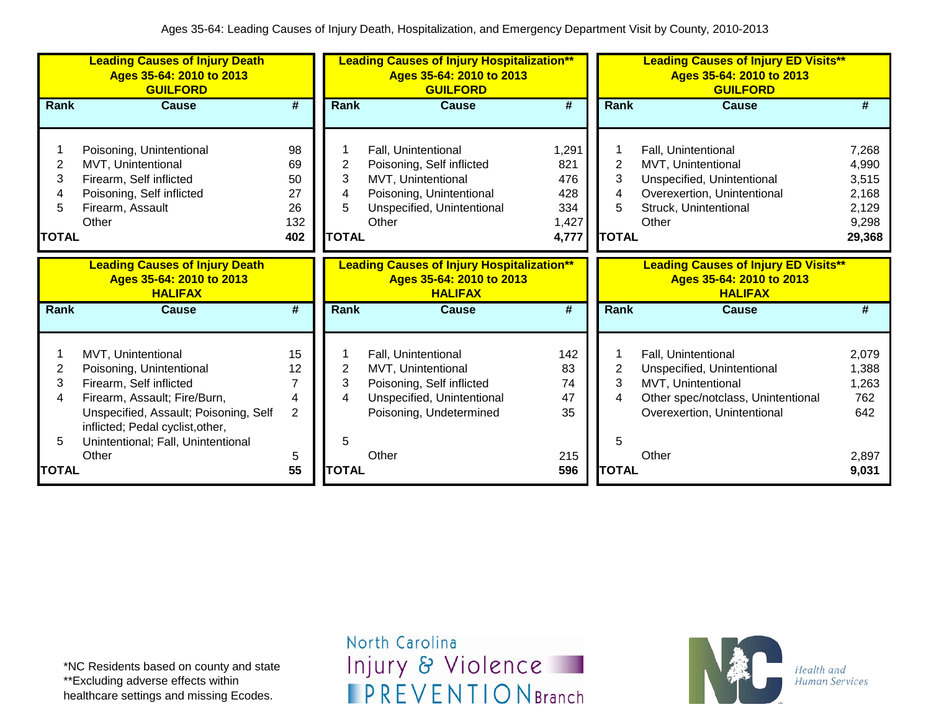|                                          | <b>Leading Causes of Injury Death</b><br>Ages 35-64: 2010 to 2013<br><b>GUILFORD</b>                                                                                                                                         |                                          | <b>Leading Causes of Injury Hospitalization**</b><br>Ages 35-64: 2010 to 2013<br><b>GUILFORD</b> |                                                                                                                                           |                                                     | <b>Leading Causes of Injury ED Visits**</b><br>Ages 35-64: 2010 to 2013<br><b>GUILFORD</b> |                                                                                                                                              |                                                              |  |
|------------------------------------------|------------------------------------------------------------------------------------------------------------------------------------------------------------------------------------------------------------------------------|------------------------------------------|--------------------------------------------------------------------------------------------------|-------------------------------------------------------------------------------------------------------------------------------------------|-----------------------------------------------------|--------------------------------------------------------------------------------------------|----------------------------------------------------------------------------------------------------------------------------------------------|--------------------------------------------------------------|--|
| Rank                                     | <b>Cause</b>                                                                                                                                                                                                                 | #                                        | Rank                                                                                             | <b>Cause</b>                                                                                                                              | $\overline{\boldsymbol{H}}$                         | Rank                                                                                       | Cause                                                                                                                                        | #                                                            |  |
| $\overline{2}$<br>3<br>5<br><b>TOTAL</b> | Poisoning, Unintentional<br>MVT, Unintentional<br>Firearm, Self inflicted<br>Poisoning, Self inflicted<br>Firearm, Assault<br>Other                                                                                          | 98<br>69<br>50<br>27<br>26<br>132<br>402 | 2<br>3<br>4<br>5<br><b>TOTAL</b>                                                                 | Fall, Unintentional<br>Poisoning, Self inflicted<br>MVT, Unintentional<br>Poisoning, Unintentional<br>Unspecified, Unintentional<br>Other | 1,291<br>821<br>476<br>428<br>334<br>1,427<br>4,777 | 2<br>3<br>4<br>5<br><b>TOTAL</b>                                                           | Fall, Unintentional<br>MVT, Unintentional<br>Unspecified, Unintentional<br>Overexertion, Unintentional<br>Struck, Unintentional<br>Other     | 7,268<br>4,990<br>3,515<br>2,168<br>2,129<br>9,298<br>29,368 |  |
|                                          | <b>Leading Causes of Injury Death</b><br>Ages 35-64: 2010 to 2013<br><b>HALIFAX</b>                                                                                                                                          |                                          |                                                                                                  | <b>Leading Causes of Injury Hospitalization**</b><br>Ages 35-64: 2010 to 2013<br><b>HALIFAX</b>                                           |                                                     |                                                                                            | <b>Leading Causes of Injury ED Visits**</b><br>Ages 35-64: 2010 to 2013<br><b>HALIFAX</b>                                                    |                                                              |  |
| <b>Rank</b>                              | <b>Cause</b>                                                                                                                                                                                                                 | #                                        | <b>Rank</b>                                                                                      | <b>Cause</b>                                                                                                                              | #                                                   | <b>Rank</b>                                                                                | <b>Cause</b>                                                                                                                                 | #                                                            |  |
| 2<br>3<br>4<br>5                         | MVT, Unintentional<br>Poisoning, Unintentional<br>Firearm, Self inflicted<br>Firearm, Assault; Fire/Burn,<br>Unspecified, Assault; Poisoning, Self<br>inflicted; Pedal cyclist, other,<br>Unintentional; Fall, Unintentional | 15<br>12<br>7<br>4<br>$\overline{2}$     | 2<br>3<br>4<br>5                                                                                 | Fall, Unintentional<br>MVT, Unintentional<br>Poisoning, Self inflicted<br>Unspecified, Unintentional<br>Poisoning, Undetermined           | 142<br>83<br>74<br>47<br>35                         | 2<br>3<br>4<br>5                                                                           | Fall, Unintentional<br>Unspecified, Unintentional<br>MVT, Unintentional<br>Other spec/notclass, Unintentional<br>Overexertion, Unintentional | 2,079<br>1,388<br>1,263<br>762<br>642                        |  |
| <b>TOTAL</b>                             | Other                                                                                                                                                                                                                        | 5<br>55                                  | <b>TOTAL</b>                                                                                     | Other                                                                                                                                     | 215<br>596                                          | <b>TOTAL</b>                                                                               | Other                                                                                                                                        | 2,897<br>9,031                                               |  |

\*NC Residents based on county and state \*\*Excluding adverse effects within healthcare settings and missing Ecodes.

North Carolina Injury & Violence **IPREVENTIONBranch** 

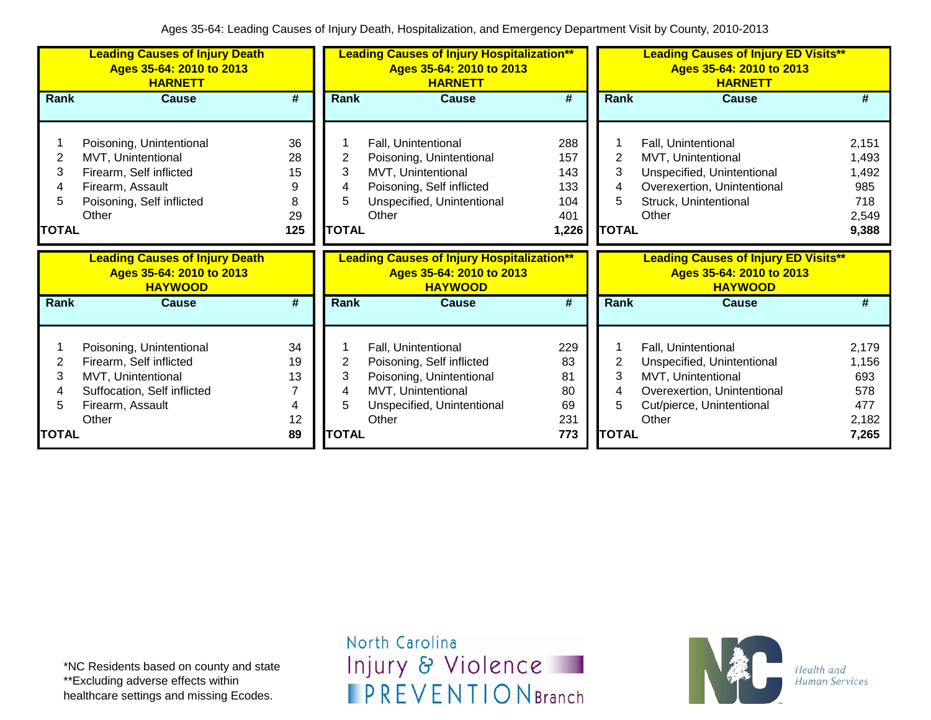|                                  | <b>Leading Causes of Injury Death</b><br>Ages 35-64: 2010 to 2013<br><b>HARNETT</b>                                                   |                                       |                                  | <b>Leading Causes of Injury Hospitalization**</b><br>Ages 35-64: 2010 to 2013<br><b>HARNETT</b>                                           |                                                 | <b>Leading Causes of Injury ED Visits**</b><br>Ages 35-64: 2010 to 2013<br><b>HARNETT</b> |                                                                                                                                              |                                                         |  |
|----------------------------------|---------------------------------------------------------------------------------------------------------------------------------------|---------------------------------------|----------------------------------|-------------------------------------------------------------------------------------------------------------------------------------------|-------------------------------------------------|-------------------------------------------------------------------------------------------|----------------------------------------------------------------------------------------------------------------------------------------------|---------------------------------------------------------|--|
| <b>Rank</b>                      | <b>Cause</b>                                                                                                                          | $\overline{\boldsymbol{t}}$           | Rank                             | <b>Cause</b>                                                                                                                              | $\overline{\#}$                                 | <b>Rank</b>                                                                               | <b>Cause</b>                                                                                                                                 | #                                                       |  |
| 2<br>3<br>4<br>5<br><b>TOTAL</b> | Poisoning, Unintentional<br>MVT, Unintentional<br>Firearm, Self inflicted<br>Firearm, Assault<br>Poisoning, Self inflicted<br>Other   | 36<br>28<br>15<br>9<br>8<br>29<br>125 | 2<br>3<br>4<br>5<br><b>TOTAL</b> | Fall, Unintentional<br>Poisoning, Unintentional<br>MVT, Unintentional<br>Poisoning, Self inflicted<br>Unspecified, Unintentional<br>Other | 288<br>157<br>143<br>133<br>104<br>401<br>1,226 | 2<br>3<br>4<br>5<br><b>TOTAL</b>                                                          | Fall, Unintentional<br>MVT, Unintentional<br>Unspecified, Unintentional<br>Overexertion, Unintentional<br>Struck, Unintentional<br>Other     | 2,151<br>1,493<br>1,492<br>985<br>718<br>2,549<br>9,388 |  |
|                                  |                                                                                                                                       |                                       |                                  |                                                                                                                                           |                                                 |                                                                                           |                                                                                                                                              |                                                         |  |
|                                  | <b>Leading Causes of Injury Death</b><br>Ages 35-64: 2010 to 2013<br><b>HAYWOOD</b>                                                   |                                       |                                  | <b>Leading Causes of Injury Hospitalization**</b><br>Ages 35-64: 2010 to 2013<br><b>HAYWOOD</b>                                           |                                                 |                                                                                           | <b>Leading Causes of Injury ED Visits**</b><br>Ages 35-64: 2010 to 2013<br><b>HAYWOOD</b>                                                    |                                                         |  |
| <b>Rank</b>                      | <b>Cause</b>                                                                                                                          | #                                     | Rank                             | <b>Cause</b>                                                                                                                              | #                                               | Rank                                                                                      | <b>Cause</b>                                                                                                                                 | #                                                       |  |
| 2<br>3<br>4<br>5<br>TOTAL        | Poisoning, Unintentional<br>Firearm, Self inflicted<br>MVT, Unintentional<br>Suffocation, Self inflicted<br>Firearm, Assault<br>Other | 34<br>19<br>13<br>7<br>4<br>12<br>89  | 2<br>3<br>4<br>5<br><b>TOTAL</b> | Fall, Unintentional<br>Poisoning, Self inflicted<br>Poisoning, Unintentional<br>MVT, Unintentional<br>Unspecified, Unintentional<br>Other | 229<br>83<br>81<br>80<br>69<br>231<br>773       | 2<br>3<br>4<br>5<br><b>TOTAL</b>                                                          | Fall, Unintentional<br>Unspecified, Unintentional<br>MVT, Unintentional<br>Overexertion, Unintentional<br>Cut/pierce, Unintentional<br>Other | 2,179<br>1,156<br>693<br>578<br>477<br>2,182<br>7,265   |  |

North Carolina Injury & Violence **IPREVENTIONBranch** 

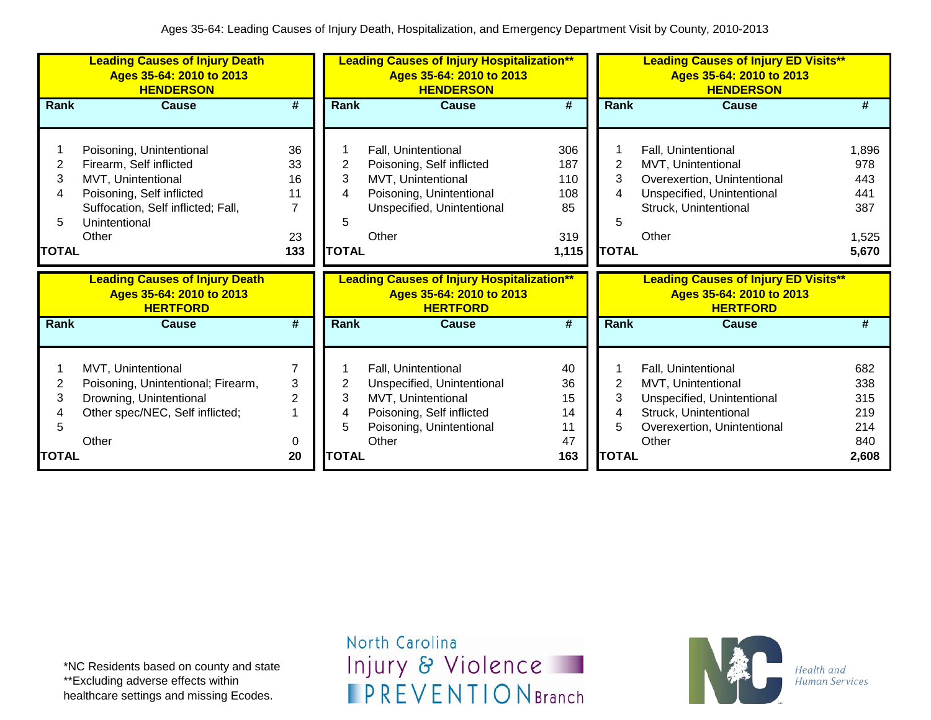|                                  | <b>Leading Causes of Injury Death</b><br>Ages 35-64: 2010 to 2013<br><b>HENDERSON</b>                                                                                  |                                                     |                                  | <b>Leading Causes of Injury Hospitalization**</b><br>Ages 35-64: 2010 to 2013<br><b>HENDERSON</b>                                         |                                                |                                  | <b>Leading Causes of Injury ED Visits**</b><br>Ages 35-64: 2010 to 2013<br><b>HENDERSON</b>                                              |                                                     |
|----------------------------------|------------------------------------------------------------------------------------------------------------------------------------------------------------------------|-----------------------------------------------------|----------------------------------|-------------------------------------------------------------------------------------------------------------------------------------------|------------------------------------------------|----------------------------------|------------------------------------------------------------------------------------------------------------------------------------------|-----------------------------------------------------|
| <b>Rank</b>                      | <b>Cause</b>                                                                                                                                                           | #                                                   | Rank                             | <b>Cause</b>                                                                                                                              | #                                              | <b>Rank</b>                      | Cause                                                                                                                                    | #                                                   |
| 2<br>3<br>4<br>5<br><b>TOTAL</b> | Poisoning, Unintentional<br>Firearm, Self inflicted<br>MVT, Unintentional<br>Poisoning, Self inflicted<br>Suffocation, Self inflicted; Fall,<br>Unintentional<br>Other | 36<br>33<br>16<br>11<br>$\overline{7}$<br>23<br>133 | 2<br>3<br>4<br>5<br><b>TOTAL</b> | Fall, Unintentional<br>Poisoning, Self inflicted<br>MVT, Unintentional<br>Poisoning, Unintentional<br>Unspecified, Unintentional<br>Other | 306<br>187<br>110<br>108<br>85<br>319<br>1,115 | 2<br>3<br>4<br>5<br><b>TOTAL</b> | Fall, Unintentional<br>MVT, Unintentional<br>Overexertion, Unintentional<br>Unspecified, Unintentional<br>Struck, Unintentional<br>Other | 1,896<br>978<br>443<br>441<br>387<br>1,525<br>5,670 |
|                                  | <b>Leading Causes of Injury Death</b><br>Ages 35-64: 2010 to 2013                                                                                                      |                                                     |                                  | <b>Leading Causes of Injury Hospitalization**</b>                                                                                         |                                                |                                  | <b>Leading Causes of Injury ED Visits**</b>                                                                                              |                                                     |
|                                  | <b>HERTFORD</b>                                                                                                                                                        |                                                     |                                  | Ages 35-64: 2010 to 2013<br><b>HERTFORD</b>                                                                                               |                                                |                                  | Ages 35-64: 2010 to 2013<br><b>HERTFORD</b>                                                                                              |                                                     |
| Rank                             | <b>Cause</b>                                                                                                                                                           | #                                                   | <b>Rank</b>                      | <b>Cause</b>                                                                                                                              | #                                              | <b>Rank</b>                      | <b>Cause</b>                                                                                                                             | #                                                   |
| 2<br>3<br>5                      | MVT, Unintentional<br>Poisoning, Unintentional; Firearm,<br>Drowning, Unintentional<br>Other spec/NEC, Self inflicted;<br>Other                                        | $\overline{7}$<br>3<br>$\overline{2}$<br>0          | 2<br>3<br>4<br>5                 | Fall, Unintentional<br>Unspecified, Unintentional<br>MVT, Unintentional<br>Poisoning, Self inflicted<br>Poisoning, Unintentional<br>Other | 40<br>36<br>15<br>14<br>11<br>47               | 2<br>3<br>4<br>5                 | Fall, Unintentional<br>MVT, Unintentional<br>Unspecified, Unintentional<br>Struck, Unintentional<br>Overexertion, Unintentional<br>Other | 682<br>338<br>315<br>219<br>214<br>840              |

\*NC Residents based on county and state \*\*Excluding adverse effects within healthcare settings and missing Ecodes.

North Carolina Injury & Violence **IPREVENTIONBranch** 

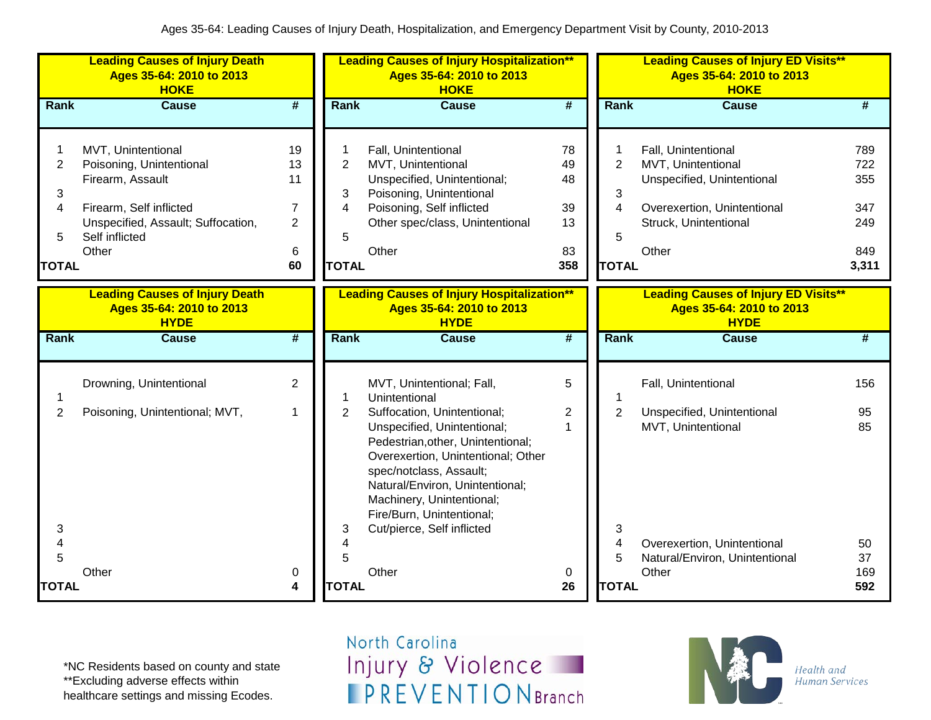|                                                    | <b>Leading Causes of Injury Death</b><br>Ages 35-64: 2010 to 2013<br><b>HOKE</b>                                                                               |                                                               |                                                    | <b>Leading Causes of Injury Hospitalization**</b><br>Ages 35-64: 2010 to 2013<br><b>HOKE</b>                                                                                                                                                                                                |                                         |                                                            | <b>Leading Causes of Injury ED Visits**</b><br>Ages 35-64: 2010 to 2013<br><b>HOKE</b>                                                   |                                                 |
|----------------------------------------------------|----------------------------------------------------------------------------------------------------------------------------------------------------------------|---------------------------------------------------------------|----------------------------------------------------|---------------------------------------------------------------------------------------------------------------------------------------------------------------------------------------------------------------------------------------------------------------------------------------------|-----------------------------------------|------------------------------------------------------------|------------------------------------------------------------------------------------------------------------------------------------------|-------------------------------------------------|
| <b>Rank</b>                                        | <b>Cause</b>                                                                                                                                                   | $\overline{\boldsymbol{t}}$                                   | <b>Rank</b>                                        | <b>Cause</b>                                                                                                                                                                                                                                                                                | $\overline{\#}$                         | <b>Rank</b>                                                | <b>Cause</b>                                                                                                                             | #                                               |
| 1<br>$\overline{2}$<br>3<br>4<br>5<br><b>TOTAL</b> | MVT, Unintentional<br>Poisoning, Unintentional<br>Firearm, Assault<br>Firearm, Self inflicted<br>Unspecified, Assault; Suffocation,<br>Self inflicted<br>Other | 19<br>13<br>11<br>$\overline{7}$<br>$\overline{2}$<br>6<br>60 | 1<br>$\overline{2}$<br>3<br>4<br>5<br><b>TOTAL</b> | Fall, Unintentional<br>MVT, Unintentional<br>Unspecified, Unintentional;<br>Poisoning, Unintentional<br>Poisoning, Self inflicted<br>Other spec/class, Unintentional<br>Other                                                                                                               | 78<br>49<br>48<br>39<br>13<br>83<br>358 | $\overline{2}$<br>3<br>$\overline{4}$<br>5<br><b>TOTAL</b> | Fall, Unintentional<br>MVT, Unintentional<br>Unspecified, Unintentional<br>Overexertion, Unintentional<br>Struck, Unintentional<br>Other | 789<br>722<br>355<br>347<br>249<br>849<br>3,311 |
|                                                    | <b>Leading Causes of Injury Death</b><br>Ages 35-64: 2010 to 2013<br><b>HYDE</b>                                                                               |                                                               |                                                    | <b>Leading Causes of Injury Hospitalization**</b><br>Ages 35-64: 2010 to 2013<br><b>HYDE</b>                                                                                                                                                                                                |                                         |                                                            | <b>Leading Causes of Injury ED Visits**</b><br>Ages 35-64: 2010 to 2013<br><b>HYDE</b>                                                   |                                                 |
| <b>Rank</b>                                        | <b>Cause</b>                                                                                                                                                   | $\overline{\boldsymbol{H}}$                                   | <b>Rank</b>                                        | <b>Cause</b>                                                                                                                                                                                                                                                                                | $\overline{\boldsymbol{t}}$             | <b>Rank</b>                                                | <b>Cause</b>                                                                                                                             | #                                               |
| 1                                                  | Drowning, Unintentional                                                                                                                                        | $\overline{2}$                                                | 1                                                  | MVT, Unintentional; Fall,<br>Unintentional                                                                                                                                                                                                                                                  | 5                                       |                                                            | Fall, Unintentional                                                                                                                      | 156                                             |
| $\overline{2}$<br>3<br>$\overline{4}$<br>5         | Poisoning, Unintentional; MVT,                                                                                                                                 | $\mathbf 1$                                                   | $\overline{2}$<br>3<br>4<br>5                      | Suffocation, Unintentional;<br>Unspecified, Unintentional;<br>Pedestrian, other, Unintentional;<br>Overexertion, Unintentional; Other<br>spec/notclass, Assault;<br>Natural/Environ, Unintentional;<br>Machinery, Unintentional;<br>Fire/Burn, Unintentional;<br>Cut/pierce, Self inflicted | $\overline{c}$<br>1                     | $\overline{2}$<br>3<br>4<br>5                              | Unspecified, Unintentional<br>MVT, Unintentional<br>Overexertion, Unintentional<br>Natural/Environ, Unintentional                        | 95<br>85<br>50<br>37                            |
| <b>TOTAL</b>                                       | Other                                                                                                                                                          | 0<br>4                                                        | <b>TOTAL</b>                                       | Other                                                                                                                                                                                                                                                                                       | 0<br>26                                 | <b>TOTAL</b>                                               | Other                                                                                                                                    | 169<br>592                                      |

\*NC Residents based on county and state \*\*Excluding adverse effects within healthcare settings and missing Ecodes.

North Carolina Injury & Violence **IPREVENTIONBranch** 

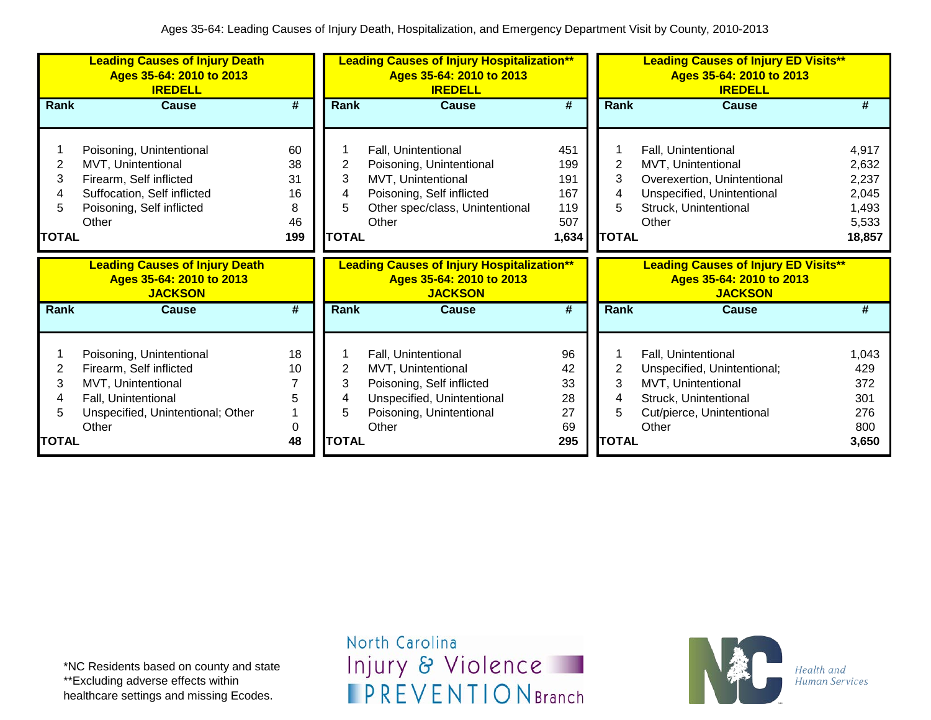|                                   | <b>Leading Causes of Injury Death</b><br>Ages 35-64: 2010 to 2013<br><b>IREDELL</b>                                                            |                                        |                                  | <b>Leading Causes of Injury Hospitalization**</b><br>Ages 35-64: 2010 to 2013<br><b>IREDELL</b>                                                |                                                 |                             | <b>Leading Causes of Injury ED Visits**</b><br>Ages 35-64: 2010 to 2013<br><b>IREDELL</b>                                                |                                                              |
|-----------------------------------|------------------------------------------------------------------------------------------------------------------------------------------------|----------------------------------------|----------------------------------|------------------------------------------------------------------------------------------------------------------------------------------------|-------------------------------------------------|-----------------------------|------------------------------------------------------------------------------------------------------------------------------------------|--------------------------------------------------------------|
| Rank                              | Cause                                                                                                                                          | #                                      | Rank                             | Cause                                                                                                                                          | #                                               | Rank                        | Cause                                                                                                                                    | #                                                            |
| 2<br>3<br>4<br>5.<br><b>TOTAL</b> | Poisoning, Unintentional<br>MVT, Unintentional<br>Firearm, Self inflicted<br>Suffocation, Self inflicted<br>Poisoning, Self inflicted<br>Other | 60<br>38<br>31<br>16<br>8<br>46<br>199 | 2<br>3<br>4<br>5<br><b>TOTAL</b> | Fall, Unintentional<br>Poisoning, Unintentional<br>MVT, Unintentional<br>Poisoning, Self inflicted<br>Other spec/class, Unintentional<br>Other | 451<br>199<br>191<br>167<br>119<br>507<br>1,634 | 2<br>3<br>5<br><b>TOTAL</b> | Fall, Unintentional<br>MVT, Unintentional<br>Overexertion, Unintentional<br>Unspecified, Unintentional<br>Struck, Unintentional<br>Other | 4,917<br>2,632<br>2,237<br>2,045<br>1,493<br>5,533<br>18,857 |
|                                   |                                                                                                                                                |                                        |                                  |                                                                                                                                                |                                                 |                             |                                                                                                                                          |                                                              |
|                                   | <b>Leading Causes of Injury Death</b><br>Ages 35-64: 2010 to 2013<br><b>JACKSON</b>                                                            |                                        |                                  | <b>Leading Causes of Injury Hospitalization**</b><br>Ages 35-64: 2010 to 2013<br><b>JACKSON</b>                                                |                                                 |                             | <b>Leading Causes of Injury ED Visits**</b><br>Ages 35-64: 2010 to 2013<br><b>JACKSON</b>                                                |                                                              |
| Rank                              | <b>Cause</b>                                                                                                                                   | #                                      | Rank                             | <b>Cause</b>                                                                                                                                   | #                                               | Rank                        | Cause                                                                                                                                    | #                                                            |
| 2<br>3<br>4<br>5                  | Poisoning, Unintentional<br>Firearm, Self inflicted<br>MVT, Unintentional<br>Fall, Unintentional<br>Unspecified, Unintentional; Other<br>Other | 18<br>10<br>5<br>0                     | 2<br>3<br>5                      | Fall, Unintentional<br>MVT, Unintentional<br>Poisoning, Self inflicted<br>Unspecified, Unintentional<br>Poisoning, Unintentional<br>Other      | 96<br>42<br>33<br>28<br>27<br>69                | 2<br>3<br>5                 | Fall, Unintentional<br>Unspecified, Unintentional;<br>MVT, Unintentional<br>Struck, Unintentional<br>Cut/pierce, Unintentional<br>Other  | 1,043<br>429<br>372<br>301<br>276<br>800                     |

\*NC Residents based on county and state \*\*Excluding adverse effects within healthcare settings and missing Ecodes.

North Carolina Injury & Violence **IPREVENTIONBranch** 

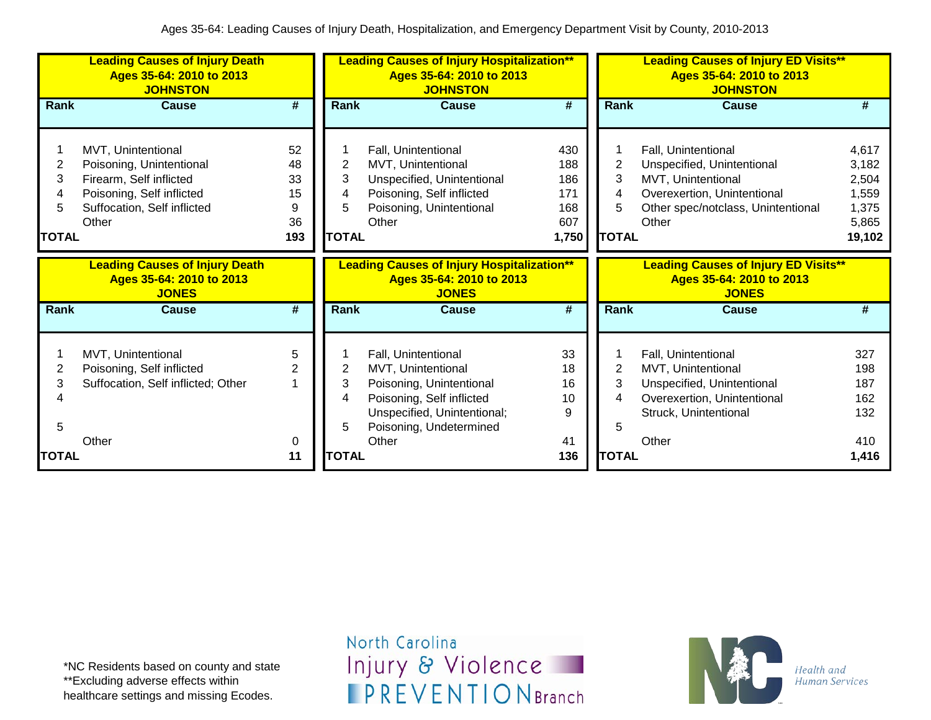|                                  | <b>Leading Causes of Injury Death</b><br>Ages 35-64: 2010 to 2013<br><b>JOHNSTON</b>                                                           |                                        |                                  | <b>Leading Causes of Injury Hospitalization**</b><br>Ages 35-64: 2010 to 2013<br><b>JOHNSTON</b>                                          |                                                 |                                  | <b>Leading Causes of Injury ED Visits**</b><br>Ages 35-64: 2010 to 2013<br><b>JOHNSTON</b>                                                            |                                                              |
|----------------------------------|------------------------------------------------------------------------------------------------------------------------------------------------|----------------------------------------|----------------------------------|-------------------------------------------------------------------------------------------------------------------------------------------|-------------------------------------------------|----------------------------------|-------------------------------------------------------------------------------------------------------------------------------------------------------|--------------------------------------------------------------|
| <b>Rank</b>                      | <b>Cause</b>                                                                                                                                   | $\overline{\boldsymbol{t}}$            | Rank                             | <b>Cause</b>                                                                                                                              | $\overline{\boldsymbol{H}}$                     | Rank                             | <b>Cause</b>                                                                                                                                          | #                                                            |
| 2<br>3<br>4<br>5<br><b>TOTAL</b> | MVT, Unintentional<br>Poisoning, Unintentional<br>Firearm, Self inflicted<br>Poisoning, Self inflicted<br>Suffocation, Self inflicted<br>Other | 52<br>48<br>33<br>15<br>9<br>36<br>193 | 2<br>3<br>4<br>5<br><b>TOTAL</b> | Fall, Unintentional<br>MVT, Unintentional<br>Unspecified, Unintentional<br>Poisoning, Self inflicted<br>Poisoning, Unintentional<br>Other | 430<br>188<br>186<br>171<br>168<br>607<br>1,750 | 2<br>3<br>4<br>5<br><b>TOTAL</b> | Fall, Unintentional<br>Unspecified, Unintentional<br>MVT, Unintentional<br>Overexertion, Unintentional<br>Other spec/notclass, Unintentional<br>Other | 4,617<br>3,182<br>2,504<br>1,559<br>1,375<br>5,865<br>19,102 |
|                                  | <b>Leading Causes of Injury Death</b><br>Ages 35-64: 2010 to 2013<br><b>JONES</b>                                                              |                                        |                                  | <b>Leading Causes of Injury Hospitalization**</b><br>Ages 35-64: 2010 to 2013<br><b>JONES</b>                                             |                                                 |                                  | <b>Leading Causes of Injury ED Visits**</b><br>Ages 35-64: 2010 to 2013<br><b>JONES</b>                                                               |                                                              |
| <b>Rank</b>                      | <b>Cause</b>                                                                                                                                   | $\overline{\boldsymbol{t}}$            | <b>Rank</b>                      | <b>Cause</b>                                                                                                                              | $\overline{\boldsymbol{H}}$                     | Rank                             | <b>Cause</b>                                                                                                                                          | #                                                            |
| 2<br>3<br>4                      | MVT, Unintentional<br>Poisoning, Self inflicted<br>Suffocation, Self inflicted; Other                                                          | 5<br>2                                 | 2<br>3<br>4                      | Fall, Unintentional<br>MVT, Unintentional<br>Poisoning, Unintentional<br>Poisoning, Self inflicted<br>Unspecified, Unintentional;         | 33<br>18<br>16<br>10<br>9                       | 2<br>3<br>4                      | Fall, Unintentional<br>MVT, Unintentional<br>Unspecified, Unintentional<br>Overexertion, Unintentional<br>Struck, Unintentional                       | 327<br>198<br>187<br>162<br>132                              |
| 5<br><b>TOTAL</b>                | Other                                                                                                                                          | 0<br>11                                | 5.<br><b>TOTAL</b>               | Poisoning, Undetermined<br>Other                                                                                                          | 41<br>136                                       | 5<br><b>TOTAL</b>                | Other                                                                                                                                                 | 410<br>1,416                                                 |

\*NC Residents based on county and state \*\*Excluding adverse effects within healthcare settings and missing Ecodes.

North Carolina Injury & Violence **IPREVENTIONBranch** 

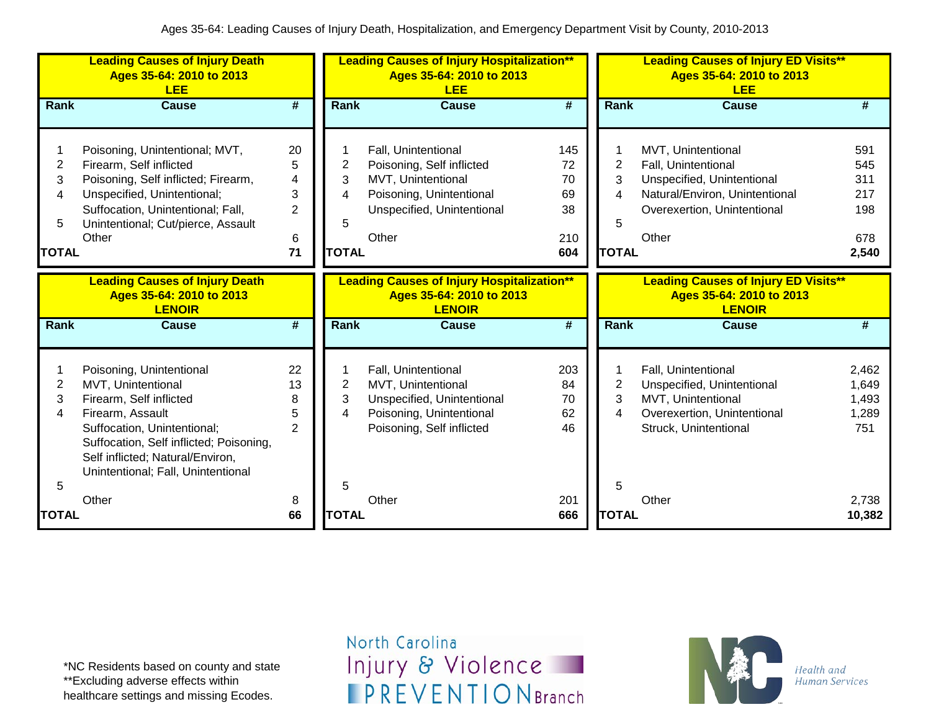|                                       | <b>Leading Causes of Injury Death</b><br>Ages 35-64: 2010 to 2013<br><b>LEE</b>                                                                                                                                                                   |                                                |                                                        | <b>Leading Causes of Injury Hospitalization**</b><br>Ages 35-64: 2010 to 2013<br><b>LEE</b>                                               |                                           |                                               | <b>Leading Causes of Injury ED Visits**</b><br>Ages 35-64: 2010 to 2013<br><b>LEE</b>                                                             |                                                 |
|---------------------------------------|---------------------------------------------------------------------------------------------------------------------------------------------------------------------------------------------------------------------------------------------------|------------------------------------------------|--------------------------------------------------------|-------------------------------------------------------------------------------------------------------------------------------------------|-------------------------------------------|-----------------------------------------------|---------------------------------------------------------------------------------------------------------------------------------------------------|-------------------------------------------------|
| <b>Rank</b>                           | <b>Cause</b>                                                                                                                                                                                                                                      | #                                              | <b>Rank</b>                                            | <b>Cause</b>                                                                                                                              | $\overline{\boldsymbol{H}}$               | <b>Rank</b>                                   | Cause                                                                                                                                             | #                                               |
| 1<br>2<br>3<br>4<br>5<br><b>TOTAL</b> | Poisoning, Unintentional; MVT,<br>Firearm, Self inflicted<br>Poisoning, Self inflicted; Firearm,<br>Unspecified, Unintentional;<br>Suffocation, Unintentional; Fall,<br>Unintentional; Cut/pierce, Assault<br>Other                               | 20<br>5<br>4<br>3<br>$\overline{2}$<br>6<br>71 | $\overline{\mathbf{c}}$<br>3<br>4<br>5<br><b>TOTAL</b> | Fall, Unintentional<br>Poisoning, Self inflicted<br>MVT, Unintentional<br>Poisoning, Unintentional<br>Unspecified, Unintentional<br>Other | 145<br>72<br>70<br>69<br>38<br>210<br>604 | $\overline{2}$<br>3<br>4<br>5<br><b>TOTAL</b> | MVT, Unintentional<br>Fall, Unintentional<br>Unspecified, Unintentional<br>Natural/Environ, Unintentional<br>Overexertion, Unintentional<br>Other | 591<br>545<br>311<br>217<br>198<br>678<br>2,540 |
|                                       | <b>Leading Causes of Injury Death</b><br>Ages 35-64: 2010 to 2013<br><b>LENOIR</b>                                                                                                                                                                |                                                |                                                        | <b>Leading Causes of Injury Hospitalization**</b><br>Ages 35-64: 2010 to 2013<br><b>LENOIR</b>                                            |                                           |                                               | <b>Leading Causes of Injury ED Visits**</b><br>Ages 35-64: 2010 to 2013<br><b>LENOIR</b>                                                          |                                                 |
| Rank                                  | <b>Cause</b>                                                                                                                                                                                                                                      | #                                              | <b>Rank</b>                                            | <b>Cause</b>                                                                                                                              | $\overline{\boldsymbol{t}}$               | Rank                                          | <b>Cause</b>                                                                                                                                      | #                                               |
| 1<br>2<br>3<br>4                      | Poisoning, Unintentional<br>MVT, Unintentional<br>Firearm, Self inflicted<br>Firearm, Assault<br>Suffocation, Unintentional;<br>Suffocation, Self inflicted; Poisoning,<br>Self inflicted; Natural/Environ,<br>Unintentional; Fall, Unintentional | 22<br>13<br>8<br>5<br>$\mathcal{P}$            | 2<br>3<br>4                                            | Fall, Unintentional<br>MVT, Unintentional<br>Unspecified, Unintentional<br>Poisoning, Unintentional<br>Poisoning, Self inflicted          | 203<br>84<br>70<br>62<br>46               | 2<br>3<br>4                                   | Fall, Unintentional<br>Unspecified, Unintentional<br>MVT, Unintentional<br>Overexertion, Unintentional<br>Struck, Unintentional                   | 2,462<br>1,649<br>1,493<br>1,289<br>751         |
| 5<br><b>TOTAL</b>                     | Other                                                                                                                                                                                                                                             | 8<br>66                                        | 5<br><b>TOTAL</b>                                      | Other                                                                                                                                     | 201<br>666                                | 5<br><b>TOTAL</b>                             | Other                                                                                                                                             | 2,738<br>10,382                                 |

\*NC Residents based on county and state \*\*Excluding adverse effects within healthcare settings and missing Ecodes.

North Carolina Injury & Violence **IPREVENTIONBranch** 

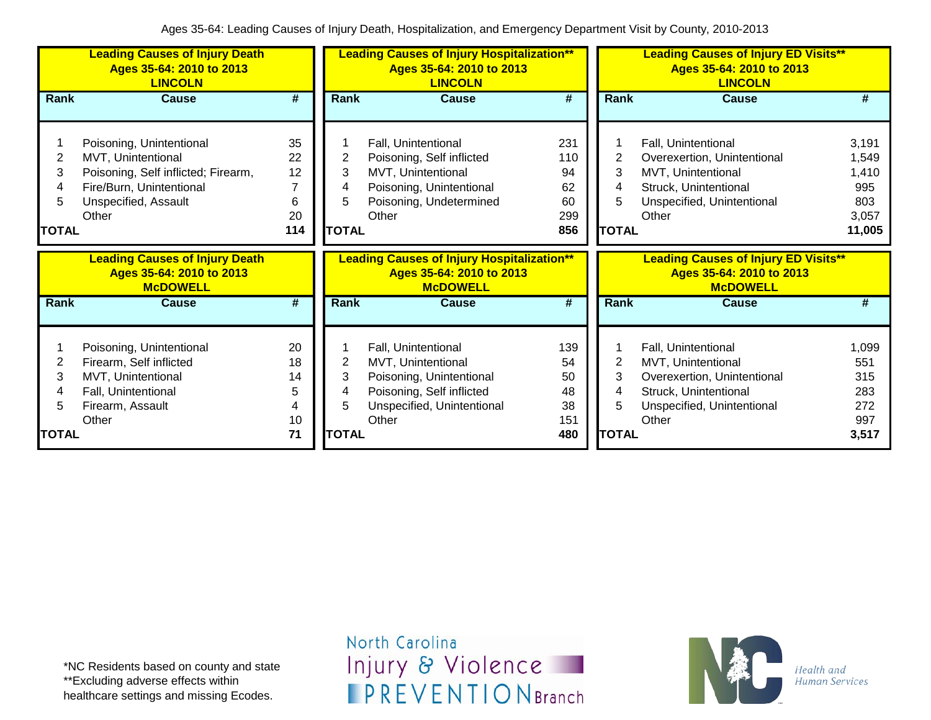|                           | <b>Leading Causes of Injury Death</b><br>Ages 35-64: 2010 to 2013<br><b>LINCOLN</b>                                                                |                                       |                                  | <b>Leading Causes of Injury Hospitalization**</b><br>Ages 35-64: 2010 to 2013<br><b>LINCOLN</b>                                           |                                            |                                               | <b>Leading Causes of Injury ED Visits**</b><br>Ages 35-64: 2010 to 2013<br><b>LINCOLN</b>                                                |                                                          |
|---------------------------|----------------------------------------------------------------------------------------------------------------------------------------------------|---------------------------------------|----------------------------------|-------------------------------------------------------------------------------------------------------------------------------------------|--------------------------------------------|-----------------------------------------------|------------------------------------------------------------------------------------------------------------------------------------------|----------------------------------------------------------|
| Rank                      | <b>Cause</b>                                                                                                                                       | #                                     | <b>Rank</b>                      | <b>Cause</b>                                                                                                                              | #                                          | <b>Rank</b>                                   | <b>Cause</b>                                                                                                                             | #                                                        |
| 2<br>3<br>4<br>5<br>TOTAL | Poisoning, Unintentional<br>MVT, Unintentional<br>Poisoning, Self inflicted; Firearm,<br>Fire/Burn, Unintentional<br>Unspecified, Assault<br>Other | 35<br>22<br>12<br>7<br>6<br>20<br>114 | 2<br>3<br>5<br><b>TOTAL</b>      | Fall, Unintentional<br>Poisoning, Self inflicted<br>MVT, Unintentional<br>Poisoning, Unintentional<br>Poisoning, Undetermined<br>Other    | 231<br>110<br>94<br>62<br>60<br>299<br>856 | $\overline{2}$<br>3<br>4<br>5<br><b>TOTAL</b> | Fall, Unintentional<br>Overexertion, Unintentional<br>MVT, Unintentional<br>Struck, Unintentional<br>Unspecified, Unintentional<br>Other | 3,191<br>1,549<br>1,410<br>995<br>803<br>3,057<br>11,005 |
|                           | <b>Leading Causes of Injury Death</b><br>Ages 35-64: 2010 to 2013<br><b>McDOWELL</b>                                                               |                                       |                                  | <b>Leading Causes of Injury Hospitalization**</b><br>Ages 35-64: 2010 to 2013<br><b>McDOWELL</b>                                          |                                            |                                               | <b>Leading Causes of Injury ED Visits**</b><br>Ages 35-64: 2010 to 2013<br><b>McDOWELL</b>                                               |                                                          |
| Rank                      | <b>Cause</b>                                                                                                                                       | #                                     | <b>Rank</b>                      | <b>Cause</b>                                                                                                                              | #                                          | <b>Rank</b>                                   | <b>Cause</b>                                                                                                                             | #                                                        |
| 2<br>3<br>4<br>5<br>TOTAL | Poisoning, Unintentional<br>Firearm, Self inflicted<br>MVT, Unintentional<br>Fall, Unintentional<br>Firearm, Assault<br>Other                      | 20<br>18<br>14<br>5<br>4<br>10<br>71  | 2<br>3<br>4<br>5<br><b>TOTAL</b> | Fall, Unintentional<br>MVT, Unintentional<br>Poisoning, Unintentional<br>Poisoning, Self inflicted<br>Unspecified, Unintentional<br>Other | 139<br>54<br>50<br>48<br>38<br>151<br>480  | $\overline{2}$<br>3<br>4<br>5<br><b>TOTAL</b> | Fall, Unintentional<br>MVT, Unintentional<br>Overexertion, Unintentional<br>Struck, Unintentional<br>Unspecified, Unintentional<br>Other | 1,099<br>551<br>315<br>283<br>272<br>997<br>3,517        |

\*NC Residents based on county and state \*\*Excluding adverse effects within healthcare settings and missing Ecodes.

North Carolina Injury & Violence **IPREVENTIONBranch** 

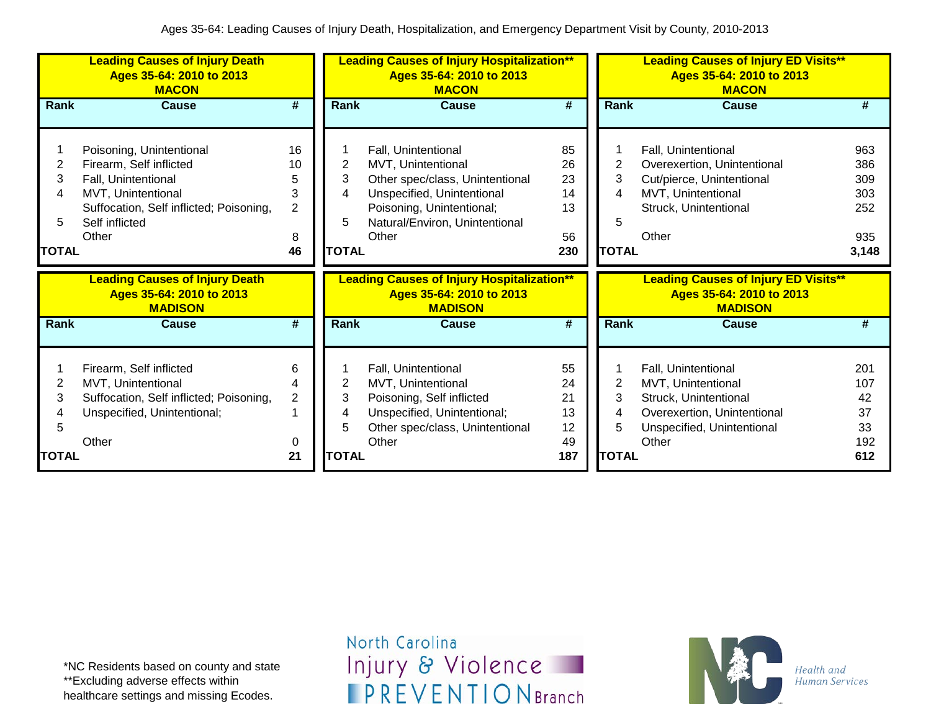|              | <b>Leading Causes of Injury Death</b><br>Ages 35-64: 2010 to 2013<br><b>MACON</b>   |                |                | <b>Leading Causes of Injury Hospitalization**</b><br>Ages 35-64: 2010 to 2013<br><b>MACON</b>   |                             |              | <b>Leading Causes of Injury ED Visits**</b><br>Ages 35-64: 2010 to 2013<br><b>MACON</b>   |            |
|--------------|-------------------------------------------------------------------------------------|----------------|----------------|-------------------------------------------------------------------------------------------------|-----------------------------|--------------|-------------------------------------------------------------------------------------------|------------|
| <b>Rank</b>  | Cause                                                                               | #              | <b>Rank</b>    | <b>Cause</b>                                                                                    | $\overline{\boldsymbol{t}}$ | Rank         | <b>Cause</b>                                                                              | #          |
|              |                                                                                     |                |                |                                                                                                 |                             |              |                                                                                           |            |
|              | Poisoning, Unintentional                                                            | 16             |                | Fall, Unintentional                                                                             | 85                          |              | Fall, Unintentional                                                                       | 963        |
| 2            | Firearm, Self inflicted                                                             | 10             | 2              | MVT, Unintentional                                                                              | 26                          | 2            | Overexertion, Unintentional                                                               | 386        |
| 3            | Fall, Unintentional                                                                 | 5              | 3              | Other spec/class, Unintentional                                                                 | 23                          | 3            | Cut/pierce, Unintentional                                                                 | 309        |
| 4            | MVT, Unintentional                                                                  | 3              |                | Unspecified, Unintentional                                                                      | 14                          | 4            | MVT, Unintentional                                                                        | 303        |
|              | Suffocation, Self inflicted; Poisoning,                                             | $\overline{2}$ |                | Poisoning, Unintentional;                                                                       | 13                          |              | Struck, Unintentional                                                                     | 252        |
| 5            | Self inflicted                                                                      |                | 5              | Natural/Environ, Unintentional                                                                  |                             | 5            |                                                                                           |            |
|              | Other                                                                               | 8              |                | Other                                                                                           | 56                          |              | Other                                                                                     | 935        |
| <b>TOTAL</b> |                                                                                     | 46             | <b>TOTAL</b>   |                                                                                                 | 230                         | <b>TOTAL</b> |                                                                                           | 3,148      |
|              |                                                                                     |                |                |                                                                                                 |                             |              |                                                                                           |            |
|              | <b>Leading Causes of Injury Death</b><br>Ages 35-64: 2010 to 2013<br><b>MADISON</b> |                |                | <b>Leading Causes of Injury Hospitalization**</b><br>Ages 35-64: 2010 to 2013<br><b>MADISON</b> |                             |              | <b>Leading Causes of Injury ED Visits**</b><br>Ages 35-64: 2010 to 2013<br><b>MADISON</b> |            |
| Rank         | <b>Cause</b>                                                                        | #              | <b>Rank</b>    | Cause                                                                                           | #                           | Rank         | <b>Cause</b>                                                                              | #          |
|              |                                                                                     |                |                |                                                                                                 |                             |              |                                                                                           |            |
|              | Firearm, Self inflicted                                                             | 6              |                | Fall, Unintentional                                                                             | 55                          |              | Fall, Unintentional                                                                       | 201        |
| 2            | MVT, Unintentional                                                                  | 4              | $\overline{2}$ | MVT, Unintentional                                                                              | 24                          | 2            | MVT, Unintentional                                                                        | 107        |
| 3            | Suffocation, Self inflicted; Poisoning,                                             | $\overline{2}$ | 3              | Poisoning, Self inflicted                                                                       | 21                          | 3            | Struck, Unintentional                                                                     | 42         |
|              | Unspecified, Unintentional;                                                         |                |                | Unspecified, Unintentional;                                                                     | 13                          | 4            | Overexertion, Unintentional                                                               | 37         |
| 5            |                                                                                     |                |                | Other spec/class, Unintentional                                                                 | 12                          | 5            | Unspecified, Unintentional                                                                | 33         |
| <b>TOTAL</b> | Other                                                                               | 0<br>21        | <b>TOTAL</b>   | Other                                                                                           | 49<br>187                   | <b>TOTAL</b> | Other                                                                                     | 192<br>612 |

\*NC Residents based on county and state \*\*Excluding adverse effects within healthcare settings and missing Ecodes.

North Carolina Injury & Violence **IPREVENTIONBranch** 

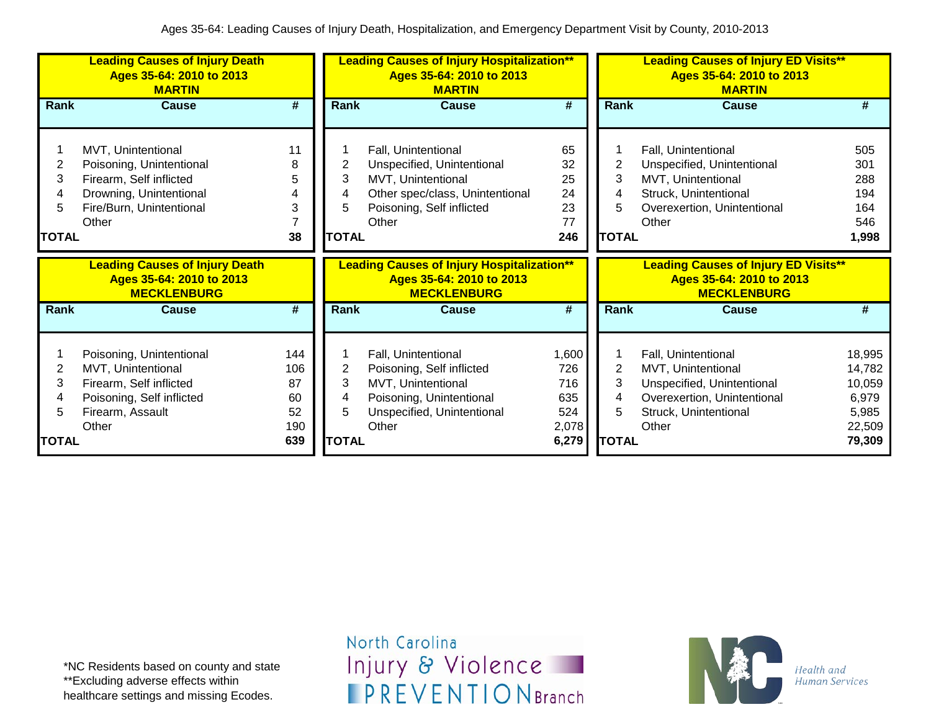|                                  | <b>Leading Causes of Injury Death</b><br>Ages 35-64: 2010 to 2013<br><b>MARTIN</b>                                                        |                                     |                                   | <b>Leading Causes of Injury Hospitalization**</b><br>Ages 35-64: 2010 to 2013<br><b>MARTIN</b>                                                   |                                            |                               | <b>Leading Causes of Injury ED Visits**</b><br>Ages 35-64: 2010 to 2013<br><b>MARTIN</b>                                                 |                                                        |
|----------------------------------|-------------------------------------------------------------------------------------------------------------------------------------------|-------------------------------------|-----------------------------------|--------------------------------------------------------------------------------------------------------------------------------------------------|--------------------------------------------|-------------------------------|------------------------------------------------------------------------------------------------------------------------------------------|--------------------------------------------------------|
| Rank                             | <b>Cause</b>                                                                                                                              | #                                   | Rank                              | <b>Cause</b>                                                                                                                                     | #                                          | Rank                          | <b>Cause</b>                                                                                                                             | #                                                      |
| 2<br>3<br>4<br>5<br><b>TOTAL</b> | MVT, Unintentional<br>Poisoning, Unintentional<br>Firearm, Self inflicted<br>Drowning, Unintentional<br>Fire/Burn, Unintentional<br>Other | 11<br>8<br>5<br>4<br>3<br>38        | 2<br>3<br>4<br>5.<br><b>TOTAL</b> | Fall, Unintentional<br>Unspecified, Unintentional<br>MVT, Unintentional<br>Other spec/class, Unintentional<br>Poisoning, Self inflicted<br>Other | 65<br>32<br>25<br>24<br>23<br>77<br>246    | 2<br>3<br>4<br><b>TOTAL</b>   | Fall, Unintentional<br>Unspecified, Unintentional<br>MVT, Unintentional<br>Struck, Unintentional<br>Overexertion, Unintentional<br>Other | 505<br>301<br>288<br>194<br>164<br>546<br>1,998        |
|                                  | <b>Leading Causes of Injury Death</b><br>Ages 35-64: 2010 to 2013<br><b>MECKLENBURG</b>                                                   |                                     |                                   | <b>Leading Causes of Injury Hospitalization**</b><br>Ages 35-64: 2010 to 2013<br><b>MECKLENBURG</b>                                              |                                            |                               | <b>Leading Causes of Injury ED Visits**</b><br>Ages 35-64: 2010 to 2013<br><b>MECKLENBURG</b>                                            |                                                        |
| <b>Rank</b>                      | <b>Cause</b>                                                                                                                              | #                                   | <b>Rank</b>                       |                                                                                                                                                  |                                            |                               |                                                                                                                                          | #                                                      |
|                                  |                                                                                                                                           |                                     |                                   | <b>Cause</b>                                                                                                                                     | #                                          | <b>Rank</b>                   | <b>Cause</b>                                                                                                                             |                                                        |
| 2<br>3<br>4<br>5                 | Poisoning, Unintentional<br>MVT, Unintentional<br>Firearm, Self inflicted<br>Poisoning, Self inflicted<br>Firearm, Assault<br>Other       | 144<br>106<br>87<br>60<br>52<br>190 | 2<br>3<br>4<br>5                  | Fall, Unintentional<br>Poisoning, Self inflicted<br>MVT, Unintentional<br>Poisoning, Unintentional<br>Unspecified, Unintentional<br>Other        | 1,600<br>726<br>716<br>635<br>524<br>2,078 | $\overline{2}$<br>3<br>4<br>5 | Fall, Unintentional<br>MVT, Unintentional<br>Unspecified, Unintentional<br>Overexertion, Unintentional<br>Struck, Unintentional<br>Other | 18,995<br>14,782<br>10,059<br>6,979<br>5,985<br>22,509 |

\*NC Residents based on county and state \*\*Excluding adverse effects within healthcare settings and missing Ecodes.

North Carolina Injury & Violence **IPREVENTIONBranch** 

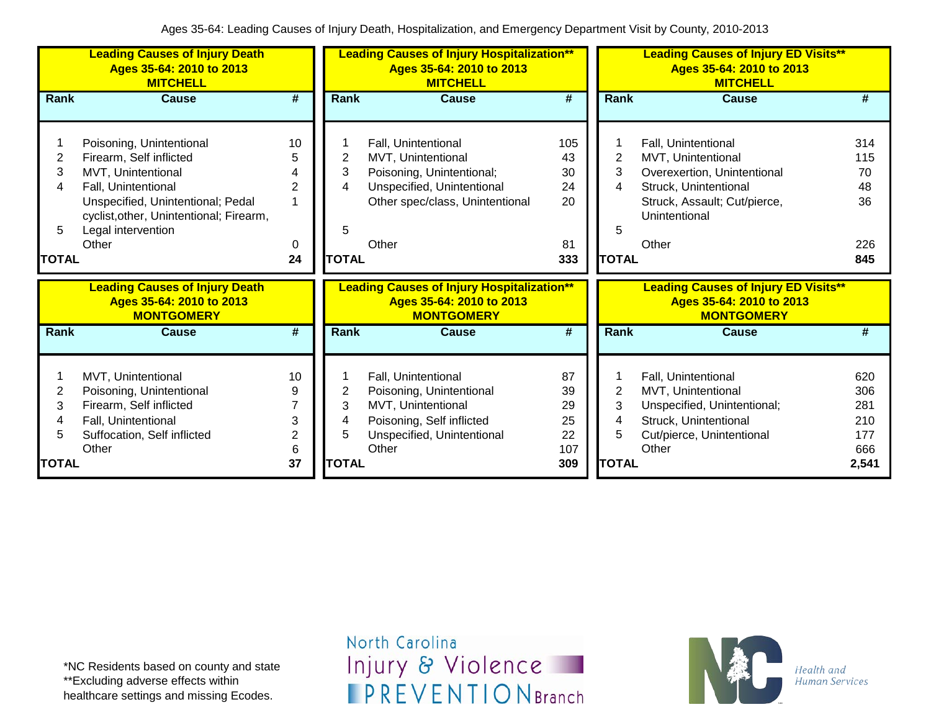|              | <b>Leading Causes of Injury Death</b><br>Ages 35-64: 2010 to 2013<br><b>MITCHELL</b>   |                |              | <b>Leading Causes of Injury Hospitalization**</b><br>Ages 35-64: 2010 to 2013<br><b>MITCHELL</b>   |     |                | <b>Leading Causes of Injury ED Visits**</b><br>Ages 35-64: 2010 to 2013<br><b>MITCHELL</b>   |       |
|--------------|----------------------------------------------------------------------------------------|----------------|--------------|----------------------------------------------------------------------------------------------------|-----|----------------|----------------------------------------------------------------------------------------------|-------|
| Rank         | <b>Cause</b>                                                                           | #              | Rank         | <b>Cause</b>                                                                                       | #   | Rank           | <b>Cause</b>                                                                                 |       |
|              |                                                                                        |                |              |                                                                                                    |     |                |                                                                                              |       |
|              | Poisoning, Unintentional                                                               | 10             |              | Fall, Unintentional                                                                                | 105 |                | Fall, Unintentional                                                                          | 314   |
| 2            | Firearm, Self inflicted                                                                | 5              | 2            | MVT, Unintentional                                                                                 | 43  | 2              | MVT, Unintentional                                                                           | 115   |
| 3            | MVT, Unintentional                                                                     |                | 3            | Poisoning, Unintentional;                                                                          | 30  | 3              | Overexertion, Unintentional                                                                  | 70    |
| 4            | Fall, Unintentional                                                                    | 2              | 4            | Unspecified, Unintentional                                                                         | 24  | 4              | Struck, Unintentional                                                                        | 48    |
|              | Unspecified, Unintentional; Pedal                                                      |                |              | Other spec/class, Unintentional                                                                    | 20  |                | Struck, Assault; Cut/pierce,                                                                 | 36    |
|              | cyclist, other, Unintentional; Firearm,                                                |                |              |                                                                                                    |     |                | Unintentional                                                                                |       |
| 5            | Legal intervention                                                                     |                | 5            |                                                                                                    |     | 5              |                                                                                              |       |
|              | Other                                                                                  | 0              |              | Other                                                                                              | 81  |                | Other                                                                                        | 226   |
| <b>TOTAL</b> |                                                                                        | 24             | <b>TOTAL</b> |                                                                                                    | 333 | <b>TOTAL</b>   |                                                                                              | 845   |
|              | <b>Leading Causes of Injury Death</b><br>Ages 35-64: 2010 to 2013<br><b>MONTGOMERY</b> |                |              | <b>Leading Causes of Injury Hospitalization**</b><br>Ages 35-64: 2010 to 2013<br><b>MONTGOMERY</b> |     |                | <b>Leading Causes of Injury ED Visits**</b><br>Ages 35-64: 2010 to 2013<br><b>MONTGOMERY</b> |       |
| Rank         | <b>Cause</b>                                                                           | #              | <b>Rank</b>  | <b>Cause</b>                                                                                       | #   | <b>Rank</b>    | <b>Cause</b>                                                                                 | #     |
|              |                                                                                        |                |              |                                                                                                    |     |                |                                                                                              |       |
|              | MVT, Unintentional                                                                     | 10             |              | Fall, Unintentional                                                                                | 87  |                | Fall, Unintentional                                                                          | 620   |
| 2            | Poisoning, Unintentional                                                               | 9              | 2            | Poisoning, Unintentional                                                                           | 39  | $\overline{2}$ | MVT, Unintentional                                                                           | 306   |
| 3            | Firearm, Self inflicted                                                                | 7              | 3            | MVT, Unintentional                                                                                 | 29  | 3              | Unspecified, Unintentional;                                                                  | 281   |
| 4            | Fall, Unintentional                                                                    | 3              | 4            | Poisoning, Self inflicted                                                                          | 25  | 4              | Struck, Unintentional                                                                        | 210   |
| 5            | Suffocation, Self inflicted                                                            | $\overline{c}$ | 5            | Unspecified, Unintentional                                                                         | 22  | 5              | Cut/pierce, Unintentional                                                                    | 177   |
|              | Other                                                                                  | 6              |              | Other                                                                                              | 107 |                | Other                                                                                        | 666   |
| <b>TOTAL</b> |                                                                                        | 37             | <b>TOTAL</b> |                                                                                                    | 309 | <b>TOTAL</b>   |                                                                                              | 2,541 |

\*NC Residents based on county and state \*\*Excluding adverse effects within healthcare settings and missing Ecodes.

North Carolina Injury & Violence **IPREVENTIONBranch** 

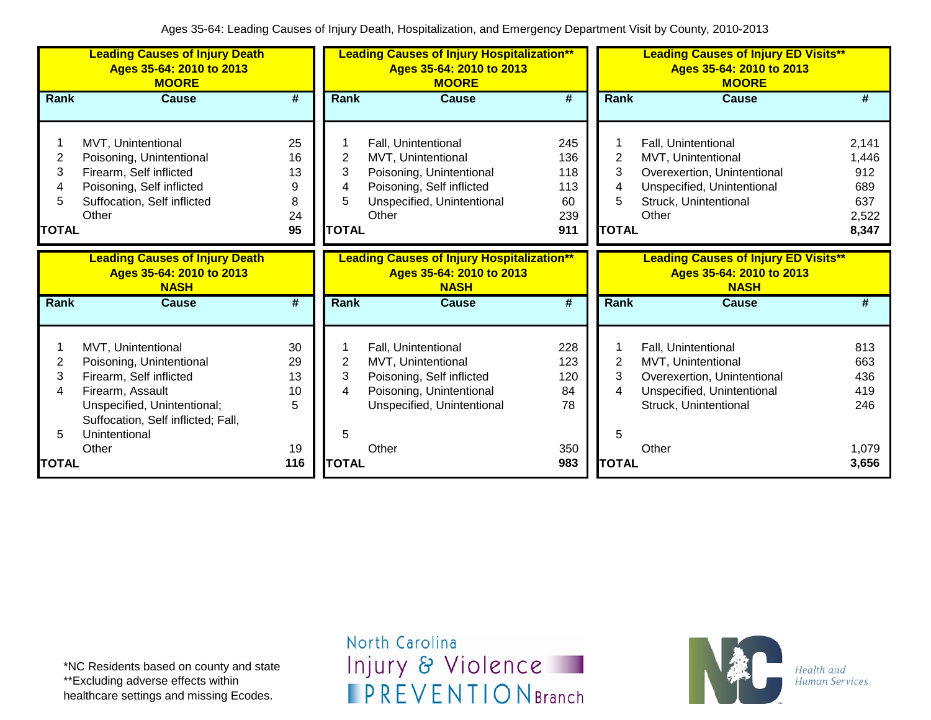|                             | <b>Leading Causes of Injury Death</b><br>Ages 35-64: 2010 to 2013<br><b>MOORE</b>                                                                                                   |                                      |                                          | <b>Leading Causes of Injury Hospitalization**</b><br>Ages 35-64: 2010 to 2013<br><b>MOORE</b>                                             |                                              |                                               | <b>Leading Causes of Injury ED Visits**</b><br>Ages 35-64: 2010 to 2013<br><b>MOORE</b>                                                  |                                                       |
|-----------------------------|-------------------------------------------------------------------------------------------------------------------------------------------------------------------------------------|--------------------------------------|------------------------------------------|-------------------------------------------------------------------------------------------------------------------------------------------|----------------------------------------------|-----------------------------------------------|------------------------------------------------------------------------------------------------------------------------------------------|-------------------------------------------------------|
| <b>Rank</b>                 | <b>Cause</b>                                                                                                                                                                        | $\overline{\boldsymbol{t}}$          | Rank                                     | <b>Cause</b>                                                                                                                              | #                                            | <b>Rank</b>                                   | <b>Cause</b>                                                                                                                             | #                                                     |
| 2<br>3<br>5<br><b>TOTAL</b> | MVT, Unintentional<br>Poisoning, Unintentional<br>Firearm, Self inflicted<br>Poisoning, Self inflicted<br>Suffocation, Self inflicted<br>Other                                      | 25<br>16<br>13<br>9<br>8<br>24<br>95 | $\overline{2}$<br>3<br>5<br><b>TOTAL</b> | Fall, Unintentional<br>MVT, Unintentional<br>Poisoning, Unintentional<br>Poisoning, Self inflicted<br>Unspecified, Unintentional<br>Other | 245<br>136<br>118<br>113<br>60<br>239<br>911 | $\overline{2}$<br>3<br>4<br>5<br><b>TOTAL</b> | Fall, Unintentional<br>MVT, Unintentional<br>Overexertion, Unintentional<br>Unspecified, Unintentional<br>Struck, Unintentional<br>Other | 2,141<br>1,446<br>912<br>689<br>637<br>2,522<br>8,347 |
|                             | <b>Leading Causes of Injury Death</b><br>Ages 35-64: 2010 to 2013<br><b>NASH</b>                                                                                                    |                                      |                                          | <b>Leading Causes of Injury Hospitalization**</b><br>Ages 35-64: 2010 to 2013<br><b>NASH</b>                                              |                                              |                                               | <b>Leading Causes of Injury ED Visits**</b><br>Ages 35-64: 2010 to 2013<br><b>NASH</b>                                                   |                                                       |
| <b>Rank</b>                 | <b>Cause</b>                                                                                                                                                                        | #                                    | Rank                                     | <b>Cause</b>                                                                                                                              | #                                            | Rank                                          | <b>Cause</b>                                                                                                                             | #                                                     |
| 2<br>3<br>4<br>5            | MVT, Unintentional<br>Poisoning, Unintentional<br>Firearm, Self inflicted<br>Firearm, Assault<br>Unspecified, Unintentional;<br>Suffocation, Self inflicted; Fall,<br>Unintentional | 30<br>29<br>13<br>10<br>5            | $\overline{c}$<br>3<br>4<br>5            | Fall, Unintentional<br>MVT, Unintentional<br>Poisoning, Self inflicted<br>Poisoning, Unintentional<br>Unspecified, Unintentional          | 228<br>123<br>120<br>84<br>78                | 2<br>3<br>4<br>5                              | Fall, Unintentional<br>MVT, Unintentional<br>Overexertion, Unintentional<br>Unspecified, Unintentional<br>Struck, Unintentional          | 813<br>663<br>436<br>419<br>246                       |
| <b>TOTAL</b>                | Other                                                                                                                                                                               | 19<br>116                            | <b>TOTAL</b>                             | Other                                                                                                                                     | 350<br>983                                   | <b>TOTAL</b>                                  | Other                                                                                                                                    | 1,079<br>3,656                                        |

\*NC Residents based on county and state \*\*Excluding adverse effects within healthcare settings and missing Ecodes.

North Carolina Injury & Violence **IPREVENTIONBranch** 

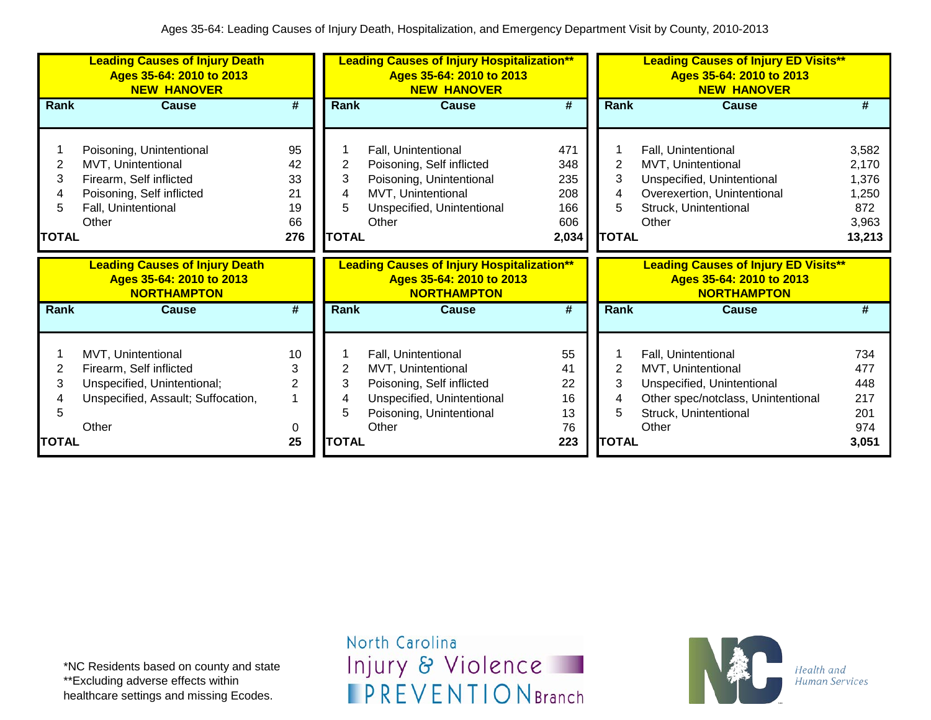|              | <b>Leading Causes of Injury Death</b><br>Ages 35-64: 2010 to 2013<br><b>NEW HANOVER</b> |                             |              | <b>Leading Causes of Injury Hospitalization**</b><br>Ages 35-64: 2010 to 2013<br><b>NEW HANOVER</b> |                             |                | <b>Leading Causes of Injury ED Visits**</b><br>Ages 35-64: 2010 to 2013<br><b>NEW HANOVER</b> |              |
|--------------|-----------------------------------------------------------------------------------------|-----------------------------|--------------|-----------------------------------------------------------------------------------------------------|-----------------------------|----------------|-----------------------------------------------------------------------------------------------|--------------|
| Rank         | <b>Cause</b>                                                                            | #                           | Rank         | <b>Cause</b>                                                                                        | #                           | Rank           | <b>Cause</b>                                                                                  | #            |
|              | Poisoning, Unintentional                                                                | 95                          |              | Fall, Unintentional                                                                                 | 471                         |                | Fall, Unintentional                                                                           | 3,582        |
| 2            | MVT, Unintentional                                                                      | 42                          | 2            | Poisoning, Self inflicted                                                                           | 348                         | $\overline{2}$ | MVT, Unintentional                                                                            | 2,170        |
| 3            | Firearm, Self inflicted                                                                 | 33                          | 3            | Poisoning, Unintentional                                                                            | 235                         | 3              | Unspecified, Unintentional                                                                    | 1,376        |
| 4            | Poisoning, Self inflicted                                                               | 21                          | 4            | MVT, Unintentional                                                                                  | 208                         | 4              | Overexertion, Unintentional                                                                   | 1,250        |
| 5            | Fall, Unintentional                                                                     | 19                          | 5            | Unspecified, Unintentional                                                                          | 166                         |                | Struck, Unintentional                                                                         | 872          |
|              | Other                                                                                   | 66                          |              | Other                                                                                               | 606                         |                | Other                                                                                         | 3,963        |
| <b>TOTAL</b> |                                                                                         | 276                         | <b>TOTAL</b> |                                                                                                     | 2,034                       | <b>TOTAL</b>   |                                                                                               | 13,213       |
|              |                                                                                         |                             |              |                                                                                                     |                             |                |                                                                                               |              |
|              | <b>Leading Causes of Injury Death</b><br>Ages 35-64: 2010 to 2013<br><b>NORTHAMPTON</b> |                             |              | <b>Leading Causes of Injury Hospitalization**</b><br>Ages 35-64: 2010 to 2013<br><b>NORTHAMPTON</b> |                             |                | <b>Leading Causes of Injury ED Visits**</b><br>Ages 35-64: 2010 to 2013<br><b>NORTHAMPTON</b> |              |
| Rank         | <b>Cause</b>                                                                            | $\overline{\boldsymbol{t}}$ | <b>Rank</b>  | <b>Cause</b>                                                                                        | $\overline{\boldsymbol{t}}$ | Rank           | <b>Cause</b>                                                                                  | #            |
|              |                                                                                         |                             |              |                                                                                                     |                             |                |                                                                                               |              |
|              | MVT, Unintentional                                                                      | 10                          |              | Fall, Unintentional                                                                                 | 55                          |                | Fall, Unintentional                                                                           | 734          |
| 2            | Firearm, Self inflicted                                                                 | 3                           | 2            | MVT, Unintentional                                                                                  | 41                          | 2              | MVT, Unintentional                                                                            | 477          |
| 3            | Unspecified, Unintentional;                                                             | $\overline{2}$              | 3            | Poisoning, Self inflicted                                                                           | 22                          | 3              | Unspecified, Unintentional                                                                    | 448          |
|              | Unspecified, Assault; Suffocation,                                                      | 1                           | 4            | Unspecified, Unintentional                                                                          | 16                          | 4              | Other spec/notclass, Unintentional                                                            | 217          |
| 5            |                                                                                         |                             | 5            | Poisoning, Unintentional                                                                            | 13                          | 5              | Struck, Unintentional                                                                         | 201          |
| <b>TOTAL</b> | Other                                                                                   | 0<br>25                     | <b>TOTAL</b> | Other                                                                                               | 76<br>223                   | <b>TOTAL</b>   | Other                                                                                         | 974<br>3,051 |

\*NC Residents based on county and state \*\*Excluding adverse effects within healthcare settings and missing Ecodes.

North Carolina Injury & Violence **IPREVENTIONBranch** 

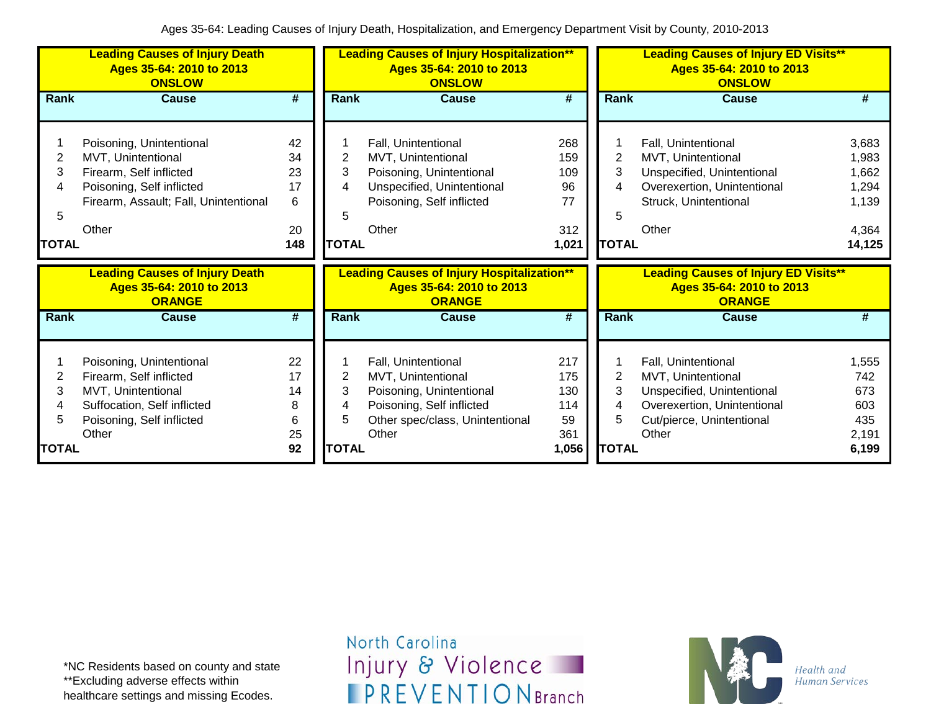|              | <b>Leading Causes of Injury Death</b><br>Ages 35-64: 2010 to 2013<br><b>ONSLOW</b> |         |              | <b>Leading Causes of Injury Hospitalization**</b><br>Ages 35-64: 2010 to 2013<br><b>ONSLOW</b> |                             |              | <b>Leading Causes of Injury ED Visits**</b><br>Ages 35-64: 2010 to 2013<br><b>ONSLOW</b> |              |
|--------------|------------------------------------------------------------------------------------|---------|--------------|------------------------------------------------------------------------------------------------|-----------------------------|--------------|------------------------------------------------------------------------------------------|--------------|
| Rank         | <b>Cause</b>                                                                       | #       | <b>Rank</b>  | <b>Cause</b>                                                                                   | $\overline{\boldsymbol{t}}$ | Rank         | <b>Cause</b>                                                                             | #            |
|              |                                                                                    |         |              |                                                                                                |                             |              |                                                                                          |              |
|              | Poisoning, Unintentional                                                           | 42      |              | Fall, Unintentional                                                                            | 268                         |              | Fall, Unintentional                                                                      | 3,683        |
| 2            | MVT, Unintentional                                                                 | 34      | 2            | MVT, Unintentional                                                                             | 159                         | 2            | MVT, Unintentional                                                                       | 1,983        |
| 3            | Firearm, Self inflicted                                                            | 23      | 3            | Poisoning, Unintentional                                                                       | 109                         | 3            | Unspecified, Unintentional                                                               | 1,662        |
| 4            | Poisoning, Self inflicted                                                          | 17      | 4            | Unspecified, Unintentional                                                                     | 96                          | 4            | Overexertion, Unintentional                                                              | 1,294        |
|              | Firearm, Assault; Fall, Unintentional                                              | 6       |              | Poisoning, Self inflicted                                                                      | 77                          |              | Struck, Unintentional                                                                    | 1,139        |
| 5            |                                                                                    |         | 5            |                                                                                                |                             | 5            |                                                                                          |              |
|              | Other                                                                              | 20      |              | Other                                                                                          | 312                         |              | Other                                                                                    | 4,364        |
| <b>TOTAL</b> |                                                                                    | 148     | <b>TOTAL</b> |                                                                                                | 1,021                       | <b>TOTAL</b> |                                                                                          | 14,125       |
|              |                                                                                    |         |              |                                                                                                |                             |              |                                                                                          |              |
|              | <b>Leading Causes of Injury Death</b><br>Ages 35-64: 2010 to 2013<br><b>ORANGE</b> |         |              | <b>Leading Causes of Injury Hospitalization**</b><br>Ages 35-64: 2010 to 2013<br><b>ORANGE</b> |                             |              | <b>Leading Causes of Injury ED Visits**</b><br>Ages 35-64: 2010 to 2013<br><b>ORANGE</b> |              |
| Rank         | <b>Cause</b>                                                                       | #       | <b>Rank</b>  | <b>Cause</b>                                                                                   | $\overline{\boldsymbol{t}}$ | Rank         | <b>Cause</b>                                                                             | #            |
|              |                                                                                    |         |              |                                                                                                |                             |              |                                                                                          |              |
|              | Poisoning, Unintentional                                                           | 22      |              | Fall, Unintentional                                                                            | 217                         |              | Fall, Unintentional                                                                      | 1,555        |
| 2            | Firearm, Self inflicted                                                            | 17      | 2            | MVT, Unintentional                                                                             | 175                         | 2            | MVT, Unintentional                                                                       | 742          |
| 3            | MVT, Unintentional                                                                 | 14      | 3            | Poisoning, Unintentional                                                                       | 130                         | 3            | Unspecified, Unintentional                                                               | 673          |
| 4<br>5       | Suffocation, Self inflicted                                                        | 8       | 4<br>5       | Poisoning, Self inflicted                                                                      | 114                         | 4<br>5       | Overexertion, Unintentional                                                              | 603          |
|              | Poisoning, Self inflicted<br>Other                                                 | 6<br>25 |              | Other spec/class, Unintentional<br>Other                                                       | 59<br>361                   |              | Cut/pierce, Unintentional<br>Other                                                       | 435<br>2,191 |

\*NC Residents based on county and state \*\*Excluding adverse effects within healthcare settings and missing Ecodes.

North Carolina Injury & Violence **IPREVENTIONBranch** 

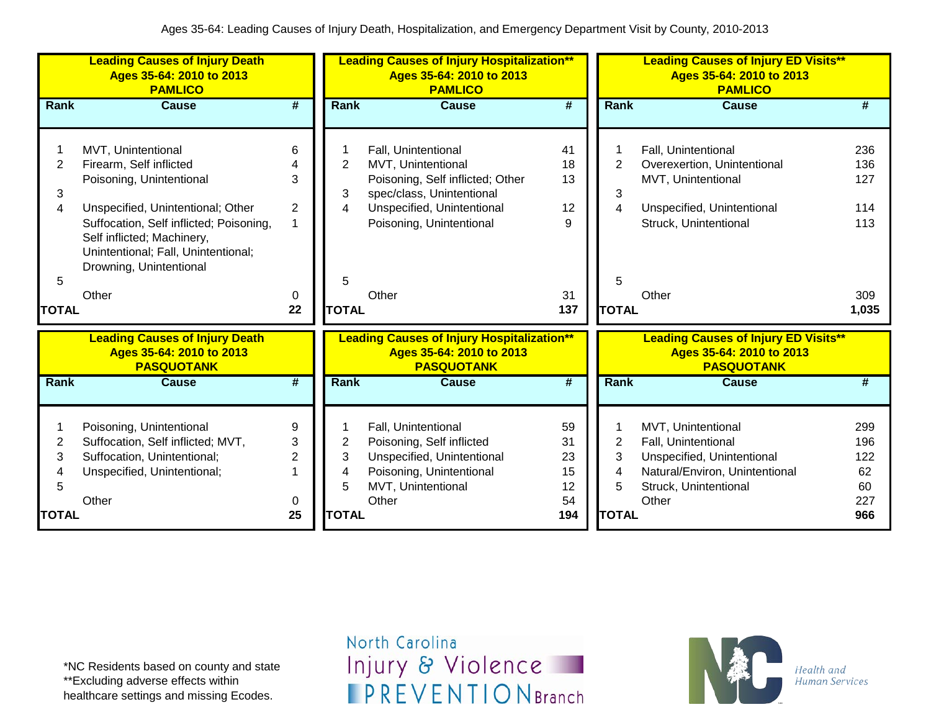|                     | <b>Leading Causes of Injury Death</b><br>Ages 35-64: 2010 to 2013<br><b>PAMLICO</b>                                                                                          |                             |              | <b>Leading Causes of Injury Hospitalization**</b><br>Ages 35-64: 2010 to 2013<br><b>PAMLICO</b>    |                             |                | <b>Leading Causes of Injury ED Visits**</b><br>Ages 35-64: 2010 to 2013<br><b>PAMLICO</b>    |                 |
|---------------------|------------------------------------------------------------------------------------------------------------------------------------------------------------------------------|-----------------------------|--------------|----------------------------------------------------------------------------------------------------|-----------------------------|----------------|----------------------------------------------------------------------------------------------|-----------------|
| <b>Rank</b>         | <b>Cause</b>                                                                                                                                                                 | $\overline{\boldsymbol{H}}$ | Rank         | <b>Cause</b>                                                                                       | $\overline{\boldsymbol{t}}$ | Rank           | <b>Cause</b>                                                                                 | #               |
| $\overline{2}$      | MVT, Unintentional<br>Firearm, Self inflicted                                                                                                                                | 6                           | 2            | Fall, Unintentional<br>MVT, Unintentional                                                          | 41<br>18                    | $\overline{2}$ | Fall, Unintentional<br>Overexertion, Unintentional                                           | 236<br>136      |
| 3                   | Poisoning, Unintentional                                                                                                                                                     | 3                           | 3            | Poisoning, Self inflicted; Other<br>spec/class, Unintentional                                      | 13                          | 3              | MVT, Unintentional                                                                           | 127             |
| 4                   | Unspecified, Unintentional; Other<br>Suffocation, Self inflicted; Poisoning,<br>Self inflicted; Machinery,<br>Unintentional; Fall, Unintentional;<br>Drowning, Unintentional | $\overline{2}$              | 4            | Unspecified, Unintentional<br>Poisoning, Unintentional                                             | 12<br>9                     | 4              | Unspecified, Unintentional<br>Struck, Unintentional                                          | 114<br>113      |
| 5                   | Other                                                                                                                                                                        | 0                           | 5            | Other                                                                                              | 31                          | 5              | Other                                                                                        | 309             |
| <b>TOTAL</b>        |                                                                                                                                                                              | 22                          | <b>TOTAL</b> |                                                                                                    | 137                         | <b>TOTAL</b>   |                                                                                              | 1,035           |
|                     | <b>Leading Causes of Injury Death</b><br>Ages 35-64: 2010 to 2013<br><b>PASQUOTANK</b>                                                                                       |                             |              | <b>Leading Causes of Injury Hospitalization**</b><br>Ages 35-64: 2010 to 2013<br><b>PASQUOTANK</b> |                             |                | <b>Leading Causes of Injury ED Visits**</b><br>Ages 35-64: 2010 to 2013<br><b>PASQUOTANK</b> |                 |
| <b>Rank</b>         | <b>Cause</b>                                                                                                                                                                 | $\overline{\boldsymbol{t}}$ | Rank         | <b>Cause</b>                                                                                       | $\overline{\boldsymbol{t}}$ | Rank           | <b>Cause</b>                                                                                 | #               |
| 1<br>$\overline{2}$ | Poisoning, Unintentional<br>Suffocation, Self inflicted; MVT,                                                                                                                | 9<br>3                      | 2            | Fall, Unintentional<br>Poisoning, Self inflicted                                                   | 59<br>31                    | $\overline{2}$ | MVT, Unintentional<br>Fall, Unintentional                                                    | 299<br>196      |
| 3<br>4<br>5         | Suffocation, Unintentional;<br>Unspecified, Unintentional;                                                                                                                   | $\overline{2}$              | 3<br>4<br>5  | Unspecified, Unintentional<br>Poisoning, Unintentional<br>MVT, Unintentional                       | 23<br>15<br>12              | 3<br>4<br>5    | Unspecified, Unintentional<br>Natural/Environ, Unintentional<br>Struck, Unintentional        | 122<br>62<br>60 |
| <b>TOTAL</b>        | Other                                                                                                                                                                        | 0<br>25                     | <b>TOTAL</b> | Other                                                                                              | 54<br>194                   | <b>TOTAL</b>   | Other                                                                                        | 227<br>966      |

\*NC Residents based on county and state \*\*Excluding adverse effects within healthcare settings and missing Ecodes.

North Carolina Injury & Violence **IPREVENTIONBranch** 

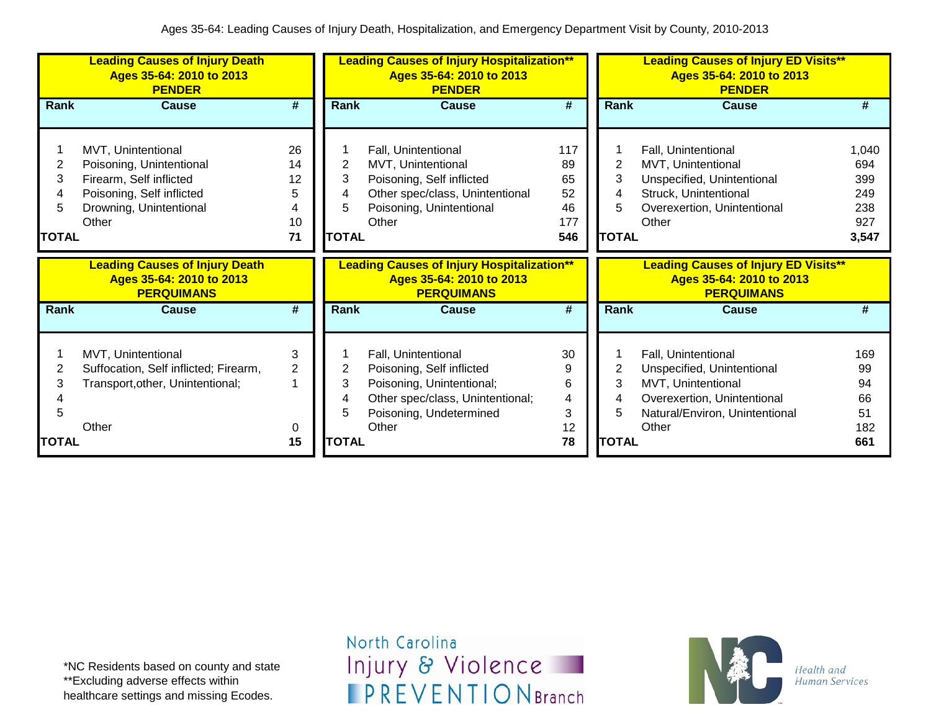|                                  | <b>Leading Causes of Injury Death</b><br>Ages 35-64: 2010 to 2013<br><b>PENDER</b>                                                         |                                      |                                   | <b>Leading Causes of Injury Hospitalization**</b><br>Ages 35-64: 2010 to 2013<br><b>PENDER</b>                                                        |                                           |                             | <b>Leading Causes of Injury ED Visits**</b><br>Ages 35-64: 2010 to 2013<br><b>PENDER</b>                                                          |                                                   |
|----------------------------------|--------------------------------------------------------------------------------------------------------------------------------------------|--------------------------------------|-----------------------------------|-------------------------------------------------------------------------------------------------------------------------------------------------------|-------------------------------------------|-----------------------------|---------------------------------------------------------------------------------------------------------------------------------------------------|---------------------------------------------------|
| Rank                             | <b>Cause</b>                                                                                                                               | #                                    | Rank                              | <b>Cause</b>                                                                                                                                          | #                                         | Rank                        | <b>Cause</b>                                                                                                                                      | #                                                 |
| 2<br>3<br>4<br>5<br><b>TOTAL</b> | MVT, Unintentional<br>Poisoning, Unintentional<br>Firearm, Self inflicted<br>Poisoning, Self inflicted<br>Drowning, Unintentional<br>Other | 26<br>14<br>12<br>5<br>4<br>10<br>71 | 2<br>3<br>4<br>5.<br><b>TOTAL</b> | Fall, Unintentional<br>MVT, Unintentional<br>Poisoning, Self inflicted<br>Other spec/class, Unintentional<br>Poisoning, Unintentional<br>Other        | 117<br>89<br>65<br>52<br>46<br>177<br>546 | 2<br>3<br>4<br><b>TOTAL</b> | Fall, Unintentional<br>MVT, Unintentional<br>Unspecified, Unintentional<br>Struck, Unintentional<br>Overexertion, Unintentional<br>Other          | 1,040<br>694<br>399<br>249<br>238<br>927<br>3,547 |
|                                  |                                                                                                                                            |                                      |                                   |                                                                                                                                                       |                                           |                             |                                                                                                                                                   |                                                   |
|                                  | <b>Leading Causes of Injury Death</b><br>Ages 35-64: 2010 to 2013<br><b>PERQUIMANS</b>                                                     |                                      |                                   | <b>Leading Causes of Injury Hospitalization**</b><br>Ages 35-64: 2010 to 2013<br><b>PERQUIMANS</b>                                                    |                                           |                             | <b>Leading Causes of Injury ED Visits**</b><br>Ages 35-64: 2010 to 2013<br><b>PERQUIMANS</b>                                                      |                                                   |
| <b>Rank</b>                      | <b>Cause</b>                                                                                                                               | #                                    | <b>Rank</b>                       | <b>Cause</b>                                                                                                                                          | #                                         | <b>Rank</b>                 | <b>Cause</b>                                                                                                                                      | #                                                 |
| 2<br>3<br>5                      | MVT, Unintentional<br>Suffocation, Self inflicted; Firearm,<br>Transport, other, Unintentional;<br>Other                                   | 3<br>$\overline{2}$<br>1<br>0        | 2<br>3<br>4<br>5                  | Fall, Unintentional<br>Poisoning, Self inflicted<br>Poisoning, Unintentional;<br>Other spec/class, Unintentional;<br>Poisoning, Undetermined<br>Other | 30<br>9<br>6<br>4<br>3<br>12              | 2<br>3<br>5                 | Fall, Unintentional<br>Unspecified, Unintentional<br>MVT, Unintentional<br>Overexertion, Unintentional<br>Natural/Environ, Unintentional<br>Other | 169<br>99<br>94<br>66<br>51<br>182                |

\*NC Residents based on county and state \*\*Excluding adverse effects within healthcare settings and missing Ecodes.

North Carolina Injury & Violence **IPREVENTIONBranch** 

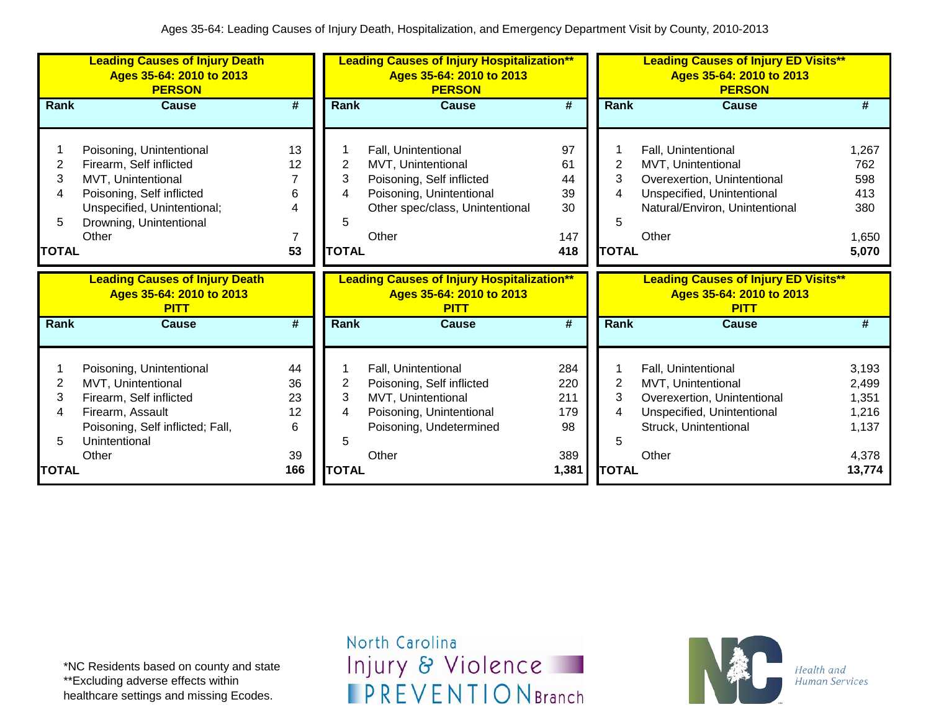|              | <b>Leading Causes of Injury Death</b><br>Ages 35-64: 2010 to 2013<br><b>PERSON</b> |           | <b>Leading Causes of Injury Hospitalization**</b><br>Ages 35-64: 2010 to 2013<br><b>PERSON</b> |                                                                                              |                             |                | <b>Leading Causes of Injury ED Visits**</b><br>Ages 35-64: 2010 to 2013<br><b>PERSON</b> |                 |
|--------------|------------------------------------------------------------------------------------|-----------|------------------------------------------------------------------------------------------------|----------------------------------------------------------------------------------------------|-----------------------------|----------------|------------------------------------------------------------------------------------------|-----------------|
| Rank         | <b>Cause</b>                                                                       | #         | Rank                                                                                           | <b>Cause</b>                                                                                 | #                           | Rank           | <b>Cause</b>                                                                             | #               |
|              |                                                                                    |           |                                                                                                |                                                                                              |                             |                |                                                                                          |                 |
|              | Poisoning, Unintentional                                                           | 13        |                                                                                                | Fall, Unintentional                                                                          | 97                          |                | Fall, Unintentional                                                                      | 1,267           |
| 2            | Firearm, Self inflicted                                                            | 12        | 2                                                                                              | MVT, Unintentional                                                                           | 61                          | $\overline{2}$ | MVT, Unintentional                                                                       | 762             |
| 3            | MVT, Unintentional                                                                 |           | 3                                                                                              | Poisoning, Self inflicted                                                                    | 44                          | 3              | Overexertion, Unintentional                                                              | 598             |
| 4            | Poisoning, Self inflicted                                                          | 6         | 4                                                                                              | Poisoning, Unintentional                                                                     | 39                          | 4              | Unspecified, Unintentional                                                               | 413             |
|              | Unspecified, Unintentional;                                                        | 4         |                                                                                                | Other spec/class, Unintentional                                                              | 30                          |                | Natural/Environ, Unintentional                                                           | 380             |
| 5            | Drowning, Unintentional                                                            |           | 5                                                                                              |                                                                                              |                             | 5              |                                                                                          |                 |
|              | Other                                                                              | 7         |                                                                                                | Other                                                                                        | 147                         |                | Other                                                                                    | 1,650           |
| <b>TOTAL</b> |                                                                                    | 53        | <b>TOTAL</b>                                                                                   |                                                                                              | 418                         | <b>TOTAL</b>   |                                                                                          | 5,070           |
|              |                                                                                    |           |                                                                                                |                                                                                              |                             |                |                                                                                          |                 |
|              | <b>Leading Causes of Injury Death</b><br>Ages 35-64: 2010 to 2013<br><b>PITT</b>   |           |                                                                                                | <b>Leading Causes of Injury Hospitalization**</b><br>Ages 35-64: 2010 to 2013<br><b>PITT</b> |                             |                | <b>Leading Causes of Injury ED Visits**</b><br>Ages 35-64: 2010 to 2013<br><b>PITT</b>   |                 |
| Rank         | <b>Cause</b>                                                                       | #         | Rank                                                                                           | Cause                                                                                        | $\overline{\boldsymbol{t}}$ | <b>Rank</b>    | <b>Cause</b>                                                                             | #               |
|              |                                                                                    |           |                                                                                                |                                                                                              |                             |                |                                                                                          |                 |
|              |                                                                                    | 44        |                                                                                                | Fall, Unintentional                                                                          | 284                         |                | Fall, Unintentional                                                                      | 3,193           |
| 2            | Poisoning, Unintentional<br>MVT, Unintentional                                     | 36        | 2                                                                                              | Poisoning, Self inflicted                                                                    | 220                         | $\overline{2}$ | MVT, Unintentional                                                                       | 2,499           |
| 3            | Firearm, Self inflicted                                                            | 23        | 3                                                                                              | MVT, Unintentional                                                                           | 211                         | 3              | Overexertion, Unintentional                                                              | 1,351           |
| 4            | Firearm, Assault                                                                   | 12        | 4                                                                                              | Poisoning, Unintentional                                                                     | 179                         | 4              | Unspecified, Unintentional                                                               | 1,216           |
|              | Poisoning, Self inflicted; Fall,                                                   | 6         |                                                                                                | Poisoning, Undetermined                                                                      | 98                          |                | Struck, Unintentional                                                                    | 1,137           |
| 5            | Unintentional                                                                      |           | 5                                                                                              |                                                                                              |                             | 5              |                                                                                          |                 |
| <b>TOTAL</b> | Other                                                                              | 39<br>166 | <b>TOTAL</b>                                                                                   | Other                                                                                        | 389<br>1,381                | <b>TOTAL</b>   | Other                                                                                    | 4,378<br>13,774 |

\*NC Residents based on county and state \*\*Excluding adverse effects within healthcare settings and missing Ecodes.

North Carolina Injury & Violence **IPREVENTIONBranch** 

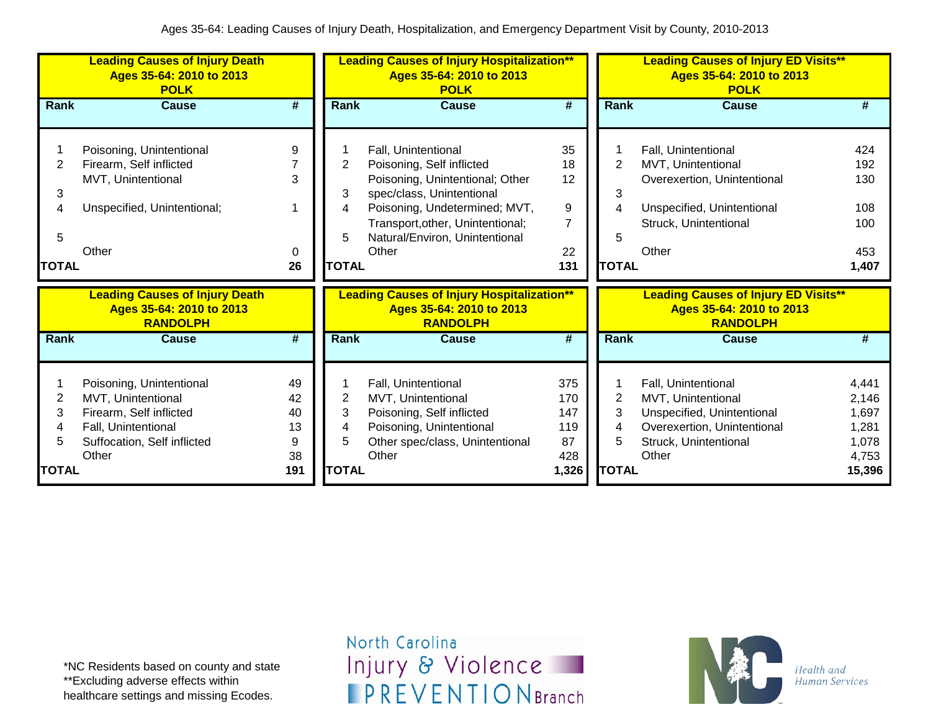|                                  | <b>Leading Causes of Injury Death</b><br>Ages 35-64: 2010 to 2013<br><b>POLK</b>                                                         |                                        | <b>Leading Causes of Injury Hospitalization**</b><br>Ages 35-64: 2010 to 2013<br><b>POLK</b> |                                                                                                                                                                                                                                  |                                                | <b>Leading Causes of Injury ED Visits**</b><br>Ages 35-64: 2010 to 2013<br><b>POLK</b> |                                                                                                                                          |                                                              |
|----------------------------------|------------------------------------------------------------------------------------------------------------------------------------------|----------------------------------------|----------------------------------------------------------------------------------------------|----------------------------------------------------------------------------------------------------------------------------------------------------------------------------------------------------------------------------------|------------------------------------------------|----------------------------------------------------------------------------------------|------------------------------------------------------------------------------------------------------------------------------------------|--------------------------------------------------------------|
| <b>Rank</b>                      | <b>Cause</b>                                                                                                                             | #                                      | <b>Rank</b>                                                                                  | <b>Cause</b>                                                                                                                                                                                                                     | #                                              | Rank                                                                                   | <b>Cause</b>                                                                                                                             | #                                                            |
| 2<br>3<br>4<br>5<br><b>TOTAL</b> | Poisoning, Unintentional<br>Firearm, Self inflicted<br>MVT, Unintentional<br>Unspecified, Unintentional;<br>Other                        | 9<br>3<br>0<br>26                      | $\overline{2}$<br>3<br>4<br>5<br><b>TOTAL</b>                                                | Fall, Unintentional<br>Poisoning, Self inflicted<br>Poisoning, Unintentional; Other<br>spec/class, Unintentional<br>Poisoning, Undetermined; MVT,<br>Transport, other, Unintentional;<br>Natural/Environ, Unintentional<br>Other | 35<br>18<br>12<br>9<br>7<br>22<br>131          | $\overline{2}$<br>3<br>5<br><b>TOTAL</b>                                               | Fall, Unintentional<br>MVT, Unintentional<br>Overexertion, Unintentional<br>Unspecified, Unintentional<br>Struck, Unintentional<br>Other | 424<br>192<br>130<br>108<br>100<br>453<br>1,407              |
|                                  | <b>Leading Causes of Injury Death</b><br>Ages 35-64: 2010 to 2013<br><b>RANDOLPH</b>                                                     |                                        |                                                                                              | <b>Leading Causes of Injury Hospitalization**</b><br>Ages 35-64: 2010 to 2013<br><b>RANDOLPH</b>                                                                                                                                 |                                                |                                                                                        | <b>Leading Causes of Injury ED Visits**</b><br>Ages 35-64: 2010 to 2013<br><b>RANDOLPH</b>                                               |                                                              |
| Rank                             | <b>Cause</b>                                                                                                                             | #                                      | <b>Rank</b>                                                                                  | <b>Cause</b>                                                                                                                                                                                                                     | #                                              | Rank                                                                                   | Cause                                                                                                                                    | #                                                            |
| 2<br>3<br>4<br>5<br><b>TOTAL</b> | Poisoning, Unintentional<br>MVT, Unintentional<br>Firearm, Self inflicted<br>Fall, Unintentional<br>Suffocation, Self inflicted<br>Other | 49<br>42<br>40<br>13<br>9<br>38<br>191 | 2<br>3<br>4<br>5<br><b>TOTAL</b>                                                             | Fall, Unintentional<br>MVT, Unintentional<br>Poisoning, Self inflicted<br>Poisoning, Unintentional<br>Other spec/class, Unintentional<br>Other                                                                                   | 375<br>170<br>147<br>119<br>87<br>428<br>1,326 | $\overline{2}$<br>3<br>4<br>5<br><b>TOTAL</b>                                          | Fall, Unintentional<br>MVT, Unintentional<br>Unspecified, Unintentional<br>Overexertion, Unintentional<br>Struck, Unintentional<br>Other | 4,441<br>2,146<br>1,697<br>1,281<br>1,078<br>4,753<br>15,396 |

\*NC Residents based on county and state \*\*Excluding adverse effects within healthcare settings and missing Ecodes.

North Carolina Injury & Violence **IPREVENTIONBranch** 

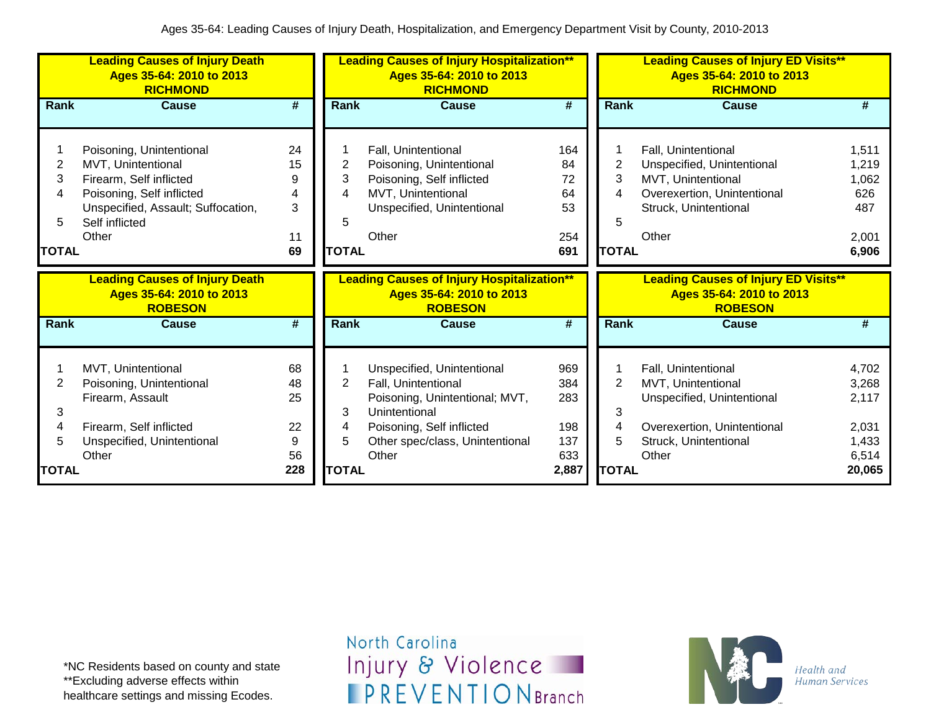|                                  | <b>Leading Causes of Injury Death</b><br>Ages 35-64: 2010 to 2013<br><b>RICHMOND</b>                                                                                    |                                        |                                               | <b>Leading Causes of Injury Hospitalization**</b><br>Ages 35-64: 2010 to 2013<br><b>RICHMOND</b>                                                                              |                                                 |                                               | <b>Leading Causes of Injury ED Visits**</b><br>Ages 35-64: 2010 to 2013<br><b>RICHMOND</b>                                               |                                                              |  |  |
|----------------------------------|-------------------------------------------------------------------------------------------------------------------------------------------------------------------------|----------------------------------------|-----------------------------------------------|-------------------------------------------------------------------------------------------------------------------------------------------------------------------------------|-------------------------------------------------|-----------------------------------------------|------------------------------------------------------------------------------------------------------------------------------------------|--------------------------------------------------------------|--|--|
| Rank                             | <b>Cause</b>                                                                                                                                                            | #                                      | <b>Rank</b>                                   | <b>Cause</b>                                                                                                                                                                  | $\overline{\boldsymbol{H}}$                     | <b>Rank</b>                                   | <b>Cause</b>                                                                                                                             | #                                                            |  |  |
| 2<br>3<br>4<br>5<br><b>TOTAL</b> | Poisoning, Unintentional<br>MVT, Unintentional<br>Firearm, Self inflicted<br>Poisoning, Self inflicted<br>Unspecified, Assault; Suffocation,<br>Self inflicted<br>Other | 24<br>15<br>9<br>4<br>3<br>11<br>69    | 2<br>3<br>4<br>5<br><b>TOTAL</b>              | Fall, Unintentional<br>Poisoning, Unintentional<br>Poisoning, Self inflicted<br>MVT, Unintentional<br>Unspecified, Unintentional<br>Other                                     | 164<br>84<br>72<br>64<br>53<br>254<br>691       | 2<br>3<br>4<br>5<br><b>TOTAL</b>              | Fall, Unintentional<br>Unspecified, Unintentional<br>MVT, Unintentional<br>Overexertion, Unintentional<br>Struck, Unintentional<br>Other | 1,511<br>1,219<br>1,062<br>626<br>487<br>2,001<br>6,906      |  |  |
|                                  |                                                                                                                                                                         |                                        |                                               |                                                                                                                                                                               |                                                 |                                               |                                                                                                                                          |                                                              |  |  |
|                                  | <b>Leading Causes of Injury Death</b><br>Ages 35-64: 2010 to 2013<br><b>ROBESON</b>                                                                                     |                                        |                                               | <b>Leading Causes of Injury Hospitalization**</b><br>Ages 35-64: 2010 to 2013<br><b>ROBESON</b>                                                                               |                                                 |                                               | <b>Leading Causes of Injury ED Visits**</b><br>Ages 35-64: 2010 to 2013<br><b>ROBESON</b>                                                |                                                              |  |  |
| <b>Rank</b>                      | <b>Cause</b>                                                                                                                                                            | #                                      | <b>Rank</b>                                   | <b>Cause</b>                                                                                                                                                                  | #                                               | <b>Rank</b>                                   | <b>Cause</b>                                                                                                                             | #                                                            |  |  |
| 2<br>3<br>4<br>5<br><b>TOTAL</b> | MVT, Unintentional<br>Poisoning, Unintentional<br>Firearm, Assault<br>Firearm, Self inflicted<br>Unspecified, Unintentional<br>Other                                    | 68<br>48<br>25<br>22<br>9<br>56<br>228 | $\overline{2}$<br>3<br>4<br>5<br><b>TOTAL</b> | Unspecified, Unintentional<br>Fall, Unintentional<br>Poisoning, Unintentional; MVT,<br>Unintentional<br>Poisoning, Self inflicted<br>Other spec/class, Unintentional<br>Other | 969<br>384<br>283<br>198<br>137<br>633<br>2,887 | $\overline{2}$<br>3<br>4<br>5<br><b>TOTAL</b> | Fall, Unintentional<br>MVT, Unintentional<br>Unspecified, Unintentional<br>Overexertion, Unintentional<br>Struck, Unintentional<br>Other | 4,702<br>3,268<br>2,117<br>2,031<br>1,433<br>6,514<br>20,065 |  |  |

\*NC Residents based on county and state \*\*Excluding adverse effects within healthcare settings and missing Ecodes.

North Carolina Injury & Violence **IPREVENTIONBranch** 

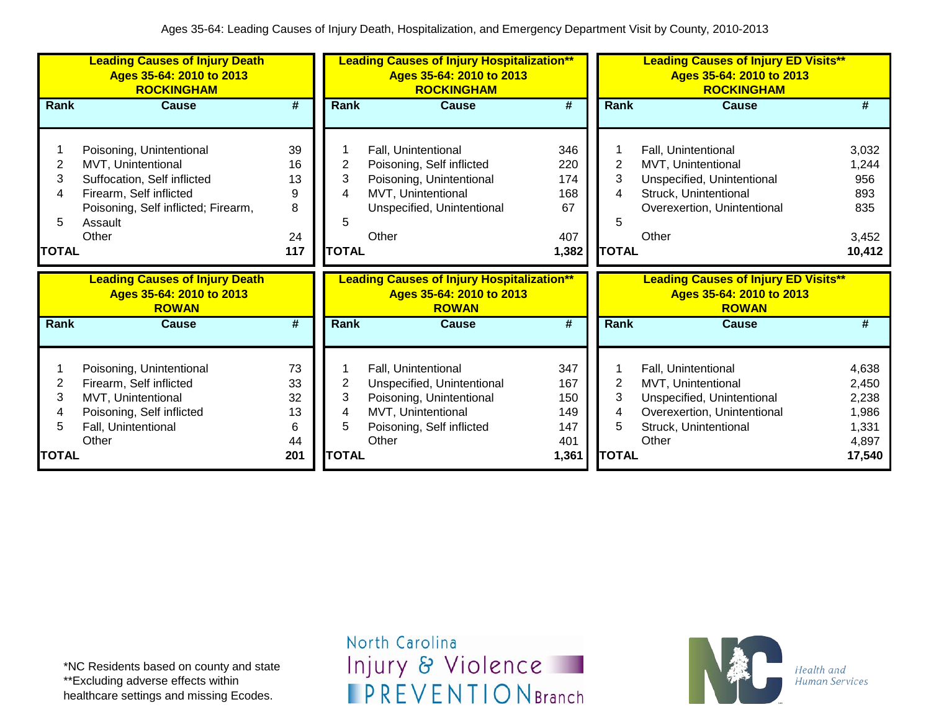|                                  | <b>Leading Causes of Injury Death</b><br>Ages 35-64: 2010 to 2013<br><b>ROCKINGHAM</b>                                                                              |                                        |                                               | <b>Leading Causes of Injury Hospitalization**</b><br>Ages 35-64: 2010 to 2013<br><b>ROCKINGHAM</b>                                        |                                                 |                                               | <b>Leading Causes of Injury ED Visits**</b><br>Ages 35-64: 2010 to 2013<br><b>ROCKINGHAM</b>                                             |                                                              |
|----------------------------------|---------------------------------------------------------------------------------------------------------------------------------------------------------------------|----------------------------------------|-----------------------------------------------|-------------------------------------------------------------------------------------------------------------------------------------------|-------------------------------------------------|-----------------------------------------------|------------------------------------------------------------------------------------------------------------------------------------------|--------------------------------------------------------------|
| Rank                             | <b>Cause</b>                                                                                                                                                        | #                                      | <b>Rank</b>                                   | <b>Cause</b>                                                                                                                              | #                                               | Rank                                          | <b>Cause</b>                                                                                                                             | #                                                            |
| 2<br>3<br>4<br>5<br><b>TOTAL</b> | Poisoning, Unintentional<br>MVT, Unintentional<br>Suffocation, Self inflicted<br>Firearm, Self inflicted<br>Poisoning, Self inflicted; Firearm,<br>Assault<br>Other | 39<br>16<br>13<br>9<br>8<br>24<br>117  | 2<br>3<br>4<br>5<br><b>TOTAL</b>              | Fall, Unintentional<br>Poisoning, Self inflicted<br>Poisoning, Unintentional<br>MVT, Unintentional<br>Unspecified, Unintentional<br>Other | 346<br>220<br>174<br>168<br>67<br>407<br>1,382  | 2<br>3<br>4<br>5<br><b>TOTAL</b>              | Fall, Unintentional<br>MVT, Unintentional<br>Unspecified, Unintentional<br>Struck, Unintentional<br>Overexertion, Unintentional<br>Other | 3,032<br>1,244<br>956<br>893<br>835<br>3,452<br>10,412       |
|                                  |                                                                                                                                                                     |                                        |                                               |                                                                                                                                           |                                                 |                                               |                                                                                                                                          |                                                              |
|                                  | <b>Leading Causes of Injury Death</b><br>Ages 35-64: 2010 to 2013<br><b>ROWAN</b>                                                                                   |                                        |                                               | <b>Leading Causes of Injury Hospitalization**</b><br>Ages 35-64: 2010 to 2013<br><b>ROWAN</b>                                             |                                                 |                                               | <b>Leading Causes of Injury ED Visits**</b><br>Ages 35-64: 2010 to 2013<br><b>ROWAN</b>                                                  |                                                              |
| Rank                             | <b>Cause</b>                                                                                                                                                        | #                                      | Rank                                          | <b>Cause</b>                                                                                                                              | #                                               | <b>Rank</b>                                   | <b>Cause</b>                                                                                                                             | #                                                            |
| 2<br>3<br>4<br>5<br><b>TOTAL</b> | Poisoning, Unintentional<br>Firearm, Self inflicted<br>MVT, Unintentional<br>Poisoning, Self inflicted<br>Fall, Unintentional<br>Other                              | 73<br>33<br>32<br>13<br>6<br>44<br>201 | $\overline{2}$<br>3<br>4<br>5<br><b>TOTAL</b> | Fall, Unintentional<br>Unspecified, Unintentional<br>Poisoning, Unintentional<br>MVT, Unintentional<br>Poisoning, Self inflicted<br>Other | 347<br>167<br>150<br>149<br>147<br>401<br>1,361 | $\overline{2}$<br>3<br>4<br>5<br><b>TOTAL</b> | Fall, Unintentional<br>MVT, Unintentional<br>Unspecified, Unintentional<br>Overexertion, Unintentional<br>Struck, Unintentional<br>Other | 4,638<br>2,450<br>2,238<br>1,986<br>1,331<br>4,897<br>17,540 |

\*NC Residents based on county and state \*\*Excluding adverse effects within healthcare settings and missing Ecodes.

North Carolina Injury & Violence **IPREVENTIONBranch** 

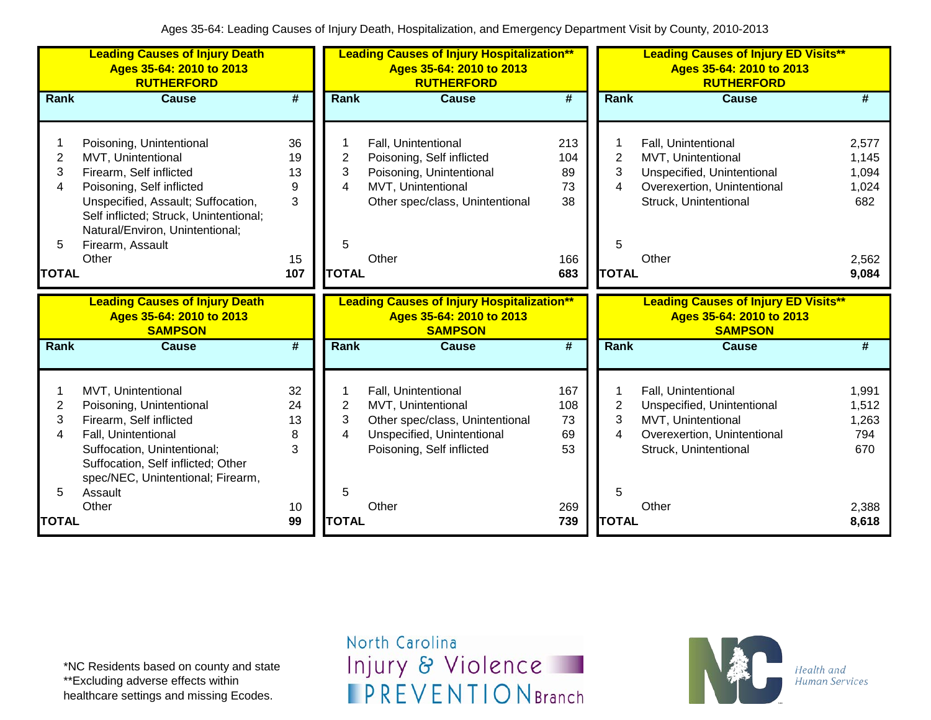|                | <b>Leading Causes of Injury Death</b><br>Ages 35-64: 2010 to 2013<br><b>RUTHERFORD</b> |                             |                | <b>Leading Causes of Injury Hospitalization**</b><br>Ages 35-64: 2010 to 2013<br><b>RUTHERFORD</b> |                 |                | <b>Leading Causes of Injury ED Visits**</b><br>Ages 35-64: 2010 to 2013<br><b>RUTHERFORD</b> |                             |  |
|----------------|----------------------------------------------------------------------------------------|-----------------------------|----------------|----------------------------------------------------------------------------------------------------|-----------------|----------------|----------------------------------------------------------------------------------------------|-----------------------------|--|
| Rank           | <b>Cause</b>                                                                           | $\overline{\boldsymbol{t}}$ | <b>Rank</b>    | <b>Cause</b>                                                                                       | $\overline{\#}$ | Rank           | <b>Cause</b>                                                                                 | $\overline{\boldsymbol{H}}$ |  |
|                |                                                                                        |                             |                |                                                                                                    |                 |                |                                                                                              |                             |  |
|                | Poisoning, Unintentional                                                               | 36                          |                | Fall, Unintentional                                                                                | 213             |                | Fall, Unintentional                                                                          | 2,577                       |  |
| $\overline{2}$ | MVT, Unintentional                                                                     | 19                          | $\overline{2}$ | Poisoning, Self inflicted                                                                          | 104             | 2              | MVT, Unintentional                                                                           | 1,145                       |  |
| 3              | Firearm, Self inflicted                                                                | 13                          | 3              | Poisoning, Unintentional                                                                           | 89              | 3              | Unspecified, Unintentional                                                                   | 1,094                       |  |
| 4              | Poisoning, Self inflicted                                                              | 9                           | 4              | MVT, Unintentional                                                                                 | 73              | 4              | Overexertion, Unintentional                                                                  | 1,024                       |  |
|                | Unspecified, Assault; Suffocation,                                                     | 3                           |                | Other spec/class, Unintentional                                                                    | 38              |                | Struck, Unintentional                                                                        | 682                         |  |
|                | Self inflicted; Struck, Unintentional;                                                 |                             |                |                                                                                                    |                 |                |                                                                                              |                             |  |
|                | Natural/Environ, Unintentional;                                                        |                             |                |                                                                                                    |                 |                |                                                                                              |                             |  |
| 5              | Firearm, Assault                                                                       |                             | 5              |                                                                                                    |                 | 5              |                                                                                              |                             |  |
|                | Other                                                                                  | 15                          |                | Other                                                                                              | 166             |                | Other                                                                                        | 2,562                       |  |
| <b>TOTAL</b>   |                                                                                        | 107                         | <b>TOTAL</b>   |                                                                                                    | 683             | <b>TOTAL</b>   |                                                                                              | 9,084                       |  |
|                |                                                                                        |                             |                |                                                                                                    |                 |                |                                                                                              |                             |  |
|                | <b>Leading Causes of Injury Death</b>                                                  |                             |                | <b>Leading Causes of Injury Hospitalization**</b>                                                  |                 |                | <b>Leading Causes of Injury ED Visits**</b>                                                  |                             |  |
|                | Ages 35-64: 2010 to 2013                                                               |                             |                | Ages 35-64: 2010 to 2013                                                                           |                 |                | Ages 35-64: 2010 to 2013                                                                     |                             |  |
|                | <b>SAMPSON</b>                                                                         |                             |                | <b>SAMPSON</b>                                                                                     |                 |                | <b>SAMPSON</b>                                                                               |                             |  |
| Rank           | <b>Cause</b>                                                                           | #                           | <b>Rank</b>    | <b>Cause</b>                                                                                       | $\overline{\#}$ | Rank           | <b>Cause</b>                                                                                 | #                           |  |
|                |                                                                                        |                             |                |                                                                                                    |                 |                |                                                                                              |                             |  |
|                | MVT, Unintentional                                                                     | 32                          |                | Fall, Unintentional                                                                                | 167             |                | Fall, Unintentional                                                                          | 1,991                       |  |
| $\overline{c}$ | Poisoning, Unintentional                                                               | 24                          | $\overline{2}$ | MVT, Unintentional                                                                                 | 108             | $\overline{2}$ | Unspecified, Unintentional                                                                   | 1,512                       |  |
| 3              | Firearm, Self inflicted                                                                | 13                          | 3              | Other spec/class, Unintentional                                                                    | 73              | 3              | MVT, Unintentional                                                                           | 1,263                       |  |
| 4              | Fall, Unintentional                                                                    | 8                           | 4              | Unspecified, Unintentional                                                                         | 69              | 4              | Overexertion, Unintentional                                                                  | 794                         |  |
|                | Suffocation, Unintentional;                                                            | 3                           |                | Poisoning, Self inflicted                                                                          | 53              |                | Struck, Unintentional                                                                        | 670                         |  |
|                | Suffocation, Self inflicted; Other                                                     |                             |                |                                                                                                    |                 |                |                                                                                              |                             |  |
|                | spec/NEC, Unintentional; Firearm,                                                      |                             |                |                                                                                                    |                 |                |                                                                                              |                             |  |
| 5              | Assault<br>Other                                                                       | 10                          | 5              | Other                                                                                              | 269             | 5              | Other                                                                                        | 2,388                       |  |

\*NC Residents based on county and state \*\*Excluding adverse effects within healthcare settings and missing Ecodes.

North Carolina Injury & Violence **IPREVENTIONBranch** 

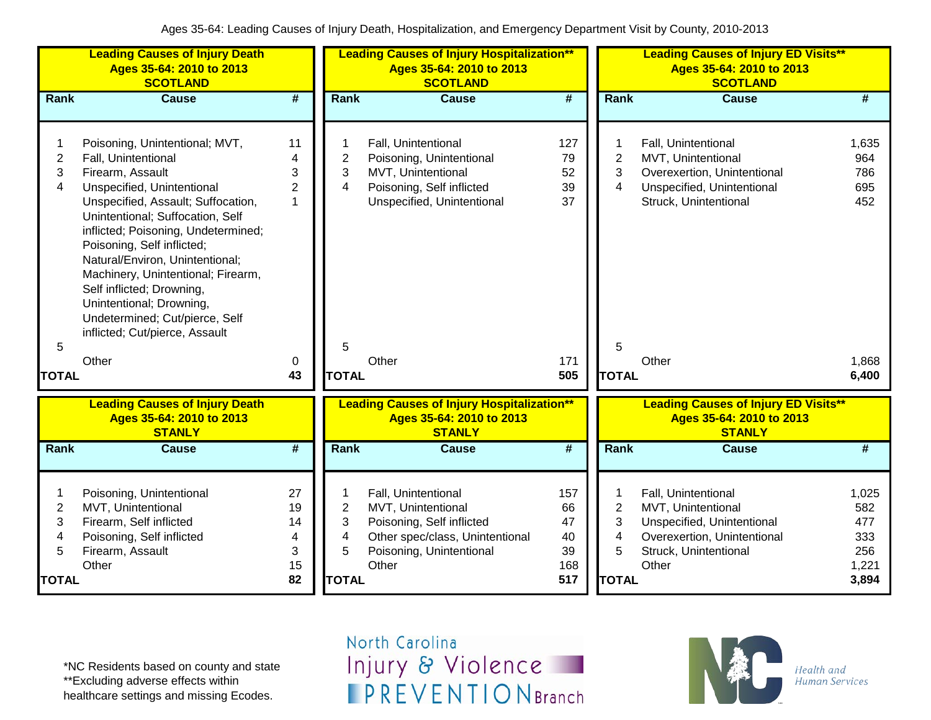|                                               | <b>Leading Causes of Injury Death</b><br>Ages 35-64: 2010 to 2013<br><b>SCOTLAND</b>                                                                                                                                                                                                                                                                                                                                                                         |                                      |                                                                          | <b>Leading Causes of Injury Hospitalization**</b><br>Ages 35-64: 2010 to 2013<br><b>SCOTLAND</b>                                               |                                           |                                                            | <b>Leading Causes of Injury ED Visits**</b><br>Ages 35-64: 2010 to 2013<br><b>SCOTLAND</b>                                               |                                                     |
|-----------------------------------------------|--------------------------------------------------------------------------------------------------------------------------------------------------------------------------------------------------------------------------------------------------------------------------------------------------------------------------------------------------------------------------------------------------------------------------------------------------------------|--------------------------------------|--------------------------------------------------------------------------|------------------------------------------------------------------------------------------------------------------------------------------------|-------------------------------------------|------------------------------------------------------------|------------------------------------------------------------------------------------------------------------------------------------------|-----------------------------------------------------|
| Rank                                          | <b>Cause</b>                                                                                                                                                                                                                                                                                                                                                                                                                                                 | $\overline{\boldsymbol{t}}$          | Rank                                                                     | <b>Cause</b>                                                                                                                                   | $\overline{\#}$                           | Rank                                                       | <b>Cause</b>                                                                                                                             | #                                                   |
| $\mathbf{2}$<br>3<br>4                        | Poisoning, Unintentional; MVT,<br>Fall, Unintentional<br>Firearm, Assault<br>Unspecified, Unintentional<br>Unspecified, Assault; Suffocation,<br>Unintentional; Suffocation, Self<br>inflicted; Poisoning, Undetermined;<br>Poisoning, Self inflicted;<br>Natural/Environ, Unintentional;<br>Machinery, Unintentional; Firearm,<br>Self inflicted; Drowning,<br>Unintentional; Drowning,<br>Undetermined; Cut/pierce, Self<br>inflicted; Cut/pierce, Assault | 11<br>4<br>3<br>$\overline{2}$<br>1  | $\overline{\mathbf{c}}$<br>3<br>4                                        | Fall, Unintentional<br>Poisoning, Unintentional<br>MVT, Unintentional<br>Poisoning, Self inflicted<br>Unspecified, Unintentional               | 127<br>79<br>52<br>39<br>37               | $\overline{c}$<br>3<br>$\overline{\mathbf{4}}$             | Fall, Unintentional<br>MVT, Unintentional<br>Overexertion, Unintentional<br>Unspecified, Unintentional<br>Struck, Unintentional          | 1,635<br>964<br>786<br>695<br>452                   |
| 5                                             | Other                                                                                                                                                                                                                                                                                                                                                                                                                                                        | 0                                    | 5                                                                        | Other                                                                                                                                          | 171                                       | 5                                                          | Other                                                                                                                                    | 1,868                                               |
| <b>TOTAL</b>                                  |                                                                                                                                                                                                                                                                                                                                                                                                                                                              | 43                                   | <b>TOTAL</b>                                                             |                                                                                                                                                | 505                                       | <b>TOTAL</b>                                               |                                                                                                                                          | 6,400                                               |
|                                               | <b>Leading Causes of Injury Death</b><br>Ages 35-64: 2010 to 2013<br><b>STANLY</b>                                                                                                                                                                                                                                                                                                                                                                           |                                      |                                                                          | <b>Leading Causes of Injury Hospitalization**</b><br>Ages 35-64: 2010 to 2013<br><b>STANLY</b>                                                 |                                           |                                                            | <b>Leading Causes of Injury ED Visits**</b><br>Ages 35-64: 2010 to 2013<br><b>STANLY</b>                                                 |                                                     |
| Rank                                          | <b>Cause</b>                                                                                                                                                                                                                                                                                                                                                                                                                                                 | $\overline{\boldsymbol{t}}$          | Rank                                                                     | <b>Cause</b>                                                                                                                                   | #                                         | Rank                                                       | <b>Cause</b>                                                                                                                             | #                                                   |
| $\overline{c}$<br>3<br>4<br>5<br><b>TOTAL</b> | Poisoning, Unintentional<br>MVT, Unintentional<br>Firearm, Self inflicted<br>Poisoning, Self inflicted<br>Firearm, Assault<br>Other                                                                                                                                                                                                                                                                                                                          | 27<br>19<br>14<br>4<br>3<br>15<br>82 | 1<br>$\overline{2}$<br>3<br>$\overline{\mathbf{4}}$<br>5<br><b>TOTAL</b> | Fall, Unintentional<br>MVT, Unintentional<br>Poisoning, Self inflicted<br>Other spec/class, Unintentional<br>Poisoning, Unintentional<br>Other | 157<br>66<br>47<br>40<br>39<br>168<br>517 | $\overline{2}$<br>3<br>$\overline{4}$<br>5<br><b>TOTAL</b> | Fall, Unintentional<br>MVT, Unintentional<br>Unspecified, Unintentional<br>Overexertion, Unintentional<br>Struck, Unintentional<br>Other | 1,025<br>582<br>477<br>333<br>256<br>1,221<br>3,894 |

\*NC Residents based on county and state \*\*Excluding adverse effects within healthcare settings and missing Ecodes.

North Carolina Injury & Violence **IPREVENTIONBranch** 

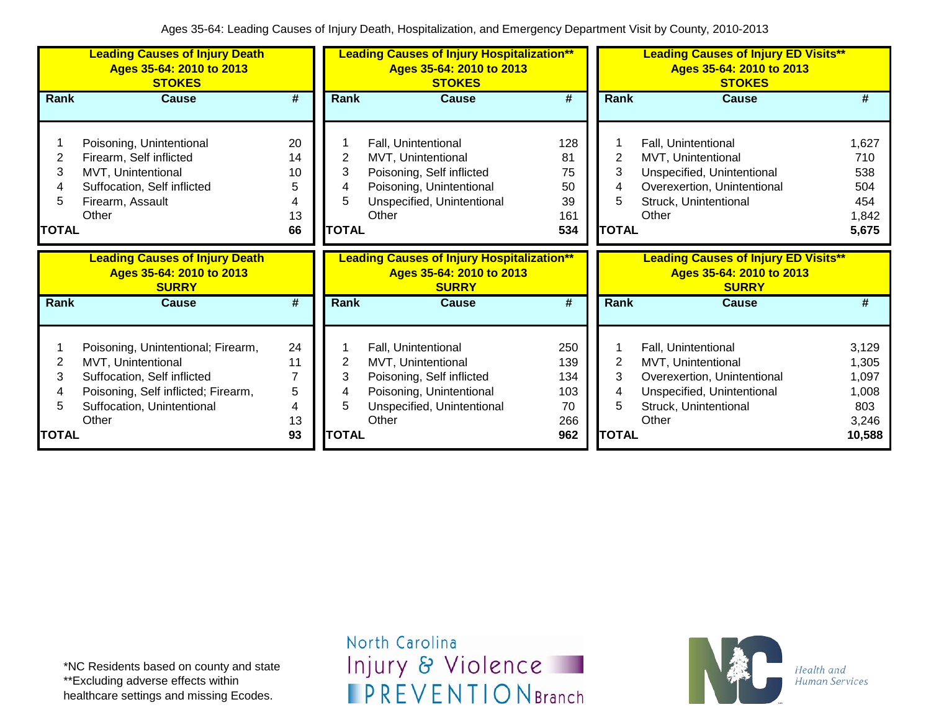|                        | <b>Leading Causes of Injury Death</b><br>Ages 35-64: 2010 to 2013<br><b>STOKES</b>                                                                                    |                                      |                                          | <b>Leading Causes of Injury Hospitalization**</b><br>Ages 35-64: 2010 to 2013<br><b>STOKES</b>                                            |                                              |                                               | <b>Leading Causes of Injury ED Visits**</b><br>Ages 35-64: 2010 to 2013<br><b>STOKES</b>                                                 |                                                            |  |
|------------------------|-----------------------------------------------------------------------------------------------------------------------------------------------------------------------|--------------------------------------|------------------------------------------|-------------------------------------------------------------------------------------------------------------------------------------------|----------------------------------------------|-----------------------------------------------|------------------------------------------------------------------------------------------------------------------------------------------|------------------------------------------------------------|--|
| Rank                   | <b>Cause</b>                                                                                                                                                          | #                                    | Rank                                     | <b>Cause</b>                                                                                                                              | #                                            | <b>Rank</b>                                   | <b>Cause</b>                                                                                                                             | #                                                          |  |
| 2<br>3<br><b>TOTAL</b> | Poisoning, Unintentional<br>Firearm, Self inflicted<br>MVT, Unintentional<br>Suffocation, Self inflicted<br>Firearm, Assault<br>Other                                 | 20<br>14<br>10<br>5<br>4<br>13<br>66 | 2<br>3<br><b>TOTAL</b>                   | Fall, Unintentional<br>MVT, Unintentional<br>Poisoning, Self inflicted<br>Poisoning, Unintentional<br>Unspecified, Unintentional<br>Other | 128<br>81<br>75<br>50<br>39<br>161<br>534    | 2<br>3<br>4<br>5<br><b>TOTAL</b>              | Fall, Unintentional<br>MVT, Unintentional<br>Unspecified, Unintentional<br>Overexertion, Unintentional<br>Struck, Unintentional<br>Other | 1,627<br>710<br>538<br>504<br>454<br>1,842<br>5,675        |  |
|                        |                                                                                                                                                                       |                                      |                                          |                                                                                                                                           |                                              |                                               |                                                                                                                                          |                                                            |  |
|                        | <b>Leading Causes of Injury Death</b><br>Ages 35-64: 2010 to 2013<br><b>SURRY</b>                                                                                     |                                      |                                          | <b>Leading Causes of Injury Hospitalization**</b><br>Ages 35-64: 2010 to 2013<br><b>SURRY</b>                                             |                                              |                                               | <b>Leading Causes of Injury ED Visits**</b><br>Ages 35-64: 2010 to 2013<br><b>SURRY</b>                                                  |                                                            |  |
| Rank                   | <b>Cause</b>                                                                                                                                                          | #                                    | Rank                                     | <b>Cause</b>                                                                                                                              | #                                            | Rank                                          | <b>Cause</b>                                                                                                                             | #                                                          |  |
| 2<br>3<br><b>TOTAL</b> | Poisoning, Unintentional; Firearm,<br>MVT, Unintentional<br>Suffocation, Self inflicted<br>Poisoning, Self inflicted; Firearm,<br>Suffocation, Unintentional<br>Other | 24<br>11<br>7<br>5<br>4<br>13<br>93  | $\overline{2}$<br>3<br>5<br><b>TOTAL</b> | Fall, Unintentional<br>MVT, Unintentional<br>Poisoning, Self inflicted<br>Poisoning, Unintentional<br>Unspecified, Unintentional<br>Other | 250<br>139<br>134<br>103<br>70<br>266<br>962 | $\overline{2}$<br>3<br>4<br>5<br><b>TOTAL</b> | Fall, Unintentional<br>MVT, Unintentional<br>Overexertion, Unintentional<br>Unspecified, Unintentional<br>Struck, Unintentional<br>Other | 3,129<br>1,305<br>1,097<br>1,008<br>803<br>3,246<br>10,588 |  |

\*NC Residents based on county and state \*\*Excluding adverse effects within healthcare settings and missing Ecodes.

North Carolina Injury & Violence **IPREVENTIONBranch** 

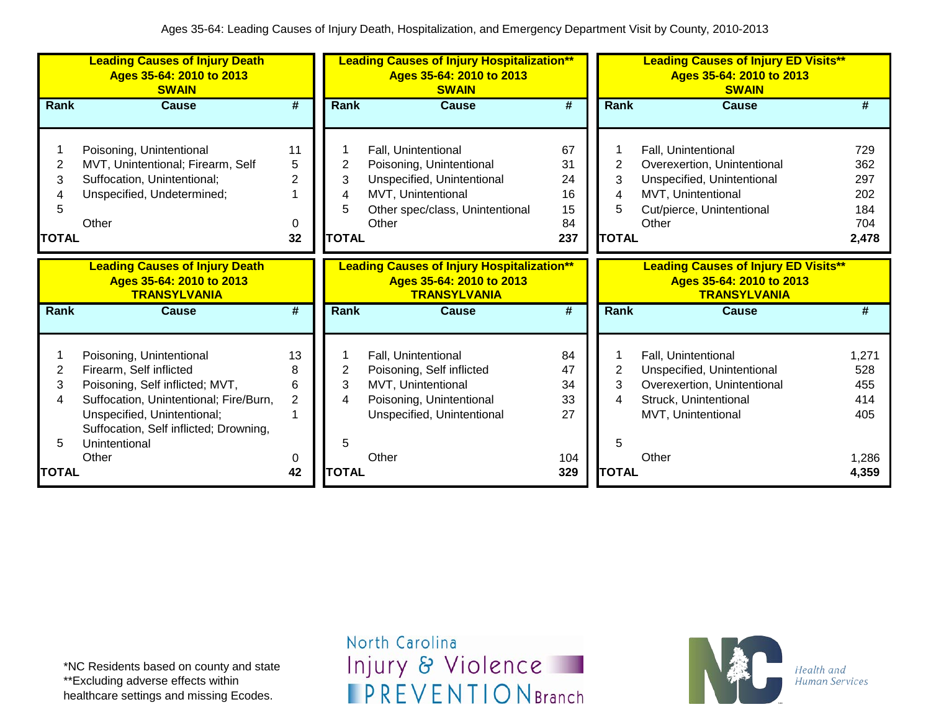|              | <b>Leading Causes of Injury Death</b><br>Ages 35-64: 2010 to 2013<br><b>SWAIN</b>        |                |              | <b>Leading Causes of Injury Hospitalization**</b><br>Ages 35-64: 2010 to 2013<br><b>SWAIN</b>        |                 | <b>Leading Causes of Injury ED Visits**</b><br>Ages 35-64: 2010 to 2013<br><b>SWAIN</b> |                                                                                                |       |  |
|--------------|------------------------------------------------------------------------------------------|----------------|--------------|------------------------------------------------------------------------------------------------------|-----------------|-----------------------------------------------------------------------------------------|------------------------------------------------------------------------------------------------|-------|--|
| <b>Rank</b>  | <b>Cause</b>                                                                             | #              | <b>Rank</b>  | Cause                                                                                                | #               | Rank                                                                                    | Cause                                                                                          | #     |  |
|              |                                                                                          |                |              |                                                                                                      |                 |                                                                                         |                                                                                                |       |  |
|              | Poisoning, Unintentional                                                                 | 11             |              | Fall, Unintentional                                                                                  | 67              |                                                                                         | Fall, Unintentional                                                                            | 729   |  |
| 2            | MVT, Unintentional; Firearm, Self                                                        | 5              | 2            | Poisoning, Unintentional                                                                             | 31              | 2                                                                                       | Overexertion, Unintentional                                                                    | 362   |  |
| 3            | Suffocation, Unintentional;                                                              | $\overline{2}$ | 3            | Unspecified, Unintentional                                                                           | 24              | 3                                                                                       | Unspecified, Unintentional                                                                     | 297   |  |
|              | Unspecified, Undetermined;                                                               |                |              | MVT, Unintentional                                                                                   | 16              | 4                                                                                       | MVT, Unintentional                                                                             | 202   |  |
| 5            |                                                                                          |                |              | Other spec/class, Unintentional                                                                      | 15              | 5                                                                                       | Cut/pierce, Unintentional                                                                      | 184   |  |
|              | Other                                                                                    | $\Omega$       |              | Other                                                                                                | 84              |                                                                                         | Other                                                                                          | 704   |  |
| <b>TOTAL</b> |                                                                                          | 32             | <b>TOTAL</b> |                                                                                                      | 237             | <b>TOTAL</b>                                                                            |                                                                                                | 2,478 |  |
|              | <b>Leading Causes of Injury Death</b><br>Ages 35-64: 2010 to 2013<br><b>TRANSYLVANIA</b> |                |              | <b>Leading Causes of Injury Hospitalization**</b><br>Ages 35-64: 2010 to 2013<br><b>TRANSYLVANIA</b> |                 |                                                                                         | <b>Leading Causes of Injury ED Visits**</b><br>Ages 35-64: 2010 to 2013<br><b>TRANSYLVANIA</b> |       |  |
| Rank         | <b>Cause</b>                                                                             | #              | <b>Rank</b>  | <b>Cause</b>                                                                                         | $\overline{\#}$ | Rank                                                                                    | <b>Cause</b>                                                                                   | #     |  |
|              | Poisoning, Unintentional                                                                 | 13             |              | Fall, Unintentional                                                                                  | 84              |                                                                                         | Fall, Unintentional                                                                            | 1,271 |  |
| 2            | Firearm, Self inflicted                                                                  | 8              | 2            | Poisoning, Self inflicted                                                                            | 47              | 2                                                                                       | Unspecified, Unintentional                                                                     | 528   |  |
| 3            | Poisoning, Self inflicted; MVT,                                                          | 6              | 3            | MVT, Unintentional                                                                                   | 34              | 3                                                                                       | Overexertion, Unintentional                                                                    | 455   |  |
| 4            | Suffocation, Unintentional; Fire/Burn,                                                   | $\overline{2}$ |              | Poisoning, Unintentional                                                                             | 33              | 4                                                                                       | Struck, Unintentional                                                                          | 414   |  |
|              | Unspecified, Unintentional;                                                              |                |              | Unspecified, Unintentional                                                                           | 27              |                                                                                         | MVT, Unintentional                                                                             | 405   |  |
|              | Suffocation, Self inflicted; Drowning,                                                   |                |              |                                                                                                      |                 |                                                                                         |                                                                                                |       |  |
| 5            | Unintentional                                                                            |                | 5            |                                                                                                      |                 | 5                                                                                       |                                                                                                |       |  |
|              | Other                                                                                    | 0              |              | Other                                                                                                | 104             |                                                                                         | Other                                                                                          | 1,286 |  |
| <b>TOTAL</b> |                                                                                          | 42             | <b>TOTAL</b> |                                                                                                      | 329             | <b>TOTAL</b>                                                                            |                                                                                                | 4,359 |  |

\*NC Residents based on county and state \*\*Excluding adverse effects within healthcare settings and missing Ecodes.

North Carolina Injury & Violence **IPREVENTIONBranch** 

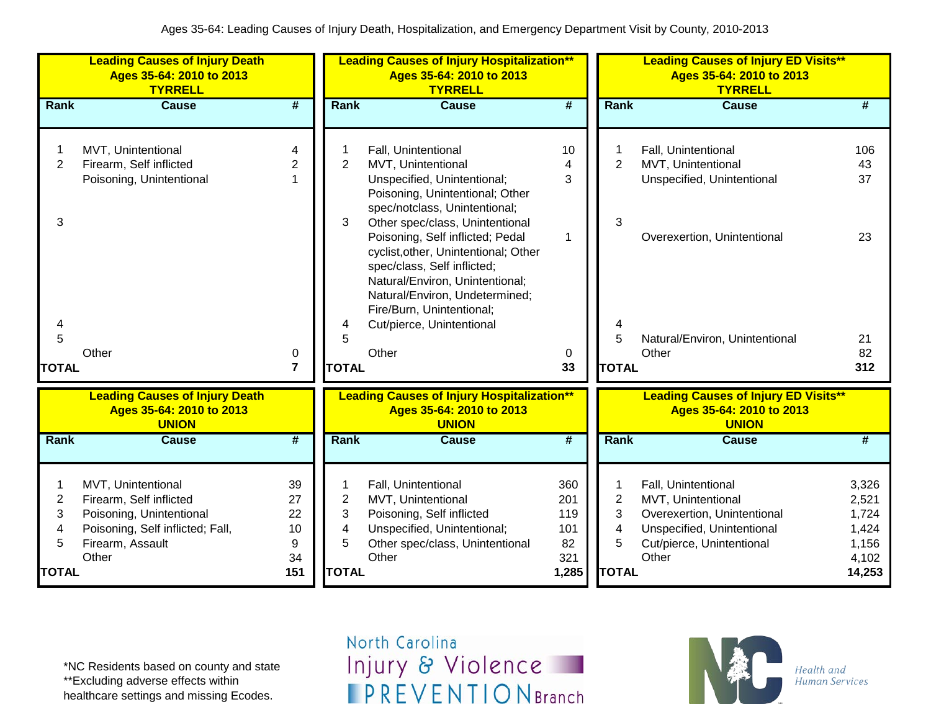|                     | <b>Leading Causes of Injury Death</b><br>Ages 35-64: 2010 to 2013<br><b>TYRRELL</b> |                             |                | <b>Leading Causes of Injury Hospitalization**</b><br>Ages 35-64: 2010 to 2013<br><b>TYRRELL</b>                                                                              |                             |                | <b>Leading Causes of Injury ED Visits**</b><br>Ages 35-64: 2010 to 2013<br><b>TYRRELL</b> |                 |
|---------------------|-------------------------------------------------------------------------------------|-----------------------------|----------------|------------------------------------------------------------------------------------------------------------------------------------------------------------------------------|-----------------------------|----------------|-------------------------------------------------------------------------------------------|-----------------|
| Rank                | <b>Cause</b>                                                                        | $\overline{\boldsymbol{t}}$ | <b>Rank</b>    | <b>Cause</b>                                                                                                                                                                 | $\overline{\boldsymbol{t}}$ | Rank           | <b>Cause</b>                                                                              | #               |
|                     |                                                                                     |                             |                |                                                                                                                                                                              |                             |                |                                                                                           |                 |
| 1<br>$\overline{2}$ | MVT, Unintentional<br>Firearm, Self inflicted                                       | 4<br>$\overline{c}$         | $\overline{2}$ | Fall, Unintentional<br>MVT, Unintentional                                                                                                                                    | 10<br>4                     | $\overline{2}$ | Fall, Unintentional<br>MVT, Unintentional                                                 | 106<br>43       |
|                     | Poisoning, Unintentional                                                            | $\mathbf{1}$                |                | Unspecified, Unintentional;                                                                                                                                                  | 3                           |                | Unspecified, Unintentional                                                                | 37              |
|                     |                                                                                     |                             |                | Poisoning, Unintentional; Other<br>spec/notclass, Unintentional;                                                                                                             |                             |                |                                                                                           |                 |
| 3                   |                                                                                     |                             | 3              | Other spec/class, Unintentional                                                                                                                                              |                             | 3              |                                                                                           |                 |
|                     |                                                                                     |                             |                | Poisoning, Self inflicted; Pedal<br>cyclist, other, Unintentional; Other<br>spec/class, Self inflicted;<br>Natural/Environ, Unintentional;<br>Natural/Environ, Undetermined; | $\mathbf 1$                 |                | Overexertion, Unintentional                                                               | 23              |
|                     |                                                                                     |                             |                | Fire/Burn, Unintentional;                                                                                                                                                    |                             |                |                                                                                           |                 |
| 4                   |                                                                                     |                             | 4              | Cut/pierce, Unintentional                                                                                                                                                    |                             |                |                                                                                           |                 |
| 5                   | Other                                                                               |                             | 5              | Other                                                                                                                                                                        |                             | 5              | Natural/Environ, Unintentional<br>Other                                                   | 21<br>82        |
| <b>TOTAL</b>        |                                                                                     | 0<br>$\overline{7}$         | <b>TOTAL</b>   |                                                                                                                                                                              | 0<br>33                     | <b>TOTAL</b>   |                                                                                           | 312             |
|                     |                                                                                     |                             |                |                                                                                                                                                                              |                             |                |                                                                                           |                 |
|                     | <b>Leading Causes of Injury Death</b><br>Ages 35-64: 2010 to 2013<br><b>UNION</b>   |                             |                | <b>Leading Causes of Injury Hospitalization**</b><br>Ages 35-64: 2010 to 2013<br><b>UNION</b>                                                                                |                             |                | <b>Leading Causes of Injury ED Visits**</b><br>Ages 35-64: 2010 to 2013<br><b>UNION</b>   |                 |
| Rank                | <b>Cause</b>                                                                        | #                           | Rank           | <b>Cause</b>                                                                                                                                                                 | #                           | Rank           | <b>Cause</b>                                                                              | $\overline{\#}$ |
|                     |                                                                                     |                             |                |                                                                                                                                                                              |                             |                |                                                                                           |                 |
| 1                   | MVT, Unintentional                                                                  | 39                          |                | Fall, Unintentional                                                                                                                                                          | 360                         | 1              | Fall, Unintentional                                                                       | 3,326           |
| $\overline{2}$      | Firearm, Self inflicted                                                             | 27                          | $\overline{2}$ | MVT, Unintentional                                                                                                                                                           | 201                         | $\overline{2}$ | MVT, Unintentional                                                                        | 2,521           |
| 3                   | Poisoning, Unintentional                                                            | 22                          | 3              | Poisoning, Self inflicted                                                                                                                                                    | 119                         | 3              | Overexertion, Unintentional                                                               | 1,724           |
| 4                   | Poisoning, Self inflicted; Fall,                                                    | 10                          | 4              | Unspecified, Unintentional;                                                                                                                                                  | 101                         | 4              | Unspecified, Unintentional                                                                | 1,424           |
| 5                   | Firearm, Assault                                                                    | 9                           | 5              | Other spec/class, Unintentional                                                                                                                                              | 82                          | 5              | Cut/pierce, Unintentional                                                                 | 1,156           |
|                     | Other                                                                               | 34                          |                | Other                                                                                                                                                                        | 321                         |                | Other                                                                                     | 4,102           |
| <b>TOTAL</b>        |                                                                                     | 151                         | <b>TOTAL</b>   |                                                                                                                                                                              | 1,285                       | <b>TOTAL</b>   |                                                                                           | 14,253          |

\*NC Residents based on county and state \*\*Excluding adverse effects within healthcare settings and missing Ecodes.

North Carolina Injury & Violence **IPREVENTIONBranch** 

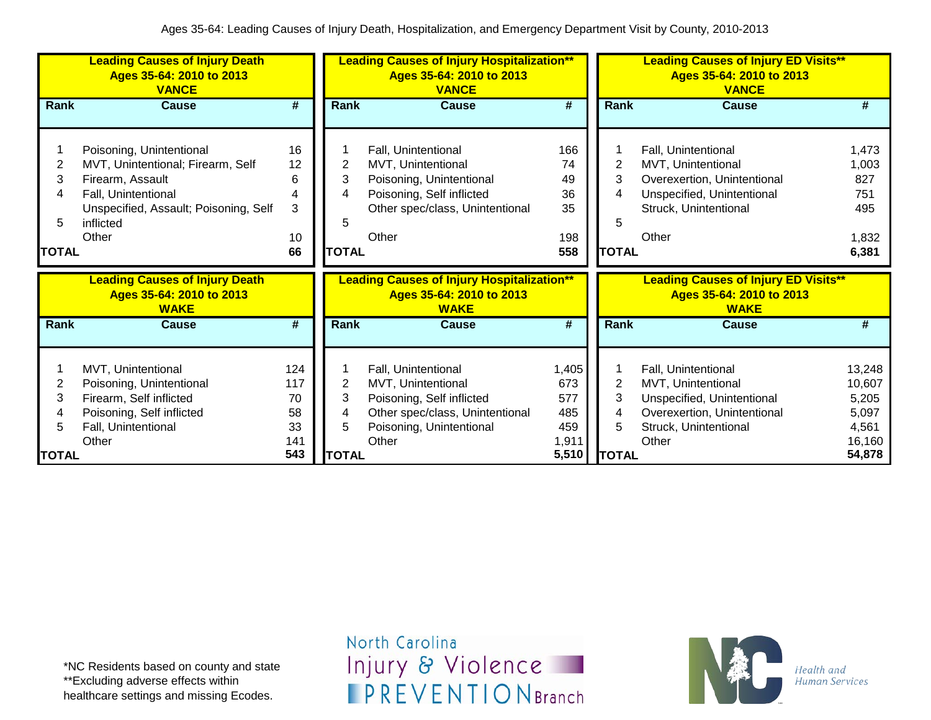|        | <b>Leading Causes of Injury Death</b><br>Ages 35-64: 2010 to 2013<br><b>VANCE</b> |          | <b>Leading Causes of Injury Hospitalization**</b><br>Ages 35-64: 2010 to 2013<br><b>VANCE</b> |                                                                                              |                             |                | <b>Leading Causes of Injury ED Visits**</b><br>Ages 35-64: 2010 to 2013<br><b>VANCE</b> |                |
|--------|-----------------------------------------------------------------------------------|----------|-----------------------------------------------------------------------------------------------|----------------------------------------------------------------------------------------------|-----------------------------|----------------|-----------------------------------------------------------------------------------------|----------------|
| Rank   | <b>Cause</b>                                                                      | #        | Rank                                                                                          | <b>Cause</b>                                                                                 | #                           | <b>Rank</b>    | <b>Cause</b>                                                                            | #              |
|        |                                                                                   |          |                                                                                               |                                                                                              |                             |                |                                                                                         |                |
|        | Poisoning, Unintentional                                                          | 16       |                                                                                               | Fall, Unintentional                                                                          | 166                         |                | Fall, Unintentional                                                                     | 1,473          |
| 2      | MVT, Unintentional; Firearm, Self                                                 | 12       | 2<br>3                                                                                        | MVT, Unintentional                                                                           | 74                          | 2<br>3         | MVT, Unintentional                                                                      | 1,003          |
| 3<br>4 | Firearm, Assault<br>Fall, Unintentional                                           | 6<br>4   | 4                                                                                             | Poisoning, Unintentional<br>Poisoning, Self inflicted                                        | 49<br>36                    | 4              | Overexertion, Unintentional<br>Unspecified, Unintentional                               | 827<br>751     |
|        | Unspecified, Assault; Poisoning, Self                                             | 3        |                                                                                               | Other spec/class, Unintentional                                                              | 35                          |                | Struck, Unintentional                                                                   | 495            |
| 5      | inflicted                                                                         |          | 5                                                                                             |                                                                                              |                             | 5              |                                                                                         |                |
|        | Other                                                                             | 10       |                                                                                               | Other                                                                                        | 198                         |                | Other                                                                                   | 1,832          |
| TOTAL  |                                                                                   | 66       | <b>TOTAL</b>                                                                                  |                                                                                              | 558                         | <b>TOTAL</b>   |                                                                                         | 6,381          |
|        |                                                                                   |          |                                                                                               |                                                                                              |                             |                |                                                                                         |                |
|        |                                                                                   |          |                                                                                               |                                                                                              |                             |                |                                                                                         |                |
|        | <b>Leading Causes of Injury Death</b><br>Ages 35-64: 2010 to 2013<br><b>WAKE</b>  |          |                                                                                               | <b>Leading Causes of Injury Hospitalization**</b><br>Ages 35-64: 2010 to 2013<br><b>WAKE</b> |                             |                | <b>Leading Causes of Injury ED Visits**</b><br>Ages 35-64: 2010 to 2013<br><b>WAKE</b>  |                |
| Rank   | <b>Cause</b>                                                                      | #        | Rank                                                                                          | Cause                                                                                        | $\overline{\boldsymbol{t}}$ | Rank           | <b>Cause</b>                                                                            | #              |
|        |                                                                                   |          |                                                                                               |                                                                                              |                             |                |                                                                                         |                |
|        | MVT, Unintentional                                                                | 124      |                                                                                               | Fall, Unintentional                                                                          | 1,405                       |                | Fall, Unintentional                                                                     | 13,248         |
| 2      | Poisoning, Unintentional                                                          | 117      | 2                                                                                             | MVT, Unintentional                                                                           | 673                         | $\overline{2}$ | MVT, Unintentional                                                                      | 10,607         |
| 3<br>4 | Firearm, Self inflicted                                                           | 70       | 3<br>4                                                                                        | Poisoning, Self inflicted                                                                    | 577                         | 3<br>4         | Unspecified, Unintentional                                                              | 5,205          |
| 5      | Poisoning, Self inflicted<br>Fall, Unintentional                                  | 58<br>33 | 5                                                                                             | Other spec/class, Unintentional                                                              | 485<br>459                  | 5              | Overexertion, Unintentional                                                             | 5,097<br>4,561 |
|        | Other                                                                             | 141      |                                                                                               | Poisoning, Unintentional<br>Other                                                            | 1,911                       |                | Struck, Unintentional<br>Other                                                          | 16,160         |

\*NC Residents based on county and state \*\*Excluding adverse effects within healthcare settings and missing Ecodes.

North Carolina Injury & Violence **IPREVENTIONBranch** 

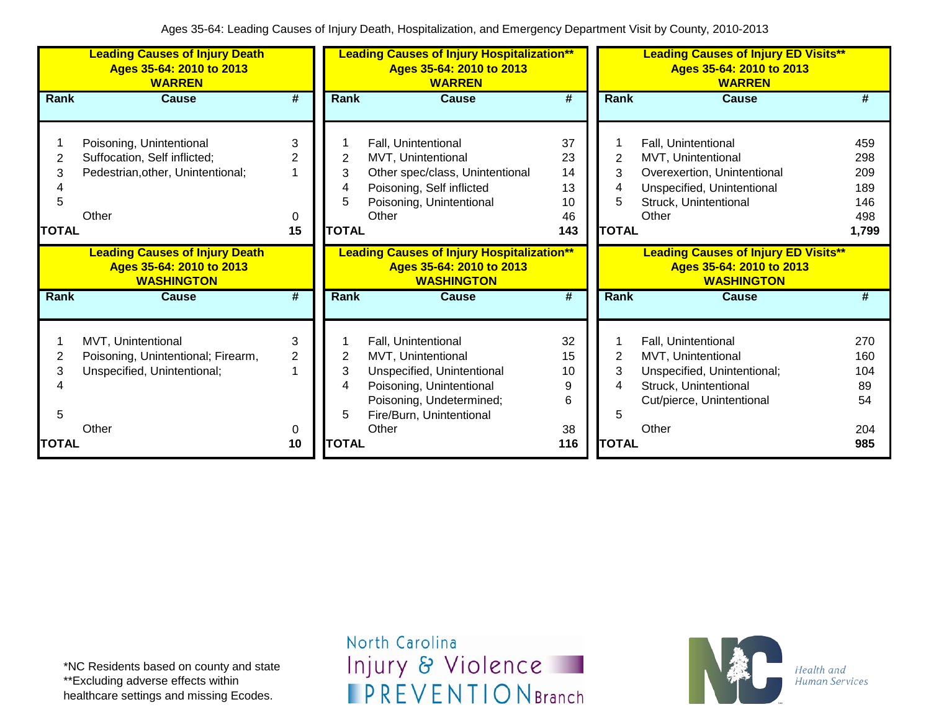|                             | <b>Leading Causes of Injury Death</b><br>Ages 35-64: 2010 to 2013<br><b>WARREN</b>                     |                   |                                  | <b>Leading Causes of Injury Hospitalization**</b><br>Ages 35-64: 2010 to 2013<br><b>WARREN</b>                                                              |                                         |                                               | <b>Leading Causes of Injury ED Visits**</b><br>Ages 35-64: 2010 to 2013<br><b>WARREN</b>                                                 |                                                 |
|-----------------------------|--------------------------------------------------------------------------------------------------------|-------------------|----------------------------------|-------------------------------------------------------------------------------------------------------------------------------------------------------------|-----------------------------------------|-----------------------------------------------|------------------------------------------------------------------------------------------------------------------------------------------|-------------------------------------------------|
| Rank                        | Cause                                                                                                  | #                 | <b>Rank</b>                      | Cause                                                                                                                                                       | #                                       | <b>Rank</b>                                   | <b>Cause</b>                                                                                                                             | #                                               |
| 2<br>3<br>5<br><b>TOTAL</b> | Poisoning, Unintentional<br>Suffocation, Self inflicted;<br>Pedestrian, other, Unintentional;<br>Other | 3<br>2<br>0<br>15 | 2<br>3<br>4<br>5<br><b>TOTAL</b> | Fall, Unintentional<br>MVT, Unintentional<br>Other spec/class, Unintentional<br>Poisoning, Self inflicted<br>Poisoning, Unintentional<br>Other              | 37<br>23<br>14<br>13<br>10<br>46<br>143 | $\overline{2}$<br>3<br>4<br>5<br><b>TOTAL</b> | Fall, Unintentional<br>MVT, Unintentional<br>Overexertion, Unintentional<br>Unspecified, Unintentional<br>Struck, Unintentional<br>Other | 459<br>298<br>209<br>189<br>146<br>498<br>1,799 |
|                             | <b>Leading Causes of Injury Death</b><br>Ages 35-64: 2010 to 2013<br><b>WASHINGTON</b>                 |                   |                                  | <b>Leading Causes of Injury Hospitalization**</b><br>Ages 35-64: 2010 to 2013<br><b>WASHINGTON</b>                                                          |                                         |                                               | <b>Leading Causes of Injury ED Visits**</b><br>Ages 35-64: 2010 to 2013<br><b>WASHINGTON</b>                                             |                                                 |
| Rank                        | <b>Cause</b>                                                                                           | #                 | Rank                             | <b>Cause</b>                                                                                                                                                | #                                       | Rank                                          | <b>Cause</b>                                                                                                                             | #                                               |
| 2<br>3<br>5                 | MVT, Unintentional<br>Poisoning, Unintentional; Firearm,<br>Unspecified, Unintentional;                | 3<br>2            | 2<br>3<br>4<br>5                 | Fall, Unintentional<br>MVT, Unintentional<br>Unspecified, Unintentional<br>Poisoning, Unintentional<br>Poisoning, Undetermined;<br>Fire/Burn, Unintentional | 32<br>15<br>10<br>9<br>6                | 2<br>3<br>4<br>5                              | Fall, Unintentional<br>MVT, Unintentional<br>Unspecified, Unintentional;<br>Struck, Unintentional<br>Cut/pierce, Unintentional           | 270<br>160<br>104<br>89<br>54                   |
| <b>TOTAL</b>                | Other                                                                                                  | 0<br>10           | <b>TOTAL</b>                     | Other                                                                                                                                                       | 38<br>116                               | <b>TOTAL</b>                                  | Other                                                                                                                                    | 204<br>985                                      |

\*NC Residents based on county and state \*\*Excluding adverse effects within healthcare settings and missing Ecodes.

North Carolina Injury & Violence **IPREVENTIONBranch** 

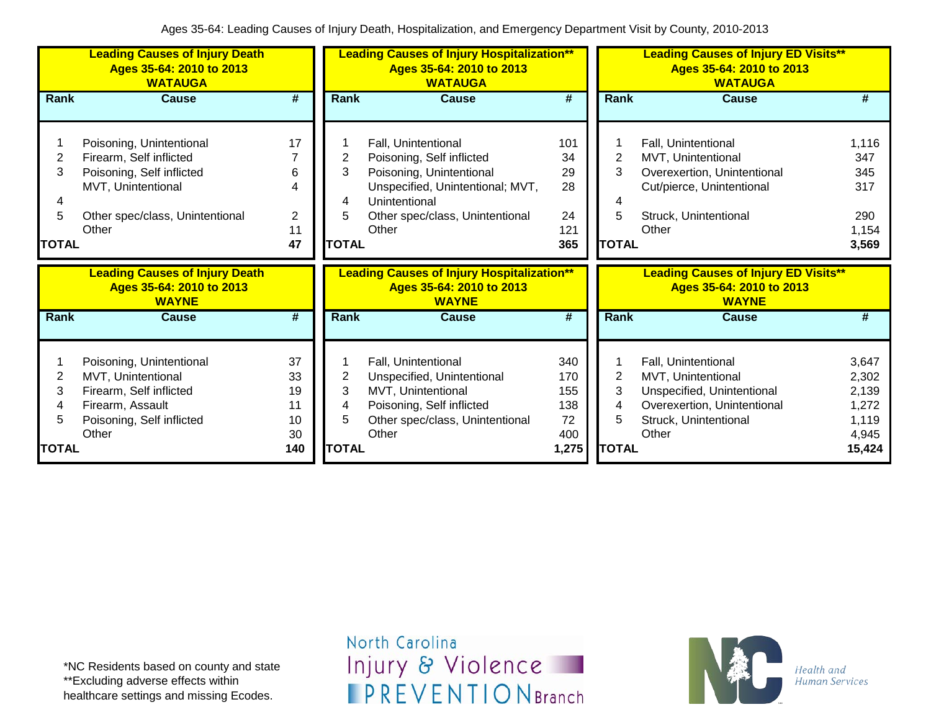|              | <b>Leading Causes of Injury Death</b><br>Ages 35-64: 2010 to 2013<br><b>WATAUGA</b> |                |              | <b>Leading Causes of Injury Hospitalization**</b><br>Ages 35-64: 2010 to 2013<br><b>WATAUGA</b> |                             |              | <b>Leading Causes of Injury ED Visits**</b><br>Ages 35-64: 2010 to 2013<br><b>WATAUGA</b> |       |  |
|--------------|-------------------------------------------------------------------------------------|----------------|--------------|-------------------------------------------------------------------------------------------------|-----------------------------|--------------|-------------------------------------------------------------------------------------------|-------|--|
| Rank         | <b>Cause</b>                                                                        | #              | <b>Rank</b>  | <b>Cause</b>                                                                                    | #                           | Rank         | <b>Cause</b>                                                                              | #     |  |
|              |                                                                                     |                |              |                                                                                                 |                             |              |                                                                                           |       |  |
|              | Poisoning, Unintentional                                                            | 17             |              | Fall, Unintentional                                                                             | 101                         |              | Fall, Unintentional                                                                       | 1,116 |  |
| 2            | Firearm, Self inflicted                                                             |                | 2            | Poisoning, Self inflicted                                                                       | 34                          | 2            | <b>MVT, Unintentional</b>                                                                 | 347   |  |
| 3            | Poisoning, Self inflicted                                                           | 6              | 3            | Poisoning, Unintentional                                                                        | 29                          | 3            | Overexertion, Unintentional                                                               | 345   |  |
|              | MVT, Unintentional                                                                  | 4              |              | Unspecified, Unintentional; MVT,                                                                | 28                          |              | Cut/pierce, Unintentional                                                                 | 317   |  |
| 4            |                                                                                     |                | 4            | Unintentional                                                                                   |                             | 4            |                                                                                           |       |  |
| 5            | Other spec/class, Unintentional                                                     | $\overline{2}$ | 5            | Other spec/class, Unintentional                                                                 | 24                          | 5            | Struck, Unintentional                                                                     | 290   |  |
|              | Other                                                                               | 11             |              | Other                                                                                           | 121                         |              | Other                                                                                     | 1,154 |  |
| <b>TOTAL</b> |                                                                                     | 47             | <b>TOTAL</b> |                                                                                                 | 365                         | <b>TOTAL</b> |                                                                                           | 3,569 |  |
|              | <b>Leading Causes of Injury Death</b><br>Ages 35-64: 2010 to 2013<br><b>WAYNE</b>   |                |              | <b>Leading Causes of Injury Hospitalization**</b><br>Ages 35-64: 2010 to 2013<br><b>WAYNE</b>   |                             |              | <b>Leading Causes of Injury ED Visits**</b><br>Ages 35-64: 2010 to 2013<br><b>WAYNE</b>   |       |  |
| Rank         | <b>Cause</b>                                                                        | #              | <b>Rank</b>  | <b>Cause</b>                                                                                    | $\overline{\boldsymbol{t}}$ | Rank         | <b>Cause</b>                                                                              | #     |  |
|              |                                                                                     | 37             |              |                                                                                                 | 340                         |              |                                                                                           | 3,647 |  |
| 2            | Poisoning, Unintentional<br>MVT, Unintentional                                      | 33             | 2            | Fall, Unintentional<br>Unspecified, Unintentional                                               | 170                         | 2            | Fall, Unintentional<br>MVT, Unintentional                                                 | 2,302 |  |
| 3            | Firearm, Self inflicted                                                             | 19             | 3            | MVT, Unintentional                                                                              | 155                         | 3            | Unspecified, Unintentional                                                                | 2,139 |  |
| 4            | Firearm, Assault                                                                    | 11             | 4            | Poisoning, Self inflicted                                                                       | 138                         | 4            | Overexertion, Unintentional                                                               | 1,272 |  |
| 5            | Poisoning, Self inflicted                                                           | 10             | 5            | Other spec/class, Unintentional                                                                 | 72                          | 5            | Struck, Unintentional                                                                     | 1,119 |  |
|              | Other                                                                               | 30             |              | Other                                                                                           | 400                         |              | Other                                                                                     | 4,945 |  |
|              |                                                                                     |                |              |                                                                                                 |                             |              |                                                                                           |       |  |

\*NC Residents based on county and state \*\*Excluding adverse effects within healthcare settings and missing Ecodes.

North Carolina Injury & Violence **IPREVENTIONBranch** 

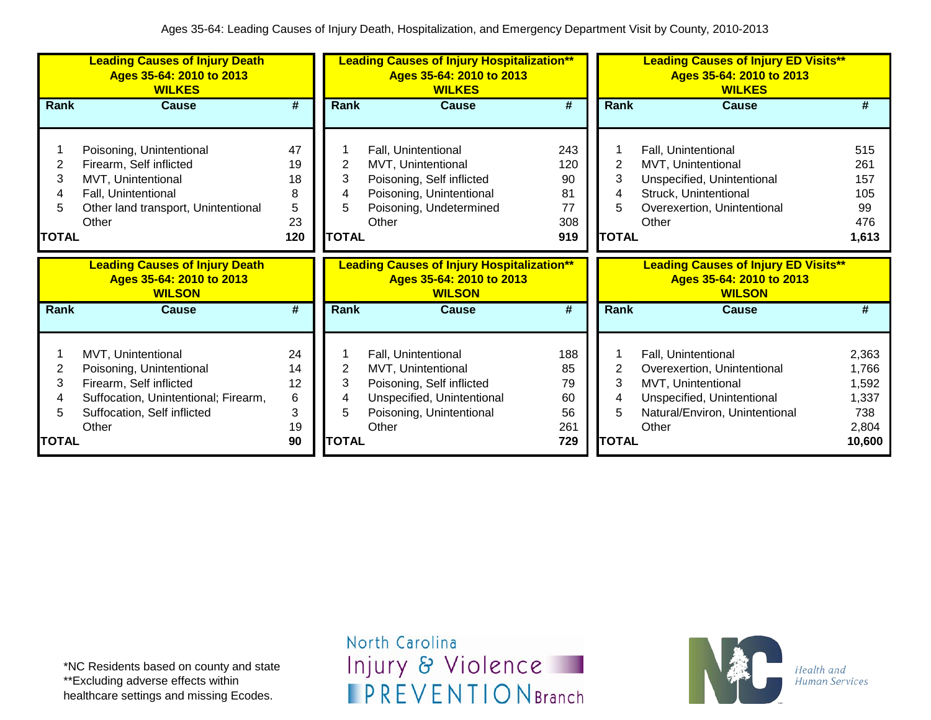|              | <b>Leading Causes of Injury Death</b><br>Ages 35-64: 2010 to 2013<br><b>WILKES</b> | <b>Leading Causes of Injury Hospitalization**</b><br>Ages 35-64: 2010 to 2013<br><b>WILKES</b> |              |                                                                                                | <b>Leading Causes of Injury ED Visits**</b><br>Ages 35-64: 2010 to 2013<br><b>WILKES</b> |              |                                                                                          |                 |
|--------------|------------------------------------------------------------------------------------|------------------------------------------------------------------------------------------------|--------------|------------------------------------------------------------------------------------------------|------------------------------------------------------------------------------------------|--------------|------------------------------------------------------------------------------------------|-----------------|
| Rank         | Cause                                                                              | #                                                                                              | Rank         | Cause                                                                                          | #                                                                                        | Rank         | <b>Cause</b>                                                                             | #               |
|              | Poisoning, Unintentional                                                           | 47                                                                                             |              | Fall, Unintentional                                                                            | 243                                                                                      |              | Fall, Unintentional                                                                      | 515             |
| 2<br>3       | Firearm, Self inflicted                                                            | 19                                                                                             | 2<br>3       | MVT, Unintentional                                                                             | 120                                                                                      | 2<br>3       | MVT, Unintentional                                                                       | 261             |
| 4            | MVT, Unintentional<br>Fall, Unintentional                                          | 18<br>8                                                                                        | 4            | Poisoning, Self inflicted<br>Poisoning, Unintentional                                          | 90<br>81                                                                                 | 4            | Unspecified, Unintentional<br>Struck, Unintentional                                      | 157<br>105      |
| 5            | Other land transport, Unintentional                                                | 5                                                                                              | 5            | Poisoning, Undetermined                                                                        | 77                                                                                       | 5            | Overexertion, Unintentional                                                              | 99              |
|              | Other                                                                              | 23                                                                                             |              | Other                                                                                          | 308                                                                                      |              | Other                                                                                    | 476             |
| <b>TOTAL</b> |                                                                                    | 120                                                                                            | <b>TOTAL</b> |                                                                                                | 919                                                                                      | <b>TOTAL</b> |                                                                                          | 1,613           |
|              | <b>Leading Causes of Injury Death</b><br>Ages 35-64: 2010 to 2013<br><b>WILSON</b> |                                                                                                |              |                                                                                                |                                                                                          |              |                                                                                          |                 |
|              |                                                                                    |                                                                                                |              | <b>Leading Causes of Injury Hospitalization**</b><br>Ages 35-64: 2010 to 2013<br><b>WILSON</b> |                                                                                          |              | <b>Leading Causes of Injury ED Visits**</b><br>Ages 35-64: 2010 to 2013<br><b>WILSON</b> |                 |
| <b>Rank</b>  | <b>Cause</b>                                                                       | #                                                                                              | <b>Rank</b>  | <b>Cause</b>                                                                                   | $\overline{\boldsymbol{t}}$                                                              | <b>Rank</b>  | Cause                                                                                    | #               |
|              |                                                                                    |                                                                                                |              |                                                                                                |                                                                                          |              |                                                                                          |                 |
|              | MVT, Unintentional                                                                 | 24                                                                                             |              | Fall, Unintentional                                                                            | 188                                                                                      |              | Fall, Unintentional                                                                      | 2,363           |
| 2<br>3       | Poisoning, Unintentional                                                           | 14                                                                                             | 2<br>3       | MVT, Unintentional                                                                             | 85                                                                                       | 2<br>3       | Overexertion, Unintentional                                                              | 1,766           |
| 4            | Firearm, Self inflicted<br>Suffocation, Unintentional; Firearm,                    | 12<br>6                                                                                        | 4            | Poisoning, Self inflicted<br>Unspecified, Unintentional                                        | 79<br>60                                                                                 | 4            | MVT, Unintentional<br>Unspecified, Unintentional                                         | 1,592<br>1,337  |
| 5            | Suffocation, Self inflicted                                                        | 3                                                                                              | 5            | Poisoning, Unintentional                                                                       | 56                                                                                       | 5            | Natural/Environ, Unintentional                                                           | 738             |
| TOTAL        | Other                                                                              | 19<br>90                                                                                       | <b>TOTAL</b> | Other                                                                                          | 261<br>729                                                                               | <b>TOTAL</b> | Other                                                                                    | 2,804<br>10,600 |

\*NC Residents based on county and state \*\*Excluding adverse effects within healthcare settings and missing Ecodes.

North Carolina Injury & Violence **IPREVENTIONBranch**